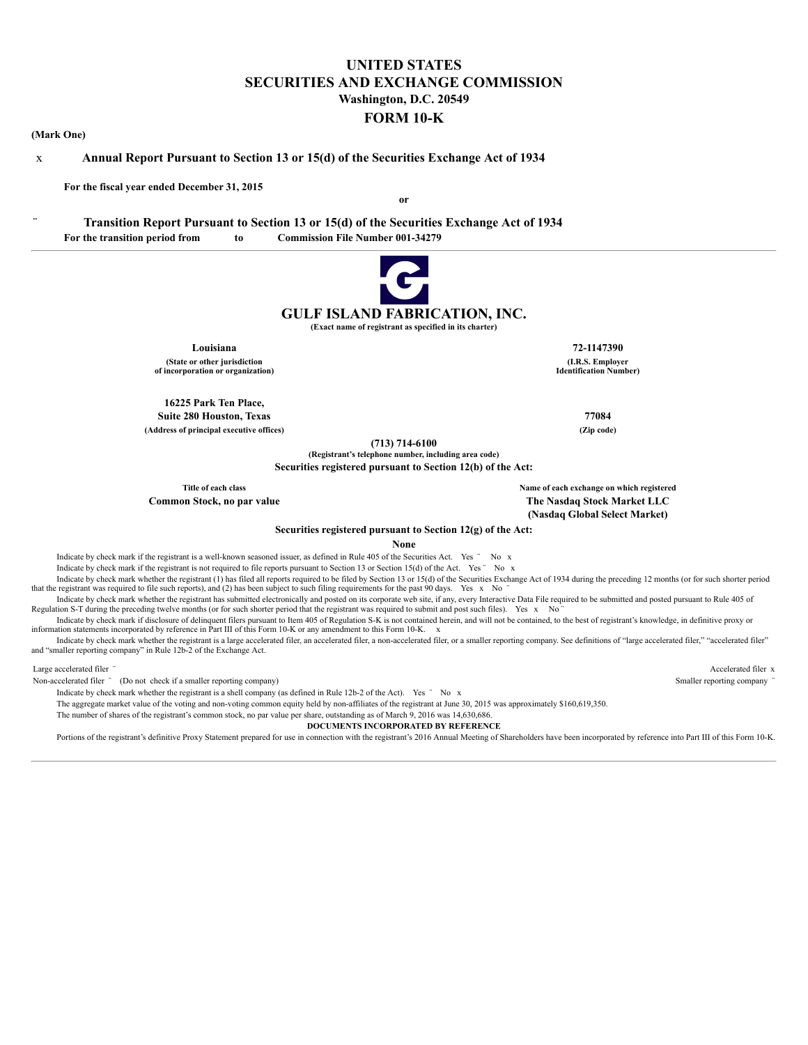# **UNITED STATES SECURITIES AND EXCHANGE COMMISSION Washington, D.C. 20549 FORM 10-K**

**or**

#### **(Mark One)**

#### x **Annual Report Pursuant to Section 13 or 15(d) of the Securities Exchange Act of 1934**

**For the fiscal year ended December 31, 2015**

¨ **Transition Report Pursuant to Section 13 or 15(d) of the Securities Exchange Act of 1934 For the transition period from to Commission File Number 001-34279**

# **GULF ISLAND FABRICATION, INC. (Exact name of registrant as specified in its charter)**

**(State or other jurisdiction of incorporation or organization)**

**16225 Park Ten Place, Suite 280 Houston, Texas 77084 (Address of principal executive offices) (Zip code)**

> **(713) 714-6100 (Registrant's telephone number, including area code)**

**Securities registered pursuant to Section 12(b) of the Act:**

**Title of each class Name of each exchange on which registered**

#### **Securities registered pursuant to Section 12(g) of the Act:**

**None**

Indicate by check mark if the registrant is a well-known seasoned issuer, as defined in Rule 405 of the Securities Act. Yes ¨ No x

Indicate by check mark if the registrant is not required to file reports pursuant to Section 13 or Section 15(d) of the Act. Yes " No x

Indicate by check mark whether the registrant (1) has filed all reports required to be filed by Section 13 or 15(d) of the Securities Exchange Act of 1934 during the preceding 12 months (or for such shorter period that the registrant was required to file such reports), and (2) has been subject to such filing requirements for the past  $90$  days. Yes x No

Indicate by check mark whether the registrant has submitted electronically and posted on its corporate web site, if any, every Interactive Data File required to be submitted and posted pursuant to Rule 405 of Regulation S-T during the preceding twelve months (or for such shorter period that the registrant was required to submit and post such files). Yes x No

Indicate by check mark if disclosure of delinquent filers pursuant to Item 405 of Regulation S-K is not contained herein, and will not be contained, to the best of registrant's knowledge, in definitive proxy or information statements incorporated by reference in Part III of this Form 10-K or any amendment to this Form 10-K. x

Indicate by check mark whether the registrant is a large accelerated filer, an accelerated filer, a non-accelerated filer, or a smaller reporting company. See definitions of "large accelerated filer," "accelerated filer" and "smaller reporting company" in Rule 12b-2 of the Exchange Act.

Non-accelerated filer " (Do not check if a smaller reporting company) Smaller reporting company

Indicate by check mark whether the registrant is a shell company (as defined in Rule 12b-2 of the Act). Yes " No x

The aggregate market value of the voting and non-voting common equity held by non-affiliates of the registrant at June 30, 2015 was approximately \$160,619,350.

The number of shares of the registrant's common stock, no par value per share, outstanding as of March 9, 2016 was 14,630,686.

**DOCUMENTS INCORPORATED BY REFERENCE**

Portions of the registrant's definitive Proxy Statement prepared for use in connection with the registrant's 2016 Annual Meeting of Shareholders have been incorporated by reference into Part III of this Form 10-K.

**Louisiana 72-1147390 (I.R.S. Employer Identification Number)**

**Common Stock, no par value The Nasdaq Stock Market LLC (Nasdaq Global Select Market)**

Large accelerated filer <sup>"</sup> Accelerated filer x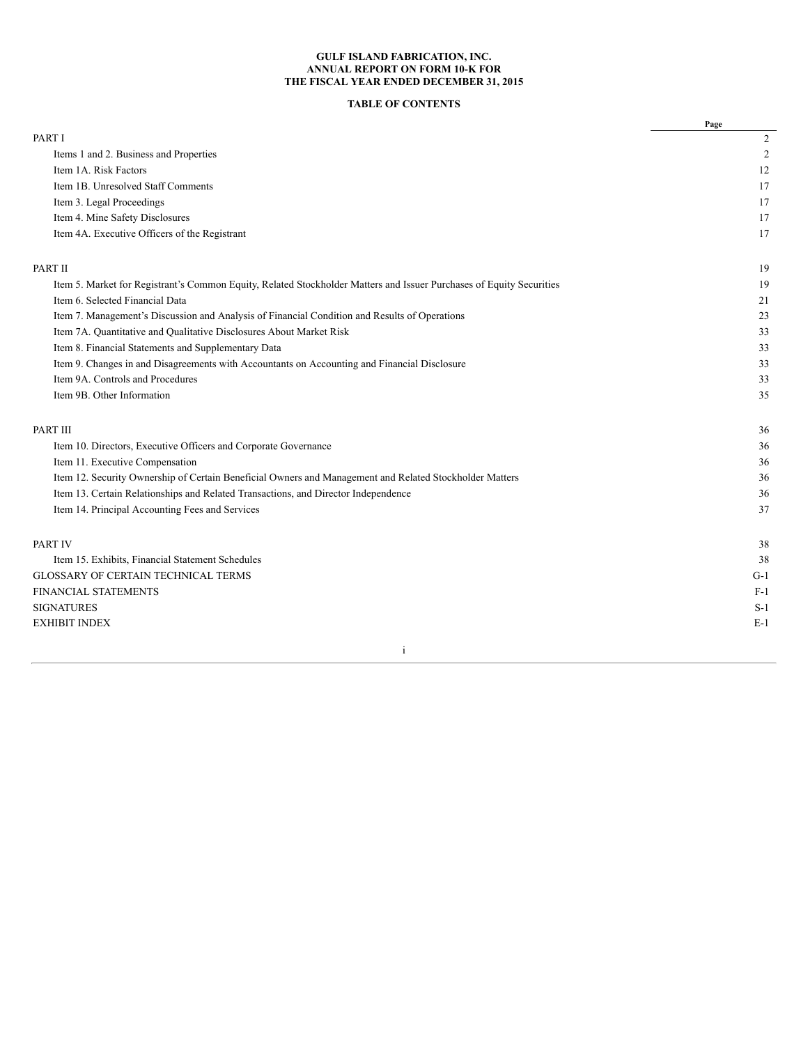#### **GULF ISLAND FABRICATION, INC. ANNUAL REPORT ON FORM 10-K FOR THE FISCAL YEAR ENDED DECEMBER 31, 2015**

# **TABLE OF CONTENTS**

|                                                                                                                      | Page  |
|----------------------------------------------------------------------------------------------------------------------|-------|
| PART I                                                                                                               | 2     |
| Items 1 and 2. Business and Properties                                                                               | 2     |
| Item 1A. Risk Factors                                                                                                | 12    |
| Item 1B. Unresolved Staff Comments                                                                                   | 17    |
| Item 3. Legal Proceedings                                                                                            | 17    |
| Item 4. Mine Safety Disclosures                                                                                      | 17    |
| Item 4A. Executive Officers of the Registrant                                                                        | 17    |
| PART II                                                                                                              | 19    |
| Item 5. Market for Registrant's Common Equity, Related Stockholder Matters and Issuer Purchases of Equity Securities | 19    |
| Item 6. Selected Financial Data                                                                                      | 21    |
| Item 7. Management's Discussion and Analysis of Financial Condition and Results of Operations                        | 23    |
| Item 7A. Quantitative and Qualitative Disclosures About Market Risk                                                  | 33    |
| Item 8. Financial Statements and Supplementary Data                                                                  | 33    |
| Item 9. Changes in and Disagreements with Accountants on Accounting and Financial Disclosure                         | 33    |
| Item 9A. Controls and Procedures                                                                                     | 33    |
| Item 9B. Other Information                                                                                           | 35    |
| PART III                                                                                                             | 36    |
| Item 10. Directors, Executive Officers and Corporate Governance                                                      | 36    |
| Item 11. Executive Compensation                                                                                      | 36    |
| Item 12. Security Ownership of Certain Beneficial Owners and Management and Related Stockholder Matters              | 36    |
| Item 13. Certain Relationships and Related Transactions, and Director Independence                                   | 36    |
| Item 14. Principal Accounting Fees and Services                                                                      | 37    |
| PART IV                                                                                                              | 38    |
| Item 15. Exhibits, Financial Statement Schedules                                                                     | 38    |
| GLOSSARY OF CERTAIN TECHNICAL TERMS                                                                                  | $G-1$ |
| FINANCIAL STATEMENTS                                                                                                 | $F-1$ |
| <b>SIGNATURES</b>                                                                                                    | $S-1$ |
| <b>EXHIBIT INDEX</b>                                                                                                 | $E-1$ |
|                                                                                                                      |       |

i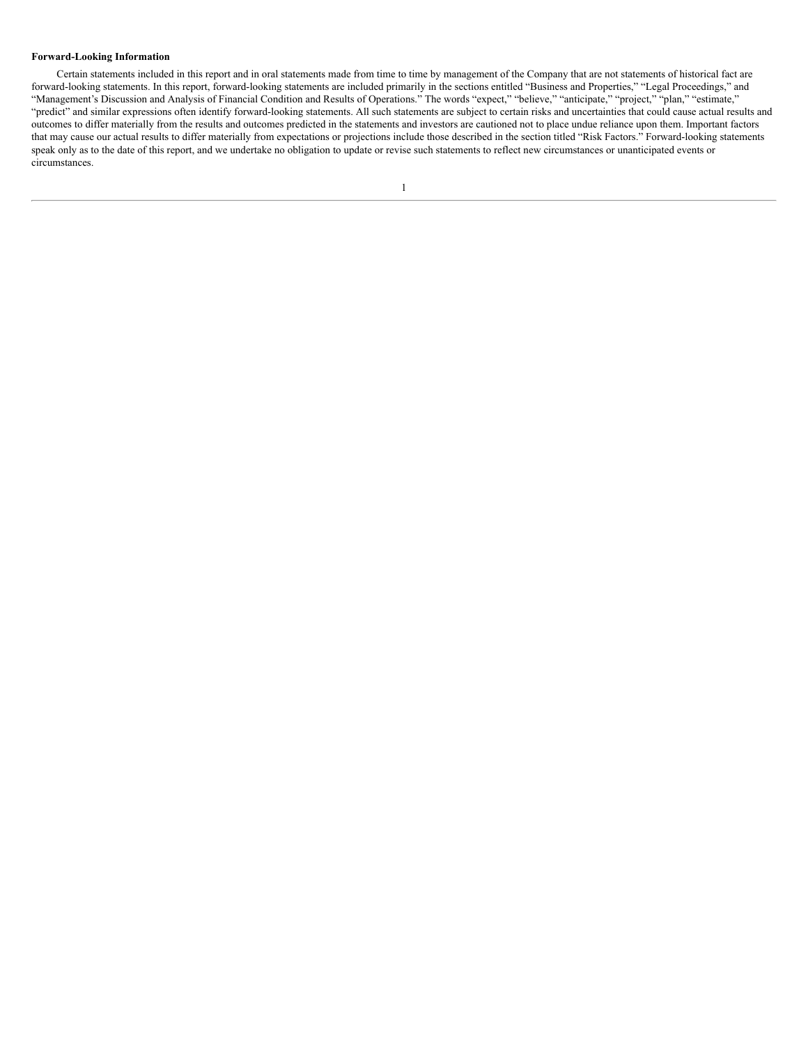#### **Forward-Looking Information**

Certain statements included in this report and in oral statements made from time to time by management of the Company that are not statements of historical fact are forward-looking statements. In this report, forward-looking statements are included primarily in the sections entitled "Business and Properties," "Legal Proceedings," and "Management's Discussion and Analysis of Financial Condition and Results of Operations." The words "expect," "believe," "anticipate," "project," "plan," "estimate," "predict" and similar expressions often identify forward-looking statements. All such statements are subject to certain risks and uncertainties that could cause actual results and outcomes to differ materially from the results and outcomes predicted in the statements and investors are cautioned not to place undue reliance upon them. Important factors that may cause our actual results to differ materially from expectations or projections include those described in the section titled "Risk Factors." Forward-looking statements speak only as to the date of this report, and we undertake no obligation to update or revise such statements to reflect new circumstances or unanticipated events or circumstances.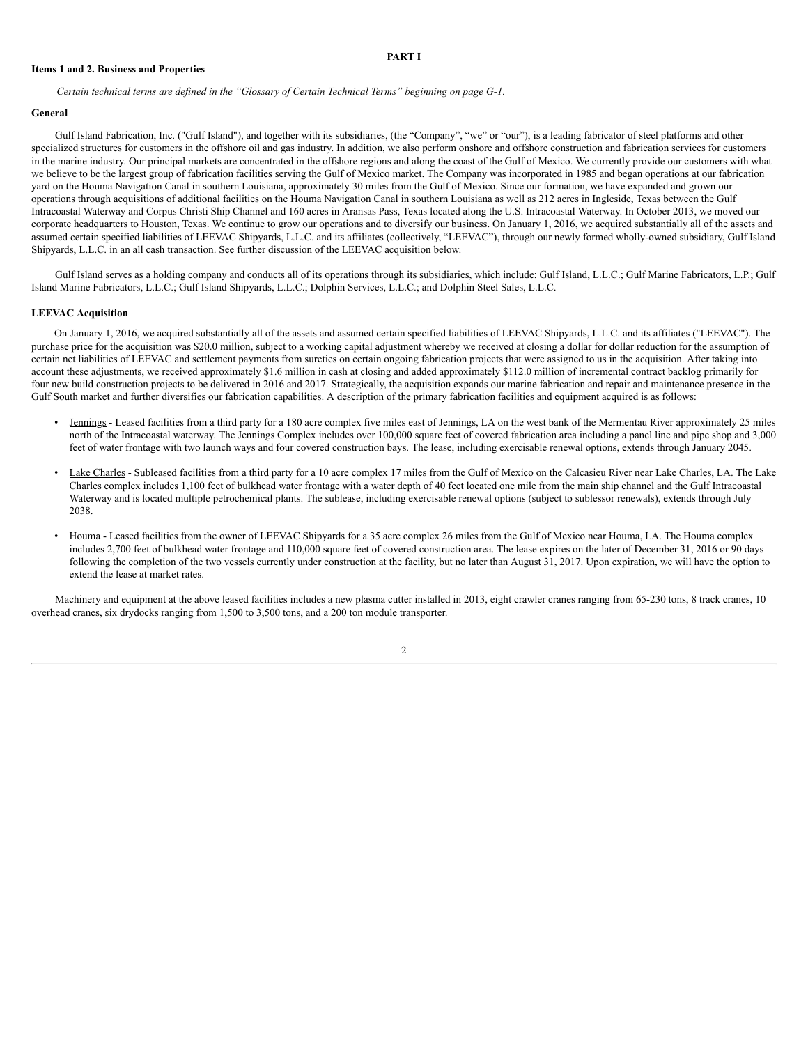#### **PART I**

#### **Items 1 and 2. Business and Properties**

*Certain technical terms are defined in the "Glossary of Certain Technical Terms" beginning on page G-1.*

#### **General**

Gulf Island Fabrication, Inc. ("Gulf Island"), and together with its subsidiaries, (the "Company", "we" or "our"), is a leading fabricator of steel platforms and other specialized structures for customers in the offshore oil and gas industry. In addition, we also perform onshore and offshore construction and fabrication services for customers in the marine industry. Our principal markets are concentrated in the offshore regions and along the coast of the Gulf of Mexico. We currently provide our customers with what we believe to be the largest group of fabrication facilities serving the Gulf of Mexico market. The Company was incorporated in 1985 and began operations at our fabrication yard on the Houma Navigation Canal in southern Louisiana, approximately 30 miles from the Gulf of Mexico. Since our formation, we have expanded and grown our operations through acquisitions of additional facilities on the Houma Navigation Canal in southern Louisiana as well as 212 acres in Ingleside, Texas between the Gulf Intracoastal Waterway and Corpus Christi Ship Channel and 160 acres in Aransas Pass, Texas located along the U.S. Intracoastal Waterway. In October 2013, we moved our corporate headquarters to Houston, Texas. We continue to grow our operations and to diversify our business. On January 1, 2016, we acquired substantially all of the assets and assumed certain specified liabilities of LEEVAC Shipyards, L.L.C. and its affiliates (collectively, "LEEVAC"), through our newly formed wholly-owned subsidiary, Gulf Island Shipyards, L.L.C. in an all cash transaction. See further discussion of the LEEVAC acquisition below.

Gulf Island serves as a holding company and conducts all of its operations through its subsidiaries, which include: Gulf Island, L.L.C.; Gulf Marine Fabricators, L.P.; Gulf Island Marine Fabricators, L.L.C.; Gulf Island Shipyards, L.L.C.; Dolphin Services, L.L.C.; and Dolphin Steel Sales, L.L.C.

#### **LEEVAC Acquisition**

On January 1, 2016, we acquired substantially all of the assets and assumed certain specified liabilities of LEEVAC Shipyards, L.L.C. and its affiliates ("LEEVAC"). The purchase price for the acquisition was \$20.0 million, subject to a working capital adjustment whereby we received at closing a dollar for dollar reduction for the assumption of certain net liabilities of LEEVAC and settlement payments from sureties on certain ongoing fabrication projects that were assigned to us in the acquisition. After taking into account these adjustments, we received approximately \$1.6 million in cash at closing and added approximately \$112.0 million of incremental contract backlog primarily for four new build construction projects to be delivered in 2016 and 2017. Strategically, the acquisition expands our marine fabrication and repair and maintenance presence in the Gulf South market and further diversifies our fabrication capabilities. A description of the primary fabrication facilities and equipment acquired is as follows:

- Jennings Leased facilities from a third party for a 180 acre complex five miles east of Jennings, LA on the west bank of the Mermentau River approximately 25 miles north of the Intracoastal waterway. The Jennings Complex includes over 100,000 square feet of covered fabrication area including a panel line and pipe shop and 3,000 feet of water frontage with two launch ways and four covered construction bays. The lease, including exercisable renewal options, extends through January 2045.
- Lake Charles Subleased facilities from a third party for a 10 acre complex 17 miles from the Gulf of Mexico on the Calcasieu River near Lake Charles, LA. The Lake Charles complex includes 1,100 feet of bulkhead water frontage with a water depth of 40 feet located one mile from the main ship channel and the Gulf Intracoastal Waterway and is located multiple petrochemical plants. The sublease, including exercisable renewal options (subject to sublessor renewals), extends through July 2038.
- Houma Leased facilities from the owner of LEEVAC Shipyards for a 35 acre complex 26 miles from the Gulf of Mexico near Houma, LA. The Houma complex includes 2,700 feet of bulkhead water frontage and 110,000 square feet of covered construction area. The lease expires on the later of December 31, 2016 or 90 days following the completion of the two vessels currently under construction at the facility, but no later than August 31, 2017. Upon expiration, we will have the option to extend the lease at market rates.

Machinery and equipment at the above leased facilities includes a new plasma cutter installed in 2013, eight crawler cranes ranging from 65-230 tons, 8 track cranes, 10 overhead cranes, six drydocks ranging from 1,500 to 3,500 tons, and a 200 ton module transporter.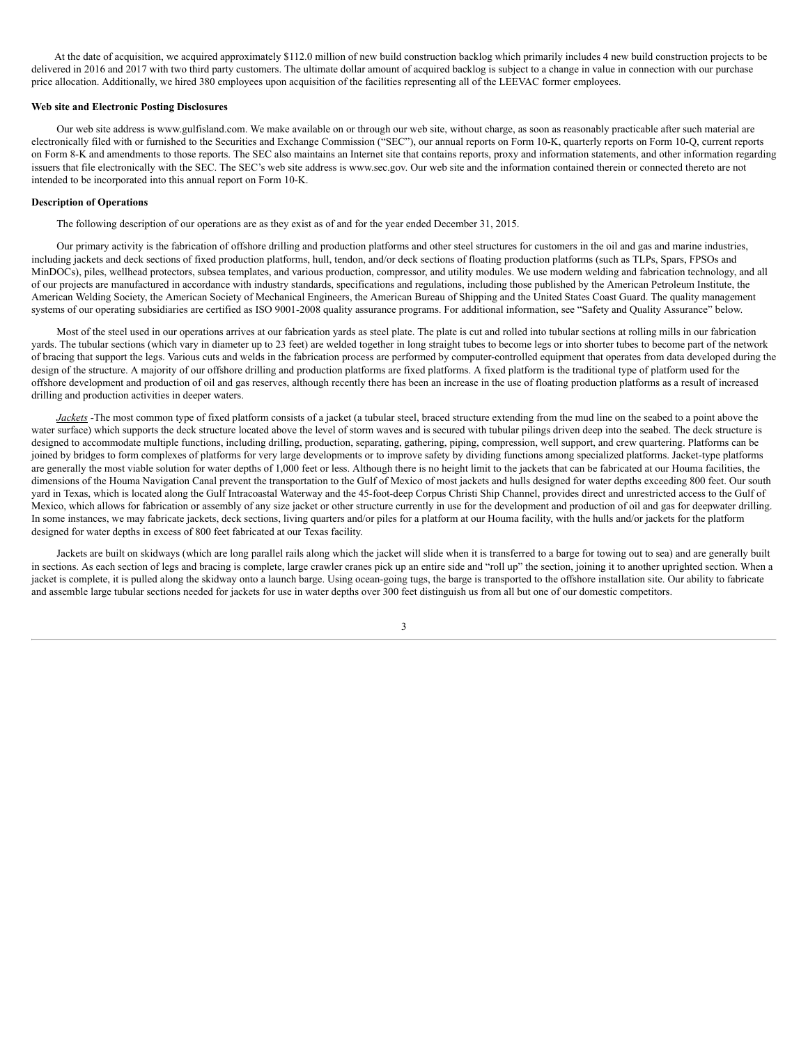At the date of acquisition, we acquired approximately \$112.0 million of new build construction backlog which primarily includes 4 new build construction projects to be delivered in 2016 and 2017 with two third party customers. The ultimate dollar amount of acquired backlog is subject to a change in value in connection with our purchase price allocation. Additionally, we hired 380 employees upon acquisition of the facilities representing all of the LEEVAC former employees.

#### **Web site and Electronic Posting Disclosures**

Our web site address is www.gulfisland.com. We make available on or through our web site, without charge, as soon as reasonably practicable after such material are electronically filed with or furnished to the Securities and Exchange Commission ("SEC"), our annual reports on Form 10-K, quarterly reports on Form 10-Q, current reports on Form 8-K and amendments to those reports. The SEC also maintains an Internet site that contains reports, proxy and information statements, and other information regarding issuers that file electronically with the SEC. The SEC's web site address is www.sec.gov. Our web site and the information contained therein or connected thereto are not intended to be incorporated into this annual report on Form 10-K.

#### **Description of Operations**

The following description of our operations are as they exist as of and for the year ended December 31, 2015.

Our primary activity is the fabrication of offshore drilling and production platforms and other steel structures for customers in the oil and gas and marine industries, including jackets and deck sections of fixed production platforms, hull, tendon, and/or deck sections of floating production platforms (such as TLPs, Spars, FPSOs and MinDOCs), piles, wellhead protectors, subsea templates, and various production, compressor, and utility modules. We use modern welding and fabrication technology, and all of our projects are manufactured in accordance with industry standards, specifications and regulations, including those published by the American Petroleum Institute, the American Welding Society, the American Society of Mechanical Engineers, the American Bureau of Shipping and the United States Coast Guard. The quality management systems of our operating subsidiaries are certified as ISO 9001-2008 quality assurance programs. For additional information, see "Safety and Quality Assurance" below.

Most of the steel used in our operations arrives at our fabrication yards as steel plate. The plate is cut and rolled into tubular sections at rolling mills in our fabrication yards. The tubular sections (which vary in diameter up to 23 feet) are welded together in long straight tubes to become legs or into shorter tubes to become part of the network of bracing that support the legs. Various cuts and welds in the fabrication process are performed by computer-controlled equipment that operates from data developed during the design of the structure. A majority of our offshore drilling and production platforms are fixed platforms. A fixed platform is the traditional type of platform used for the offshore development and production of oil and gas reserves, although recently there has been an increase in the use of floating production platforms as a result of increased drilling and production activities in deeper waters.

*Jackets* -The most common type of fixed platform consists of a jacket (a tubular steel, braced structure extending from the mud line on the seabed to a point above the water surface) which supports the deck structure located above the level of storm waves and is secured with tubular pilings driven deep into the seabed. The deck structure is designed to accommodate multiple functions, including drilling, production, separating, gathering, piping, compression, well support, and crew quartering. Platforms can be joined by bridges to form complexes of platforms for very large developments or to improve safety by dividing functions among specialized platforms. Jacket-type platforms are generally the most viable solution for water depths of 1,000 feet or less. Although there is no height limit to the jackets that can be fabricated at our Houma facilities, the dimensions of the Houma Navigation Canal prevent the transportation to the Gulf of Mexico of most jackets and hulls designed for water depths exceeding 800 feet. Our south yard in Texas, which is located along the Gulf Intracoastal Waterway and the 45-foot-deep Corpus Christi Ship Channel, provides direct and unrestricted access to the Gulf of Mexico, which allows for fabrication or assembly of any size jacket or other structure currently in use for the development and production of oil and gas for deepwater drilling. In some instances, we may fabricate jackets, deck sections, living quarters and/or piles for a platform at our Houma facility, with the hulls and/or jackets for the platform designed for water depths in excess of 800 feet fabricated at our Texas facility.

Jackets are built on skidways (which are long parallel rails along which the jacket will slide when it is transferred to a barge for towing out to sea) and are generally built in sections. As each section of legs and bracing is complete, large crawler cranes pick up an entire side and "roll up" the section, joining it to another uprighted section. When a jacket is complete, it is pulled along the skidway onto a launch barge. Using ocean-going tugs, the barge is transported to the offshore installation site. Our ability to fabricate and assemble large tubular sections needed for jackets for use in water depths over 300 feet distinguish us from all but one of our domestic competitors.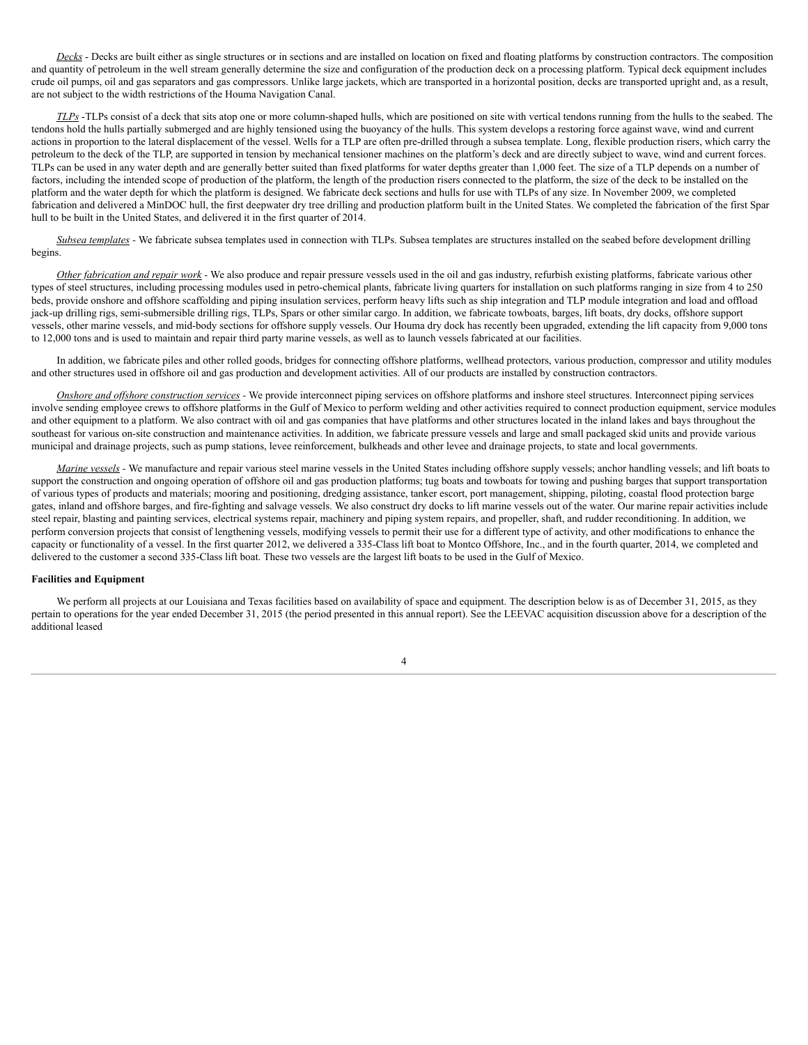*Decks* - Decks are built either as single structures or in sections and are installed on location on fixed and floating platforms by construction contractors. The composition and quantity of petroleum in the well stream generally determine the size and configuration of the production deck on a processing platform. Typical deck equipment includes crude oil pumps, oil and gas separators and gas compressors. Unlike large jackets, which are transported in a horizontal position, decks are transported upright and, as a result, are not subject to the width restrictions of the Houma Navigation Canal.

*TLPs* -TLPs consist of a deck that sits atop one or more column-shaped hulls, which are positioned on site with vertical tendons running from the hulls to the seabed. The tendons hold the hulls partially submerged and are highly tensioned using the buoyancy of the hulls. This system develops a restoring force against wave, wind and current actions in proportion to the lateral displacement of the vessel. Wells for a TLP are often pre-drilled through a subsea template. Long, flexible production risers, which carry the petroleum to the deck of the TLP, are supported in tension by mechanical tensioner machines on the platform's deck and are directly subject to wave, wind and current forces. TLPs can be used in any water depth and are generally better suited than fixed platforms for water depths greater than 1,000 feet. The size of a TLP depends on a number of factors, including the intended scope of production of the platform, the length of the production risers connected to the platform, the size of the deck to be installed on the platform and the water depth for which the platform is designed. We fabricate deck sections and hulls for use with TLPs of any size. In November 2009, we completed fabrication and delivered a MinDOC hull, the first deepwater dry tree drilling and production platform built in the United States. We completed the fabrication of the first Spar hull to be built in the United States, and delivered it in the first quarter of 2014.

*Subsea templates -* We fabricate subsea templates used in connection with TLPs. Subsea templates are structures installed on the seabed before development drilling begins.

*Other fabrication and repair work -* We also produce and repair pressure vessels used in the oil and gas industry, refurbish existing platforms, fabricate various other types of steel structures, including processing modules used in petro-chemical plants, fabricate living quarters for installation on such platforms ranging in size from 4 to 250 beds, provide onshore and offshore scaffolding and piping insulation services, perform heavy lifts such as ship integration and TLP module integration and load and offload jack-up drilling rigs, semi-submersible drilling rigs, TLPs, Spars or other similar cargo. In addition, we fabricate towboats, barges, lift boats, dry docks, offshore support vessels, other marine vessels, and mid-body sections for offshore supply vessels. Our Houma dry dock has recently been upgraded, extending the lift capacity from 9,000 tons to 12,000 tons and is used to maintain and repair third party marine vessels, as well as to launch vessels fabricated at our facilities.

In addition, we fabricate piles and other rolled goods, bridges for connecting offshore platforms, wellhead protectors, various production, compressor and utility modules and other structures used in offshore oil and gas production and development activities. All of our products are installed by construction contractors.

*Onshore and of shore construction services -* We provide interconnect piping services on offshore platforms and inshore steel structures. Interconnect piping services involve sending employee crews to offshore platforms in the Gulf of Mexico to perform welding and other activities required to connect production equipment, service modules and other equipment to a platform. We also contract with oil and gas companies that have platforms and other structures located in the inland lakes and bays throughout the southeast for various on-site construction and maintenance activities. In addition, we fabricate pressure vessels and large and small packaged skid units and provide various municipal and drainage projects, such as pump stations, levee reinforcement, bulkheads and other levee and drainage projects, to state and local governments.

*Marine vessels -* We manufacture and repair various steel marine vessels in the United States including offshore supply vessels; anchor handling vessels; and lift boats to support the construction and ongoing operation of offshore oil and gas production platforms; tug boats and towboats for towing and pushing barges that support transportation of various types of products and materials; mooring and positioning, dredging assistance, tanker escort, port management, shipping, piloting, coastal flood protection barge gates, inland and offshore barges, and fire-fighting and salvage vessels. We also construct dry docks to lift marine vessels out of the water. Our marine repair activities include steel repair, blasting and painting services, electrical systems repair, machinery and piping system repairs, and propeller, shaft, and rudder reconditioning. In addition, we perform conversion projects that consist of lengthening vessels, modifying vessels to permit their use for a different type of activity, and other modifications to enhance the capacity or functionality of a vessel. In the first quarter 2012, we delivered a 335-Class lift boat to Montco Offshore, Inc., and in the fourth quarter, 2014, we completed and delivered to the customer a second 335-Class lift boat. These two vessels are the largest lift boats to be used in the Gulf of Mexico.

#### **Facilities and Equipment**

We perform all projects at our Louisiana and Texas facilities based on availability of space and equipment. The description below is as of December 31, 2015, as they pertain to operations for the year ended December 31, 2015 (the period presented in this annual report). See the LEEVAC acquisition discussion above for a description of the additional leased

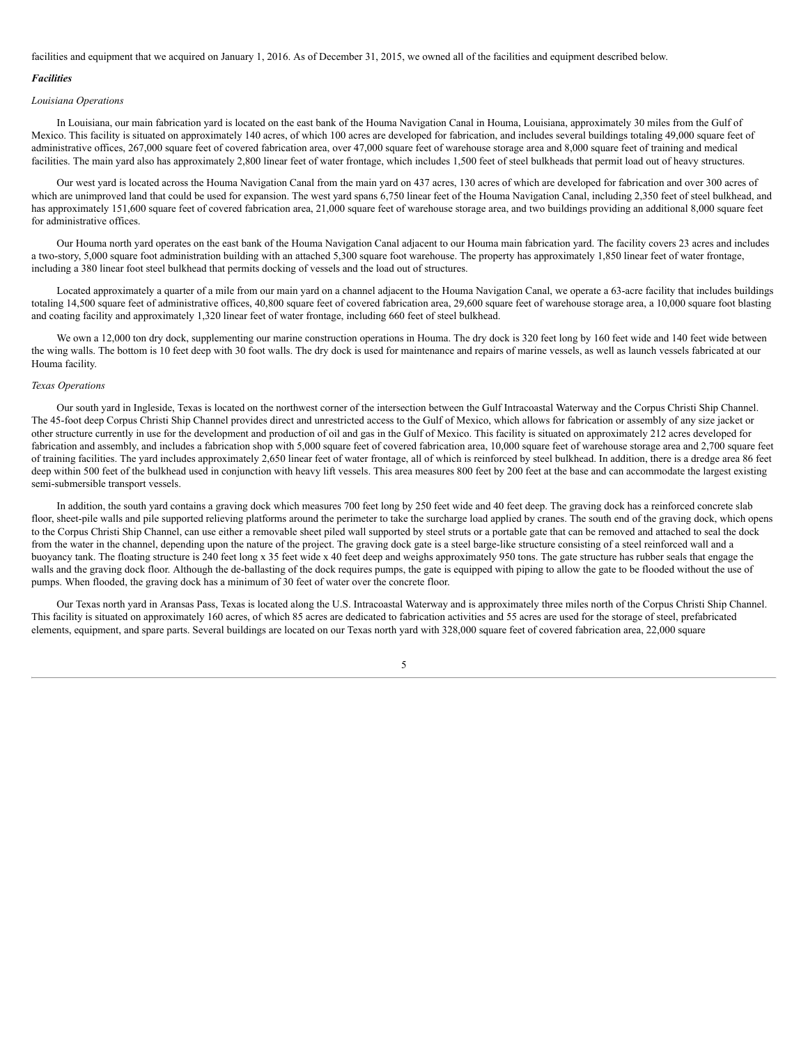facilities and equipment that we acquired on January 1, 2016. As of December 31, 2015, we owned all of the facilities and equipment described below.

#### *Facilities*

#### *Louisiana Operations*

In Louisiana, our main fabrication yard is located on the east bank of the Houma Navigation Canal in Houma, Louisiana, approximately 30 miles from the Gulf of Mexico. This facility is situated on approximately 140 acres, of which 100 acres are developed for fabrication, and includes several buildings totaling 49,000 square feet of administrative offices, 267,000 square feet of covered fabrication area, over 47,000 square feet of warehouse storage area and 8,000 square feet of training and medical facilities. The main yard also has approximately 2,800 linear feet of water frontage, which includes 1,500 feet of steel bulkheads that permit load out of heavy structures.

Our west yard is located across the Houma Navigation Canal from the main yard on 437 acres, 130 acres of which are developed for fabrication and over 300 acres of which are unimproved land that could be used for expansion. The west yard spans 6,750 linear feet of the Houma Navigation Canal, including 2,350 feet of steel bulkhead, and has approximately 151,600 square feet of covered fabrication area, 21,000 square feet of warehouse storage area, and two buildings providing an additional 8,000 square feet for administrative offices.

Our Houma north yard operates on the east bank of the Houma Navigation Canal adjacent to our Houma main fabrication yard. The facility covers 23 acres and includes a two-story, 5,000 square foot administration building with an attached 5,300 square foot warehouse. The property has approximately 1,850 linear feet of water frontage, including a 380 linear foot steel bulkhead that permits docking of vessels and the load out of structures.

Located approximately a quarter of a mile from our main yard on a channel adjacent to the Houma Navigation Canal, we operate a 63-acre facility that includes buildings totaling 14,500 square feet of administrative offices, 40,800 square feet of covered fabrication area, 29,600 square feet of warehouse storage area, a 10,000 square foot blasting and coating facility and approximately 1,320 linear feet of water frontage, including 660 feet of steel bulkhead.

We own a 12,000 ton dry dock, supplementing our marine construction operations in Houma. The dry dock is 320 feet long by 160 feet wide and 140 feet wide between the wing walls. The bottom is 10 feet deep with 30 foot walls. The dry dock is used for maintenance and repairs of marine vessels, as well as launch vessels fabricated at our Houma facility.

#### *Texas Operations*

Our south yard in Ingleside, Texas is located on the northwest corner of the intersection between the Gulf Intracoastal Waterway and the Corpus Christi Ship Channel. The 45-foot deep Corpus Christi Ship Channel provides direct and unrestricted access to the Gulf of Mexico, which allows for fabrication or assembly of any size jacket or other structure currently in use for the development and production of oil and gas in the Gulf of Mexico. This facility is situated on approximately 212 acres developed for fabrication and assembly, and includes a fabrication shop with 5,000 square feet of covered fabrication area, 10,000 square feet of warehouse storage area and 2,700 square feet of training facilities. The yard includes approximately 2,650 linear feet of water frontage, all of which is reinforced by steel bulkhead. In addition, there is a dredge area 86 feet deep within 500 feet of the bulkhead used in conjunction with heavy lift vessels. This area measures 800 feet by 200 feet at the base and can accommodate the largest existing semi-submersible transport vessels.

In addition, the south yard contains a graving dock which measures 700 feet long by 250 feet wide and 40 feet deep. The graving dock has a reinforced concrete slab floor, sheet-pile walls and pile supported relieving platforms around the perimeter to take the surcharge load applied by cranes. The south end of the graving dock, which opens to the Corpus Christi Ship Channel, can use either a removable sheet piled wall supported by steel struts or a portable gate that can be removed and attached to seal the dock from the water in the channel, depending upon the nature of the project. The graving dock gate is a steel barge-like structure consisting of a steel reinforced wall and a buoyancy tank. The floating structure is 240 feet long x 35 feet wide x 40 feet deep and weighs approximately 950 tons. The gate structure has rubber seals that engage the walls and the graving dock floor. Although the de-ballasting of the dock requires pumps, the gate is equipped with piping to allow the gate to be flooded without the use of pumps. When flooded, the graving dock has a minimum of 30 feet of water over the concrete floor.

Our Texas north yard in Aransas Pass, Texas is located along the U.S. Intracoastal Waterway and is approximately three miles north of the Corpus Christi Ship Channel. This facility is situated on approximately 160 acres, of which 85 acres are dedicated to fabrication activities and 55 acres are used for the storage of steel, prefabricated elements, equipment, and spare parts. Several buildings are located on our Texas north yard with 328,000 square feet of covered fabrication area, 22,000 square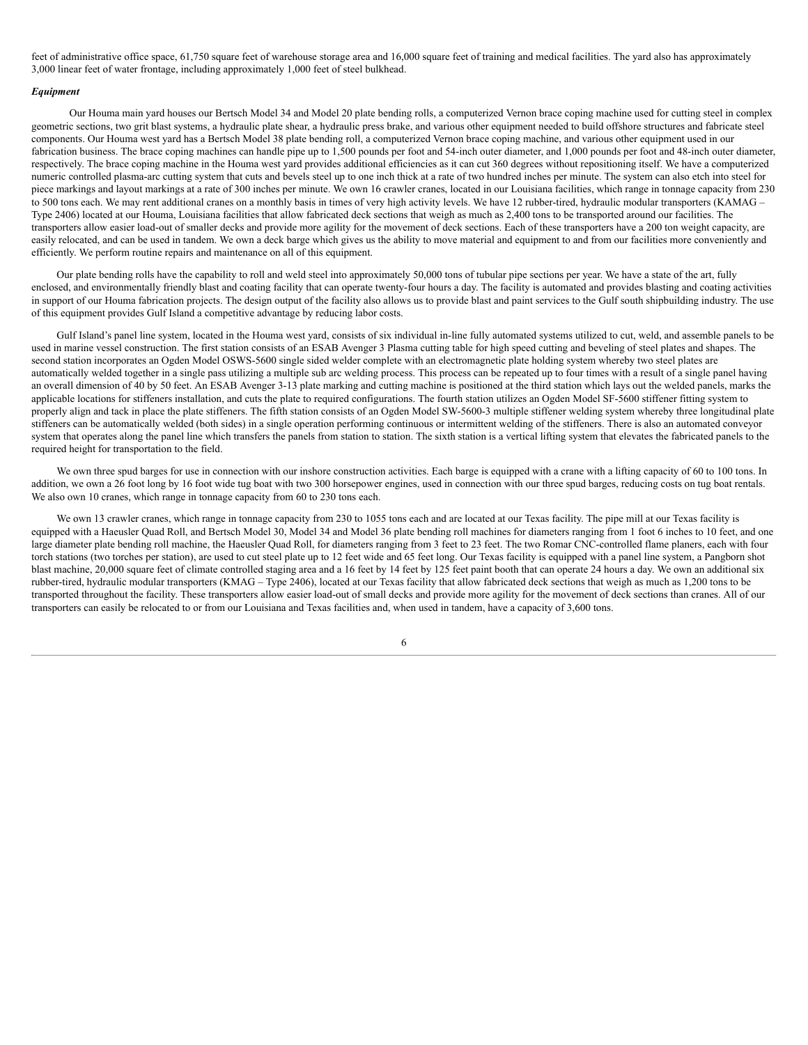feet of administrative office space, 61,750 square feet of warehouse storage area and 16,000 square feet of training and medical facilities. The yard also has approximately 3,000 linear feet of water frontage, including approximately 1,000 feet of steel bulkhead.

#### *Equipment*

Our Houma main yard houses our Bertsch Model 34 and Model 20 plate bending rolls, a computerized Vernon brace coping machine used for cutting steel in complex geometric sections, two grit blast systems, a hydraulic plate shear, a hydraulic press brake, and various other equipment needed to build offshore structures and fabricate steel components. Our Houma west yard has a Bertsch Model 38 plate bending roll, a computerized Vernon brace coping machine, and various other equipment used in our fabrication business. The brace coping machines can handle pipe up to 1,500 pounds per foot and 54-inch outer diameter, and 1,000 pounds per foot and 48-inch outer diameter, respectively. The brace coping machine in the Houma west yard provides additional efficiencies as it can cut 360 degrees without repositioning itself. We have a computerized numeric controlled plasma-arc cutting system that cuts and bevels steel up to one inch thick at a rate of two hundred inches per minute. The system can also etch into steel for piece markings and layout markings at a rate of 300 inches per minute. We own 16 crawler cranes, located in our Louisiana facilities, which range in tonnage capacity from 230 to 500 tons each. We may rent additional cranes on a monthly basis in times of very high activity levels. We have 12 rubber-tired, hydraulic modular transporters (KAMAG – Type 2406) located at our Houma, Louisiana facilities that allow fabricated deck sections that weigh as much as 2,400 tons to be transported around our facilities. The transporters allow easier load-out of smaller decks and provide more agility for the movement of deck sections. Each of these transporters have a 200 ton weight capacity, are easily relocated, and can be used in tandem. We own a deck barge which gives us the ability to move material and equipment to and from our facilities more conveniently and efficiently. We perform routine repairs and maintenance on all of this equipment.

Our plate bending rolls have the capability to roll and weld steel into approximately 50,000 tons of tubular pipe sections per year. We have a state of the art, fully enclosed, and environmentally friendly blast and coating facility that can operate twenty-four hours a day. The facility is automated and provides blasting and coating activities in support of our Houma fabrication projects. The design output of the facility also allows us to provide blast and paint services to the Gulf south shipbuilding industry. The use of this equipment provides Gulf Island a competitive advantage by reducing labor costs.

Gulf Island's panel line system, located in the Houma west yard, consists of six individual in-line fully automated systems utilized to cut, weld, and assemble panels to be used in marine vessel construction. The first station consists of an ESAB Avenger 3 Plasma cutting table for high speed cutting and beveling of steel plates and shapes. The second station incorporates an Ogden Model OSWS-5600 single sided welder complete with an electromagnetic plate holding system whereby two steel plates are automatically welded together in a single pass utilizing a multiple sub arc welding process. This process can be repeated up to four times with a result of a single panel having an overall dimension of 40 by 50 feet. An ESAB Avenger 3-13 plate marking and cutting machine is positioned at the third station which lays out the welded panels, marks the applicable locations for stiffeners installation, and cuts the plate to required configurations. The fourth station utilizes an Ogden Model SF-5600 stiffener fitting system to properly align and tack in place the plate stiffeners. The fifth station consists of an Ogden Model SW-5600-3 multiple stiffener welding system whereby three longitudinal plate stiffeners can be automatically welded (both sides) in a single operation performing continuous or intermittent welding of the stiffeners. There is also an automated conveyor system that operates along the panel line which transfers the panels from station to station. The sixth station is a vertical lifting system that elevates the fabricated panels to the required height for transportation to the field.

We own three spud barges for use in connection with our inshore construction activities. Each barge is equipped with a crane with a lifting capacity of 60 to 100 tons. In addition, we own a 26 foot long by 16 foot wide tug boat with two 300 horsepower engines, used in connection with our three spud barges, reducing costs on tug boat rentals. We also own 10 cranes, which range in tonnage capacity from 60 to 230 tons each.

We own 13 crawler cranes, which range in tonnage capacity from 230 to 1055 tons each and are located at our Texas facility. The pipe mill at our Texas facility is equipped with a Haeusler Quad Roll, and Bertsch Model 30, Model 34 and Model 36 plate bending roll machines for diameters ranging from 1 foot 6 inches to 10 feet, and one large diameter plate bending roll machine, the Haeusler Quad Roll, for diameters ranging from 3 feet to 23 feet. The two Romar CNC-controlled flame planers, each with four torch stations (two torches per station), are used to cut steel plate up to 12 feet wide and 65 feet long. Our Texas facility is equipped with a panel line system, a Pangborn shot blast machine, 20,000 square feet of climate controlled staging area and a 16 feet by 14 feet by 125 feet paint booth that can operate 24 hours a day. We own an additional six rubber-tired, hydraulic modular transporters (KMAG – Type 2406), located at our Texas facility that allow fabricated deck sections that weigh as much as 1,200 tons to be transported throughout the facility. These transporters allow easier load-out of small decks and provide more agility for the movement of deck sections than cranes. All of our transporters can easily be relocated to or from our Louisiana and Texas facilities and, when used in tandem, have a capacity of 3,600 tons.

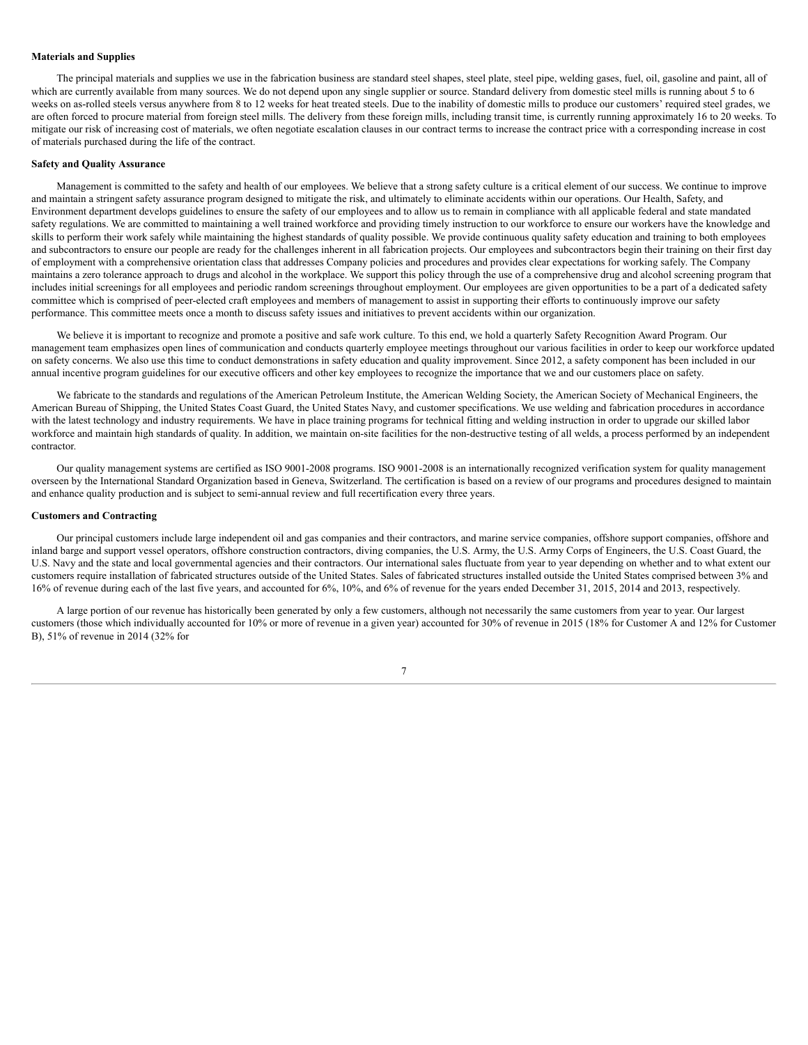#### **Materials and Supplies**

The principal materials and supplies we use in the fabrication business are standard steel shapes, steel plate, steel pipe, welding gases, fuel, oil, gasoline and paint, all of which are currently available from many sources. We do not depend upon any single supplier or source. Standard delivery from domestic steel mills is running about 5 to 6 weeks on as-rolled steels versus anywhere from 8 to 12 weeks for heat treated steels. Due to the inability of domestic mills to produce our customers' required steel grades, we are often forced to procure material from foreign steel mills. The delivery from these foreign mills, including transit time, is currently running approximately 16 to 20 weeks. To mitigate our risk of increasing cost of materials, we often negotiate escalation clauses in our contract terms to increase the contract price with a corresponding increase in cost of materials purchased during the life of the contract.

#### **Safety and Quality Assurance**

Management is committed to the safety and health of our employees. We believe that a strong safety culture is a critical element of our success. We continue to improve and maintain a stringent safety assurance program designed to mitigate the risk, and ultimately to eliminate accidents within our operations. Our Health, Safety, and Environment department develops guidelines to ensure the safety of our employees and to allow us to remain in compliance with all applicable federal and state mandated safety regulations. We are committed to maintaining a well trained workforce and providing timely instruction to our workforce to ensure our workers have the knowledge and skills to perform their work safely while maintaining the highest standards of quality possible. We provide continuous quality safety education and training to both employees and subcontractors to ensure our people are ready for the challenges inherent in all fabrication projects. Our employees and subcontractors begin their training on their first day of employment with a comprehensive orientation class that addresses Company policies and procedures and provides clear expectations for working safely. The Company maintains a zero tolerance approach to drugs and alcohol in the workplace. We support this policy through the use of a comprehensive drug and alcohol screening program that includes initial screenings for all employees and periodic random screenings throughout employment. Our employees are given opportunities to be a part of a dedicated safety committee which is comprised of peer-elected craft employees and members of management to assist in supporting their efforts to continuously improve our safety performance. This committee meets once a month to discuss safety issues and initiatives to prevent accidents within our organization.

We believe it is important to recognize and promote a positive and safe work culture. To this end, we hold a quarterly Safety Recognition Award Program. Our management team emphasizes open lines of communication and conducts quarterly employee meetings throughout our various facilities in order to keep our workforce updated on safety concerns. We also use this time to conduct demonstrations in safety education and quality improvement. Since 2012, a safety component has been included in our annual incentive program guidelines for our executive officers and other key employees to recognize the importance that we and our customers place on safety.

We fabricate to the standards and regulations of the American Petroleum Institute, the American Welding Society, the American Society of Mechanical Engineers, the American Bureau of Shipping, the United States Coast Guard, the United States Navy, and customer specifications. We use welding and fabrication procedures in accordance with the latest technology and industry requirements. We have in place training programs for technical fitting and welding instruction in order to upgrade our skilled labor workforce and maintain high standards of quality. In addition, we maintain on-site facilities for the non-destructive testing of all welds, a process performed by an independent contractor.

Our quality management systems are certified as ISO 9001-2008 programs. ISO 9001-2008 is an internationally recognized verification system for quality management overseen by the International Standard Organization based in Geneva, Switzerland. The certification is based on a review of our programs and procedures designed to maintain and enhance quality production and is subject to semi-annual review and full recertification every three years.

#### **Customers and Contracting**

Our principal customers include large independent oil and gas companies and their contractors, and marine service companies, offshore support companies, offshore and inland barge and support vessel operators, offshore construction contractors, diving companies, the U.S. Army, the U.S. Army Corps of Engineers, the U.S. Coast Guard, the U.S. Navy and the state and local governmental agencies and their contractors. Our international sales fluctuate from year to year depending on whether and to what extent our customers require installation of fabricated structures outside of the United States. Sales of fabricated structures installed outside the United States comprised between 3% and 16% of revenue during each of the last five years, and accounted for 6%, 10%, and 6% of revenue for the years ended December 31, 2015, 2014 and 2013, respectively.

A large portion of our revenue has historically been generated by only a few customers, although not necessarily the same customers from year to year. Our largest customers (those which individually accounted for 10% or more of revenue in a given year) accounted for 30% of revenue in 2015 (18% for Customer A and 12% for Customer B), 51% of revenue in 2014 (32% for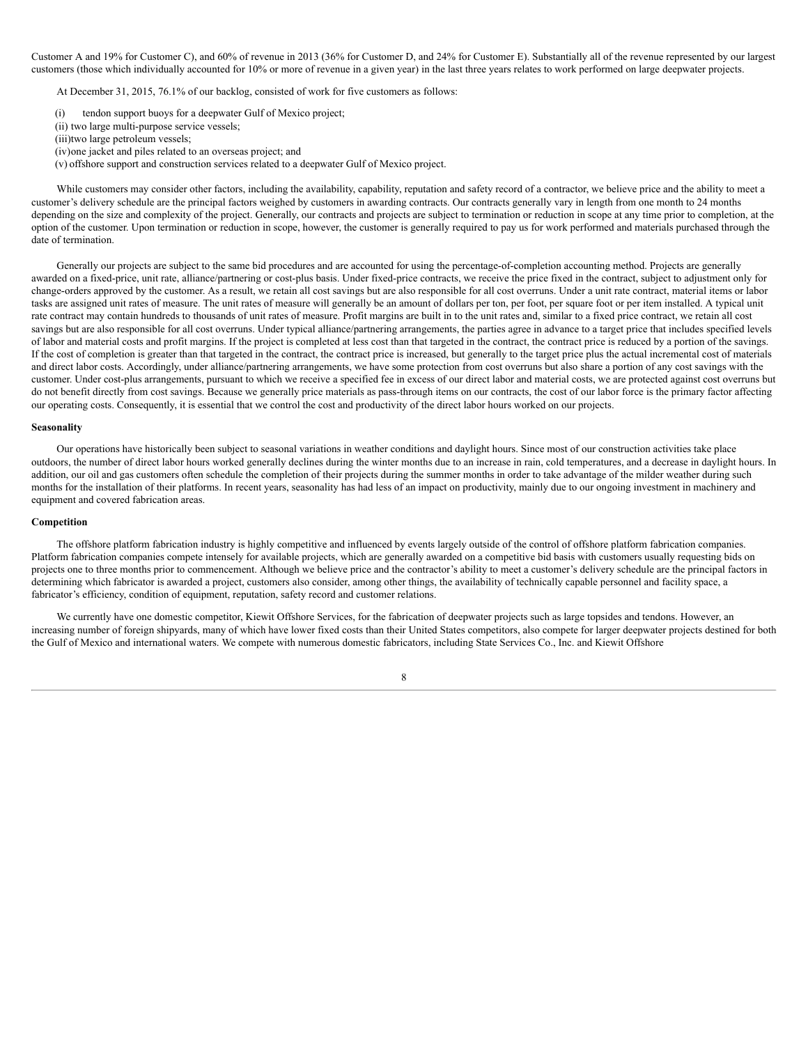Customer A and 19% for Customer C), and 60% of revenue in 2013 (36% for Customer D, and 24% for Customer E). Substantially all of the revenue represented by our largest customers (those which individually accounted for 10% or more of revenue in a given year) in the last three years relates to work performed on large deepwater projects.

At December 31, 2015, 76.1% of our backlog, consisted of work for five customers as follows:

- (i) tendon support buoys for a deepwater Gulf of Mexico project;
- (ii) two large multi-purpose service vessels;

(iii)two large petroleum vessels;

- (iv)one jacket and piles related to an overseas project; and
- (v) offshore support and construction services related to a deepwater Gulf of Mexico project.

While customers may consider other factors, including the availability, capability, reputation and safety record of a contractor, we believe price and the ability to meet a customer's delivery schedule are the principal factors weighed by customers in awarding contracts. Our contracts generally vary in length from one month to 24 months depending on the size and complexity of the project. Generally, our contracts and projects are subject to termination or reduction in scope at any time prior to completion, at the option of the customer. Upon termination or reduction in scope, however, the customer is generally required to pay us for work performed and materials purchased through the date of termination.

Generally our projects are subject to the same bid procedures and are accounted for using the percentage-of-completion accounting method. Projects are generally awarded on a fixed-price, unit rate, alliance/partnering or cost-plus basis. Under fixed-price contracts, we receive the price fixed in the contract, subject to adjustment only for change-orders approved by the customer. As a result, we retain all cost savings but are also responsible for all cost overruns. Under a unit rate contract, material items or labor tasks are assigned unit rates of measure. The unit rates of measure will generally be an amount of dollars per ton, per foot, per square foot or per item installed. A typical unit rate contract may contain hundreds to thousands of unit rates of measure. Profit margins are built in to the unit rates and, similar to a fixed price contract, we retain all cost savings but are also responsible for all cost overruns. Under typical alliance/partnering arrangements, the parties agree in advance to a target price that includes specified levels of labor and material costs and profit margins. If the project is completed at less cost than that targeted in the contract, the contract price is reduced by a portion of the savings. If the cost of completion is greater than that targeted in the contract, the contract price is increased, but generally to the target price plus the actual incremental cost of materials and direct labor costs. Accordingly, under alliance/partnering arrangements, we have some protection from cost overruns but also share a portion of any cost savings with the customer. Under cost-plus arrangements, pursuant to which we receive a specified fee in excess of our direct labor and material costs, we are protected against cost overruns but do not benefit directly from cost savings. Because we generally price materials as pass-through items on our contracts, the cost of our labor force is the primary factor affecting our operating costs. Consequently, it is essential that we control the cost and productivity of the direct labor hours worked on our projects.

#### **Seasonality**

Our operations have historically been subject to seasonal variations in weather conditions and daylight hours. Since most of our construction activities take place outdoors, the number of direct labor hours worked generally declines during the winter months due to an increase in rain, cold temperatures, and a decrease in daylight hours. In addition, our oil and gas customers often schedule the completion of their projects during the summer months in order to take advantage of the milder weather during such months for the installation of their platforms. In recent years, seasonality has had less of an impact on productivity, mainly due to our ongoing investment in machinery and equipment and covered fabrication areas.

#### **Competition**

The offshore platform fabrication industry is highly competitive and influenced by events largely outside of the control of offshore platform fabrication companies. Platform fabrication companies compete intensely for available projects, which are generally awarded on a competitive bid basis with customers usually requesting bids on projects one to three months prior to commencement. Although we believe price and the contractor's ability to meet a customer's delivery schedule are the principal factors in determining which fabricator is awarded a project, customers also consider, among other things, the availability of technically capable personnel and facility space, a fabricator's efficiency, condition of equipment, reputation, safety record and customer relations.

We currently have one domestic competitor, Kiewit Offshore Services, for the fabrication of deepwater projects such as large topsides and tendons. However, an increasing number of foreign shipyards, many of which have lower fixed costs than their United States competitors, also compete for larger deepwater projects destined for both the Gulf of Mexico and international waters. We compete with numerous domestic fabricators, including State Services Co., Inc. and Kiewit Offshore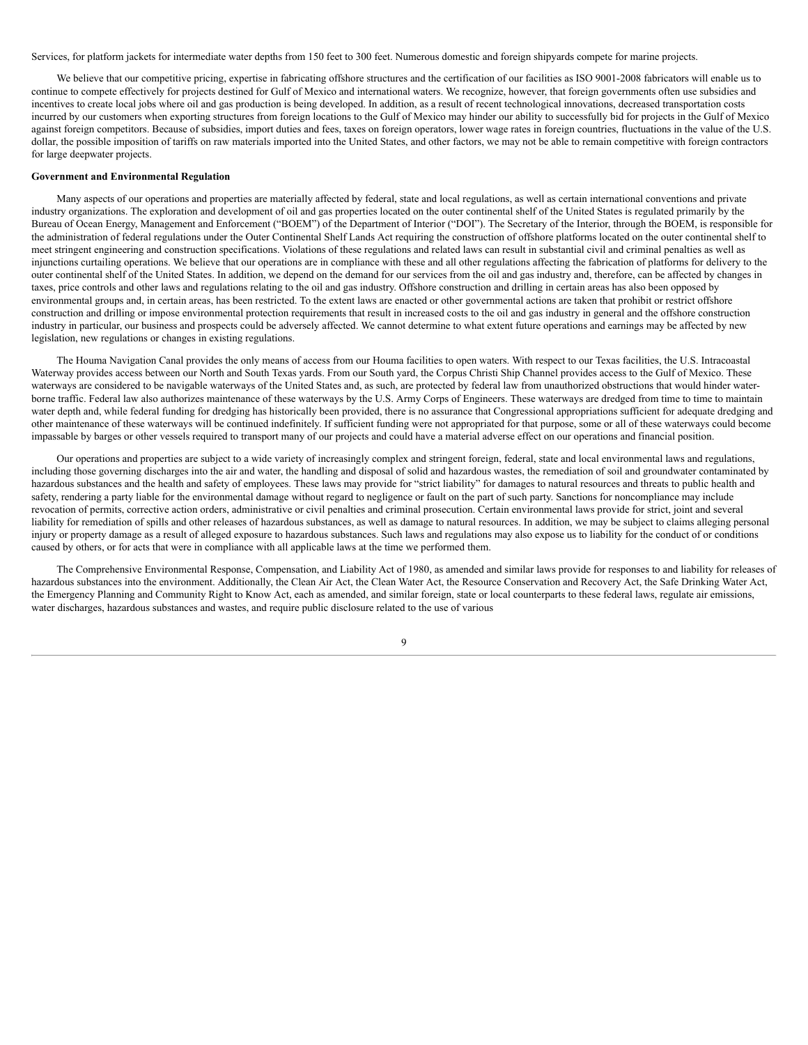Services, for platform jackets for intermediate water depths from 150 feet to 300 feet. Numerous domestic and foreign shipyards compete for marine projects.

We believe that our competitive pricing, expertise in fabricating offshore structures and the certification of our facilities as ISO 9001-2008 fabricators will enable us to continue to compete effectively for projects destined for Gulf of Mexico and international waters. We recognize, however, that foreign governments often use subsidies and incentives to create local jobs where oil and gas production is being developed. In addition, as a result of recent technological innovations, decreased transportation costs incurred by our customers when exporting structures from foreign locations to the Gulf of Mexico may hinder our ability to successfully bid for projects in the Gulf of Mexico against foreign competitors. Because of subsidies, import duties and fees, taxes on foreign operators, lower wage rates in foreign countries, fluctuations in the value of the U.S. dollar, the possible imposition of tariffs on raw materials imported into the United States, and other factors, we may not be able to remain competitive with foreign contractors for large deepwater projects.

#### **Government and Environmental Regulation**

Many aspects of our operations and properties are materially affected by federal, state and local regulations, as well as certain international conventions and private industry organizations. The exploration and development of oil and gas properties located on the outer continental shelf of the United States is regulated primarily by the Bureau of Ocean Energy, Management and Enforcement ("BOEM") of the Department of Interior ("DOI"). The Secretary of the Interior, through the BOEM, is responsible for the administration of federal regulations under the Outer Continental Shelf Lands Act requiring the construction of offshore platforms located on the outer continental shelf to meet stringent engineering and construction specifications. Violations of these regulations and related laws can result in substantial civil and criminal penalties as well as injunctions curtailing operations. We believe that our operations are in compliance with these and all other regulations affecting the fabrication of platforms for delivery to the outer continental shelf of the United States. In addition, we depend on the demand for our services from the oil and gas industry and, therefore, can be affected by changes in taxes, price controls and other laws and regulations relating to the oil and gas industry. Offshore construction and drilling in certain areas has also been opposed by environmental groups and, in certain areas, has been restricted. To the extent laws are enacted or other governmental actions are taken that prohibit or restrict offshore construction and drilling or impose environmental protection requirements that result in increased costs to the oil and gas industry in general and the offshore construction industry in particular, our business and prospects could be adversely affected. We cannot determine to what extent future operations and earnings may be affected by new legislation, new regulations or changes in existing regulations.

The Houma Navigation Canal provides the only means of access from our Houma facilities to open waters. With respect to our Texas facilities, the U.S. Intracoastal Waterway provides access between our North and South Texas yards. From our South yard, the Corpus Christi Ship Channel provides access to the Gulf of Mexico. These waterways are considered to be navigable waterways of the United States and, as such, are protected by federal law from unauthorized obstructions that would hinder waterborne traffic. Federal law also authorizes maintenance of these waterways by the U.S. Army Corps of Engineers. These waterways are dredged from time to time to maintain water depth and, while federal funding for dredging has historically been provided, there is no assurance that Congressional appropriations sufficient for adequate dredging and other maintenance of these waterways will be continued indefinitely. If sufficient funding were not appropriated for that purpose, some or all of these waterways could become impassable by barges or other vessels required to transport many of our projects and could have a material adverse effect on our operations and financial position.

Our operations and properties are subject to a wide variety of increasingly complex and stringent foreign, federal, state and local environmental laws and regulations, including those governing discharges into the air and water, the handling and disposal of solid and hazardous wastes, the remediation of soil and groundwater contaminated by hazardous substances and the health and safety of employees. These laws may provide for "strict liability" for damages to natural resources and threats to public health and safety, rendering a party liable for the environmental damage without regard to negligence or fault on the part of such party. Sanctions for noncompliance may include revocation of permits, corrective action orders, administrative or civil penalties and criminal prosecution. Certain environmental laws provide for strict, joint and several liability for remediation of spills and other releases of hazardous substances, as well as damage to natural resources. In addition, we may be subject to claims alleging personal injury or property damage as a result of alleged exposure to hazardous substances. Such laws and regulations may also expose us to liability for the conduct of or conditions caused by others, or for acts that were in compliance with all applicable laws at the time we performed them.

The Comprehensive Environmental Response, Compensation, and Liability Act of 1980, as amended and similar laws provide for responses to and liability for releases of hazardous substances into the environment. Additionally, the Clean Air Act, the Clean Water Act, the Resource Conservation and Recovery Act, the Safe Drinking Water Act, the Emergency Planning and Community Right to Know Act, each as amended, and similar foreign, state or local counterparts to these federal laws, regulate air emissions, water discharges, hazardous substances and wastes, and require public disclosure related to the use of various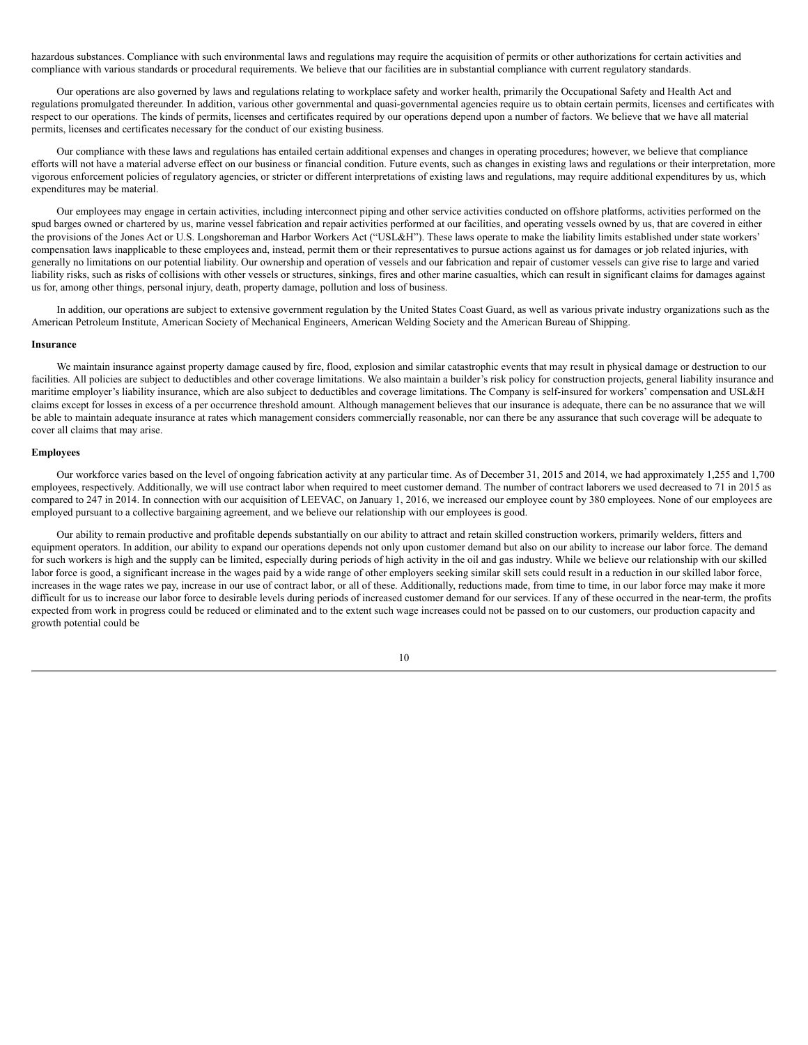hazardous substances. Compliance with such environmental laws and regulations may require the acquisition of permits or other authorizations for certain activities and compliance with various standards or procedural requirements. We believe that our facilities are in substantial compliance with current regulatory standards.

Our operations are also governed by laws and regulations relating to workplace safety and worker health, primarily the Occupational Safety and Health Act and regulations promulgated thereunder. In addition, various other governmental and quasi-governmental agencies require us to obtain certain permits, licenses and certificates with respect to our operations. The kinds of permits, licenses and certificates required by our operations depend upon a number of factors. We believe that we have all material permits, licenses and certificates necessary for the conduct of our existing business.

Our compliance with these laws and regulations has entailed certain additional expenses and changes in operating procedures; however, we believe that compliance efforts will not have a material adverse effect on our business or financial condition. Future events, such as changes in existing laws and regulations or their interpretation, more vigorous enforcement policies of regulatory agencies, or stricter or different interpretations of existing laws and regulations, may require additional expenditures by us, which expenditures may be material.

Our employees may engage in certain activities, including interconnect piping and other service activities conducted on offshore platforms, activities performed on the spud barges owned or chartered by us, marine vessel fabrication and repair activities performed at our facilities, and operating vessels owned by us, that are covered in either the provisions of the Jones Act or U.S. Longshoreman and Harbor Workers Act ("USL&H"). These laws operate to make the liability limits established under state workers' compensation laws inapplicable to these employees and, instead, permit them or their representatives to pursue actions against us for damages or job related injuries, with generally no limitations on our potential liability. Our ownership and operation of vessels and our fabrication and repair of customer vessels can give rise to large and varied liability risks, such as risks of collisions with other vessels or structures, sinkings, fires and other marine casualties, which can result in significant claims for damages against us for, among other things, personal injury, death, property damage, pollution and loss of business.

In addition, our operations are subject to extensive government regulation by the United States Coast Guard, as well as various private industry organizations such as the American Petroleum Institute, American Society of Mechanical Engineers, American Welding Society and the American Bureau of Shipping.

#### **Insurance**

We maintain insurance against property damage caused by fire, flood, explosion and similar catastrophic events that may result in physical damage or destruction to our facilities. All policies are subject to deductibles and other coverage limitations. We also maintain a builder's risk policy for construction projects, general liability insurance and maritime employer's liability insurance, which are also subject to deductibles and coverage limitations. The Company is self-insured for workers' compensation and USL&H claims except for losses in excess of a per occurrence threshold amount. Although management believes that our insurance is adequate, there can be no assurance that we will be able to maintain adequate insurance at rates which management considers commercially reasonable, nor can there be any assurance that such coverage will be adequate to cover all claims that may arise.

#### **Employees**

Our workforce varies based on the level of ongoing fabrication activity at any particular time. As of December 31, 2015 and 2014, we had approximately 1,255 and 1,700 employees, respectively. Additionally, we will use contract labor when required to meet customer demand. The number of contract laborers we used decreased to 71 in 2015 as compared to 247 in 2014. In connection with our acquisition of LEEVAC, on January 1, 2016, we increased our employee count by 380 employees. None of our employees are employed pursuant to a collective bargaining agreement, and we believe our relationship with our employees is good.

Our ability to remain productive and profitable depends substantially on our ability to attract and retain skilled construction workers, primarily welders, fitters and equipment operators. In addition, our ability to expand our operations depends not only upon customer demand but also on our ability to increase our labor force. The demand for such workers is high and the supply can be limited, especially during periods of high activity in the oil and gas industry. While we believe our relationship with our skilled labor force is good, a significant increase in the wages paid by a wide range of other employers seeking similar skill sets could result in a reduction in our skilled labor force, increases in the wage rates we pay, increase in our use of contract labor, or all of these. Additionally, reductions made, from time to time, in our labor force may make it more difficult for us to increase our labor force to desirable levels during periods of increased customer demand for our services. If any of these occurred in the near-term, the profits expected from work in progress could be reduced or eliminated and to the extent such wage increases could not be passed on to our customers, our production capacity and growth potential could be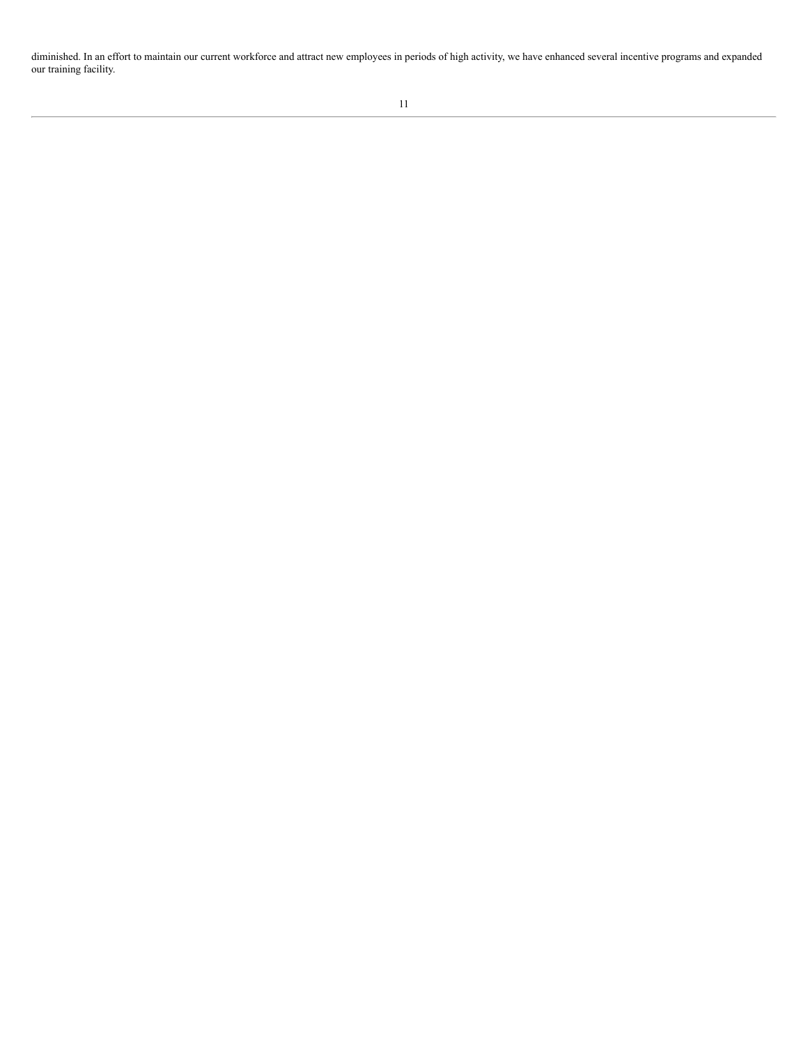diminished. In an effort to maintain our current workforce and attract new employees in periods of high activity, we have enhanced several incentive programs and expanded our training facility.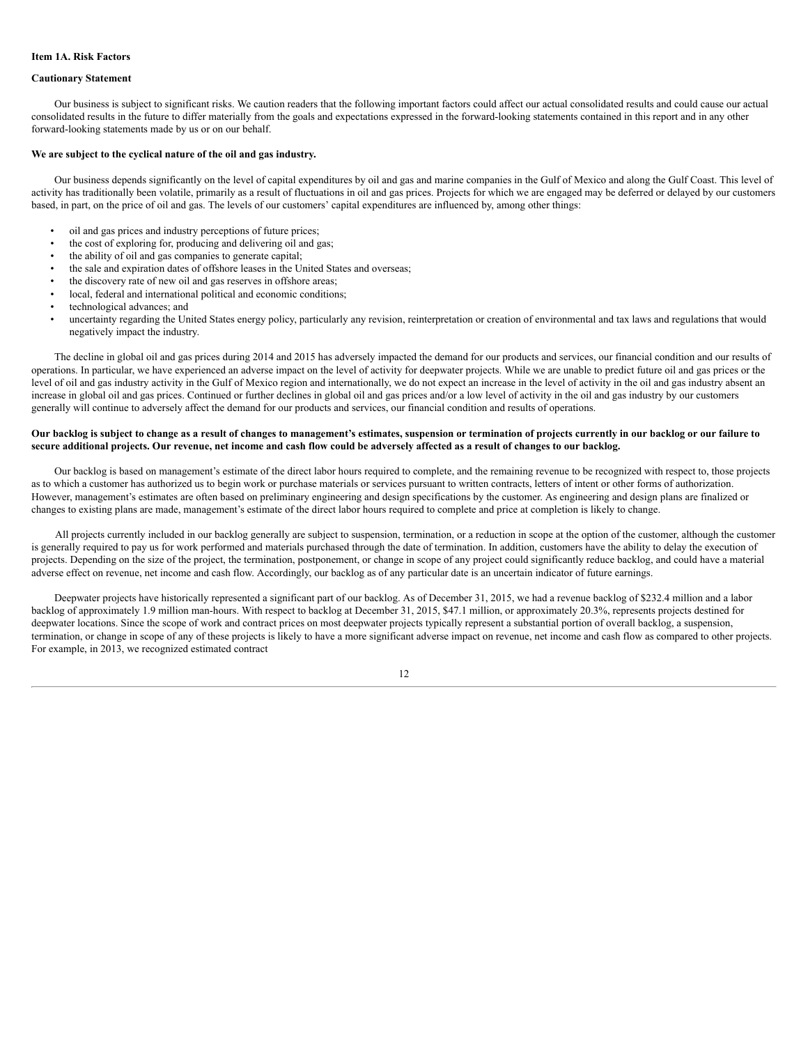#### **Item 1A. Risk Factors**

#### **Cautionary Statement**

Our business is subject to significant risks. We caution readers that the following important factors could affect our actual consolidated results and could cause our actual consolidated results in the future to differ materially from the goals and expectations expressed in the forward-looking statements contained in this report and in any other forward-looking statements made by us or on our behalf.

#### **We are subject to the cyclical nature of the oil and gas industry.**

Our business depends significantly on the level of capital expenditures by oil and gas and marine companies in the Gulf of Mexico and along the Gulf Coast. This level of activity has traditionally been volatile, primarily as a result of fluctuations in oil and gas prices. Projects for which we are engaged may be deferred or delayed by our customers based, in part, on the price of oil and gas. The levels of our customers' capital expenditures are influenced by, among other things:

- oil and gas prices and industry perceptions of future prices;
- the cost of exploring for, producing and delivering oil and gas;
- the ability of oil and gas companies to generate capital;
- the sale and expiration dates of offshore leases in the United States and overseas;
- the discovery rate of new oil and gas reserves in offshore areas;
- local, federal and international political and economic conditions;
- technological advances; and
- uncertainty regarding the United States energy policy, particularly any revision, reinterpretation or creation of environmental and tax laws and regulations that would negatively impact the industry.

The decline in global oil and gas prices during 2014 and 2015 has adversely impacted the demand for our products and services, our financial condition and our results of operations. In particular, we have experienced an adverse impact on the level of activity for deepwater projects. While we are unable to predict future oil and gas prices or the level of oil and gas industry activity in the Gulf of Mexico region and internationally, we do not expect an increase in the level of activity in the oil and gas industry absent an increase in global oil and gas prices. Continued or further declines in global oil and gas prices and/or a low level of activity in the oil and gas industry by our customers generally will continue to adversely affect the demand for our products and services, our financial condition and results of operations.

#### Our backlog is subject to change as a result of changes to management's estimates, suspension or termination of projects currently in our backlog or our failure to secure additional projects. Our revenue, net income and cash flow could be adversely affected as a result of changes to our backlog.

Our backlog is based on management's estimate of the direct labor hours required to complete, and the remaining revenue to be recognized with respect to, those projects as to which a customer has authorized us to begin work or purchase materials or services pursuant to written contracts, letters of intent or other forms of authorization. However, management's estimates are often based on preliminary engineering and design specifications by the customer. As engineering and design plans are finalized or changes to existing plans are made, management's estimate of the direct labor hours required to complete and price at completion is likely to change.

All projects currently included in our backlog generally are subject to suspension, termination, or a reduction in scope at the option of the customer, although the customer is generally required to pay us for work performed and materials purchased through the date of termination. In addition, customers have the ability to delay the execution of projects. Depending on the size of the project, the termination, postponement, or change in scope of any project could significantly reduce backlog, and could have a material adverse effect on revenue, net income and cash flow. Accordingly, our backlog as of any particular date is an uncertain indicator of future earnings.

Deepwater projects have historically represented a significant part of our backlog. As of December 31, 2015, we had a revenue backlog of \$232.4 million and a labor backlog of approximately 1.9 million man-hours. With respect to backlog at December 31, 2015, \$47.1 million, or approximately 20.3%, represents projects destined for deepwater locations. Since the scope of work and contract prices on most deepwater projects typically represent a substantial portion of overall backlog, a suspension, termination, or change in scope of any of these projects is likely to have a more significant adverse impact on revenue, net income and cash flow as compared to other projects. For example, in 2013, we recognized estimated contract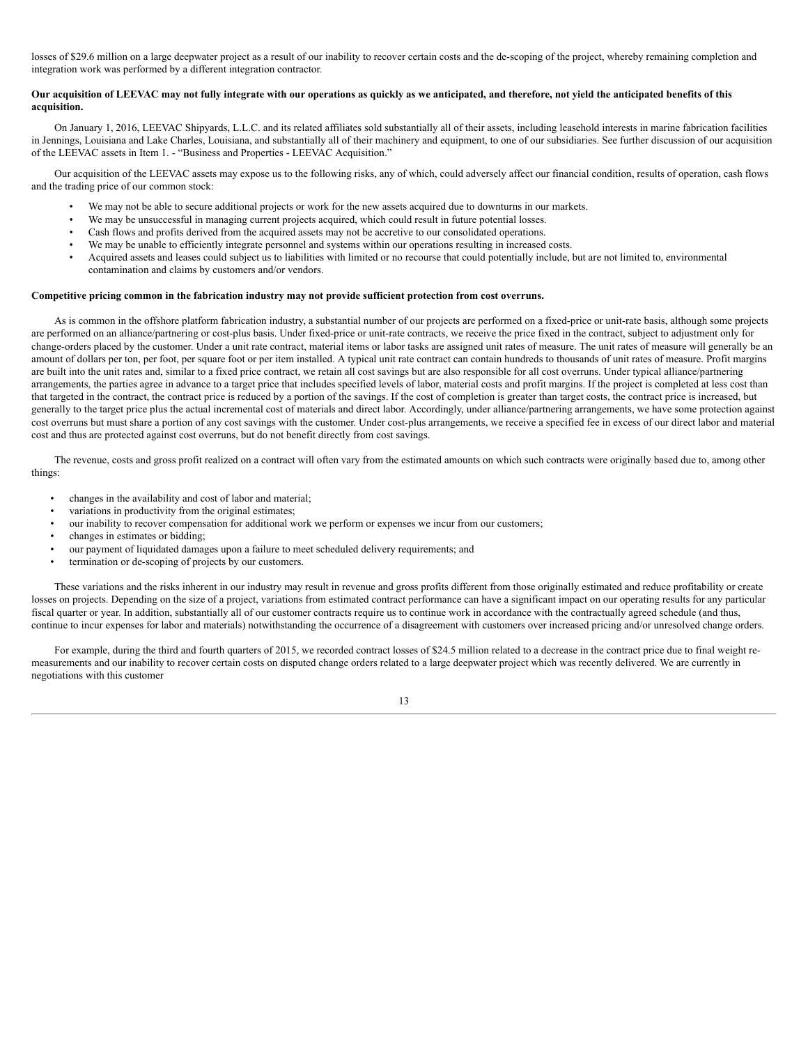losses of \$29.6 million on a large deepwater project as a result of our inability to recover certain costs and the de-scoping of the project, whereby remaining completion and integration work was performed by a different integration contractor.

### Our acquisition of LEEVAC may not fully integrate with our operations as quickly as we anticipated, and therefore, not yield the anticipated benefits of this **acquisition.**

On January 1, 2016, LEEVAC Shipyards, L.L.C. and its related affiliates sold substantially all of their assets, including leasehold interests in marine fabrication facilities in Jennings, Louisiana and Lake Charles, Louisiana, and substantially all of their machinery and equipment, to one of our subsidiaries. See further discussion of our acquisition of the LEEVAC assets in Item 1. - "Business and Properties - LEEVAC Acquisition."

Our acquisition of the LEEVAC assets may expose us to the following risks, any of which, could adversely affect our financial condition, results of operation, cash flows and the trading price of our common stock:

- We may not be able to secure additional projects or work for the new assets acquired due to downturns in our markets.
- We may be unsuccessful in managing current projects acquired, which could result in future potential losses.
- Cash flows and profits derived from the acquired assets may not be accretive to our consolidated operations.
- We may be unable to efficiently integrate personnel and systems within our operations resulting in increased costs.
- Acquired assets and leases could subject us to liabilities with limited or no recourse that could potentially include, but are not limited to, environmental contamination and claims by customers and/or vendors.

#### **Competitive pricing common in the fabrication industry may not provide sufficient protection from cost overruns.**

As is common in the offshore platform fabrication industry, a substantial number of our projects are performed on a fixed-price or unit-rate basis, although some projects are performed on an alliance/partnering or cost-plus basis. Under fixed-price or unit-rate contracts, we receive the price fixed in the contract, subject to adjustment only for change-orders placed by the customer. Under a unit rate contract, material items or labor tasks are assigned unit rates of measure. The unit rates of measure will generally be an amount of dollars per ton, per foot, per square foot or per item installed. A typical unit rate contract can contain hundreds to thousands of unit rates of measure. Profit margins are built into the unit rates and, similar to a fixed price contract, we retain all cost savings but are also responsible for all cost overruns. Under typical alliance/partnering arrangements, the parties agree in advance to a target price that includes specified levels of labor, material costs and profit margins. If the project is completed at less cost than that targeted in the contract, the contract price is reduced by a portion of the savings. If the cost of completion is greater than target costs, the contract price is increased, but generally to the target price plus the actual incremental cost of materials and direct labor. Accordingly, under alliance/partnering arrangements, we have some protection against cost overruns but must share a portion of any cost savings with the customer. Under cost-plus arrangements, we receive a specified fee in excess of our direct labor and material cost and thus are protected against cost overruns, but do not benefit directly from cost savings.

The revenue, costs and gross profit realized on a contract will often vary from the estimated amounts on which such contracts were originally based due to, among other things:

- changes in the availability and cost of labor and material;
- variations in productivity from the original estimates;
- our inability to recover compensation for additional work we perform or expenses we incur from our customers;
- changes in estimates or bidding;
- our payment of liquidated damages upon a failure to meet scheduled delivery requirements; and
- termination or de-scoping of projects by our customers.

These variations and the risks inherent in our industry may result in revenue and gross profits different from those originally estimated and reduce profitability or create losses on projects. Depending on the size of a project, variations from estimated contract performance can have a significant impact on our operating results for any particular fiscal quarter or year. In addition, substantially all of our customer contracts require us to continue work in accordance with the contractually agreed schedule (and thus, continue to incur expenses for labor and materials) notwithstanding the occurrence of a disagreement with customers over increased pricing and/or unresolved change orders.

For example, during the third and fourth quarters of 2015, we recorded contract losses of \$24.5 million related to a decrease in the contract price due to final weight remeasurements and our inability to recover certain costs on disputed change orders related to a large deepwater project which was recently delivered. We are currently in negotiations with this customer

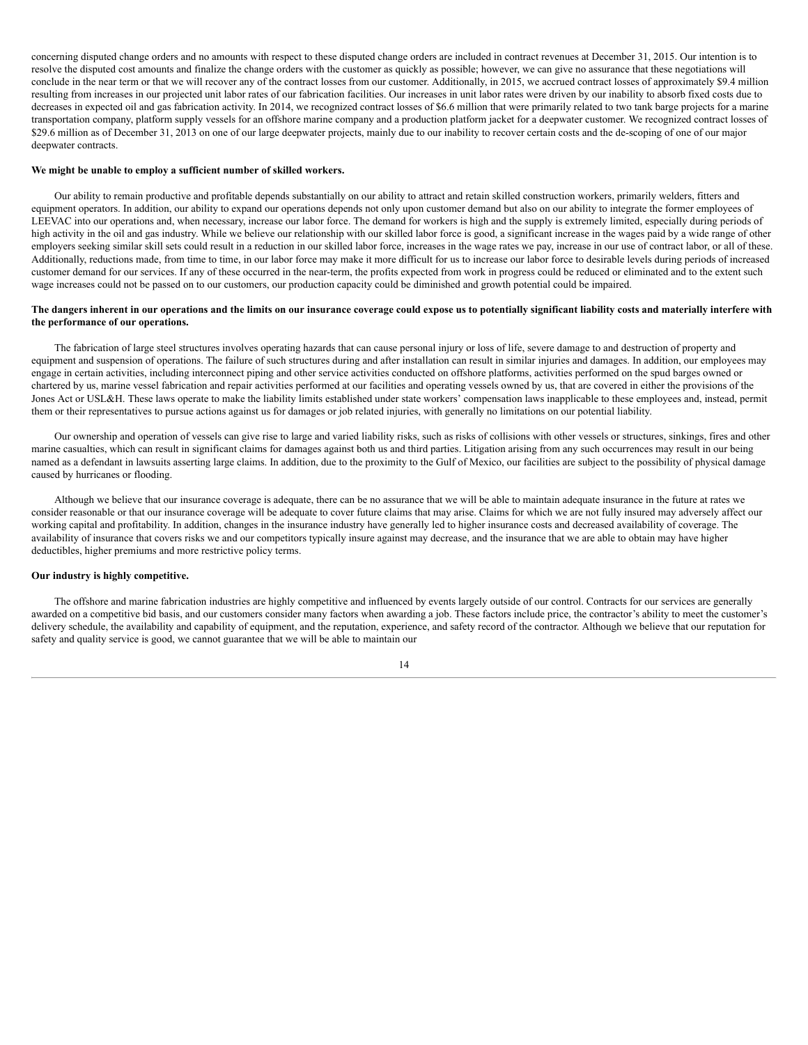concerning disputed change orders and no amounts with respect to these disputed change orders are included in contract revenues at December 31, 2015. Our intention is to resolve the disputed cost amounts and finalize the change orders with the customer as quickly as possible; however, we can give no assurance that these negotiations will conclude in the near term or that we will recover any of the contract losses from our customer. Additionally, in 2015, we accrued contract losses of approximately \$9.4 million resulting from increases in our projected unit labor rates of our fabrication facilities. Our increases in unit labor rates were driven by our inability to absorb fixed costs due to decreases in expected oil and gas fabrication activity. In 2014, we recognized contract losses of \$6.6 million that were primarily related to two tank barge projects for a marine transportation company, platform supply vessels for an offshore marine company and a production platform jacket for a deepwater customer. We recognized contract losses of \$29.6 million as of December 31, 2013 on one of our large deepwater projects, mainly due to our inability to recover certain costs and the de-scoping of one of our major deepwater contracts.

#### **We might be unable to employ a sufficient number of skilled workers.**

Our ability to remain productive and profitable depends substantially on our ability to attract and retain skilled construction workers, primarily welders, fitters and equipment operators. In addition, our ability to expand our operations depends not only upon customer demand but also on our ability to integrate the former employees of LEEVAC into our operations and, when necessary, increase our labor force. The demand for workers is high and the supply is extremely limited, especially during periods of high activity in the oil and gas industry. While we believe our relationship with our skilled labor force is good, a significant increase in the wages paid by a wide range of other employers seeking similar skill sets could result in a reduction in our skilled labor force, increases in the wage rates we pay, increase in our use of contract labor, or all of these. Additionally, reductions made, from time to time, in our labor force may make it more difficult for us to increase our labor force to desirable levels during periods of increased customer demand for our services. If any of these occurred in the near-term, the profits expected from work in progress could be reduced or eliminated and to the extent such wage increases could not be passed on to our customers, our production capacity could be diminished and growth potential could be impaired.

#### The dangers inherent in our operations and the limits on our insurance coverage could expose us to potentially significant liability costs and materially interfere with **the performance of our operations.**

The fabrication of large steel structures involves operating hazards that can cause personal injury or loss of life, severe damage to and destruction of property and equipment and suspension of operations. The failure of such structures during and after installation can result in similar injuries and damages. In addition, our employees may engage in certain activities, including interconnect piping and other service activities conducted on offshore platforms, activities performed on the spud barges owned or chartered by us, marine vessel fabrication and repair activities performed at our facilities and operating vessels owned by us, that are covered in either the provisions of the Jones Act or USL&H. These laws operate to make the liability limits established under state workers' compensation laws inapplicable to these employees and, instead, permit them or their representatives to pursue actions against us for damages or job related injuries, with generally no limitations on our potential liability.

Our ownership and operation of vessels can give rise to large and varied liability risks, such as risks of collisions with other vessels or structures, sinkings, fires and other marine casualties, which can result in significant claims for damages against both us and third parties. Litigation arising from any such occurrences may result in our being named as a defendant in lawsuits asserting large claims. In addition, due to the proximity to the Gulf of Mexico, our facilities are subject to the possibility of physical damage caused by hurricanes or flooding.

Although we believe that our insurance coverage is adequate, there can be no assurance that we will be able to maintain adequate insurance in the future at rates we consider reasonable or that our insurance coverage will be adequate to cover future claims that may arise. Claims for which we are not fully insured may adversely affect our working capital and profitability. In addition, changes in the insurance industry have generally led to higher insurance costs and decreased availability of coverage. The availability of insurance that covers risks we and our competitors typically insure against may decrease, and the insurance that we are able to obtain may have higher deductibles, higher premiums and more restrictive policy terms.

#### **Our industry is highly competitive.**

The offshore and marine fabrication industries are highly competitive and influenced by events largely outside of our control. Contracts for our services are generally awarded on a competitive bid basis, and our customers consider many factors when awarding a job. These factors include price, the contractor's ability to meet the customer's delivery schedule, the availability and capability of equipment, and the reputation, experience, and safety record of the contractor. Although we believe that our reputation for safety and quality service is good, we cannot guarantee that we will be able to maintain our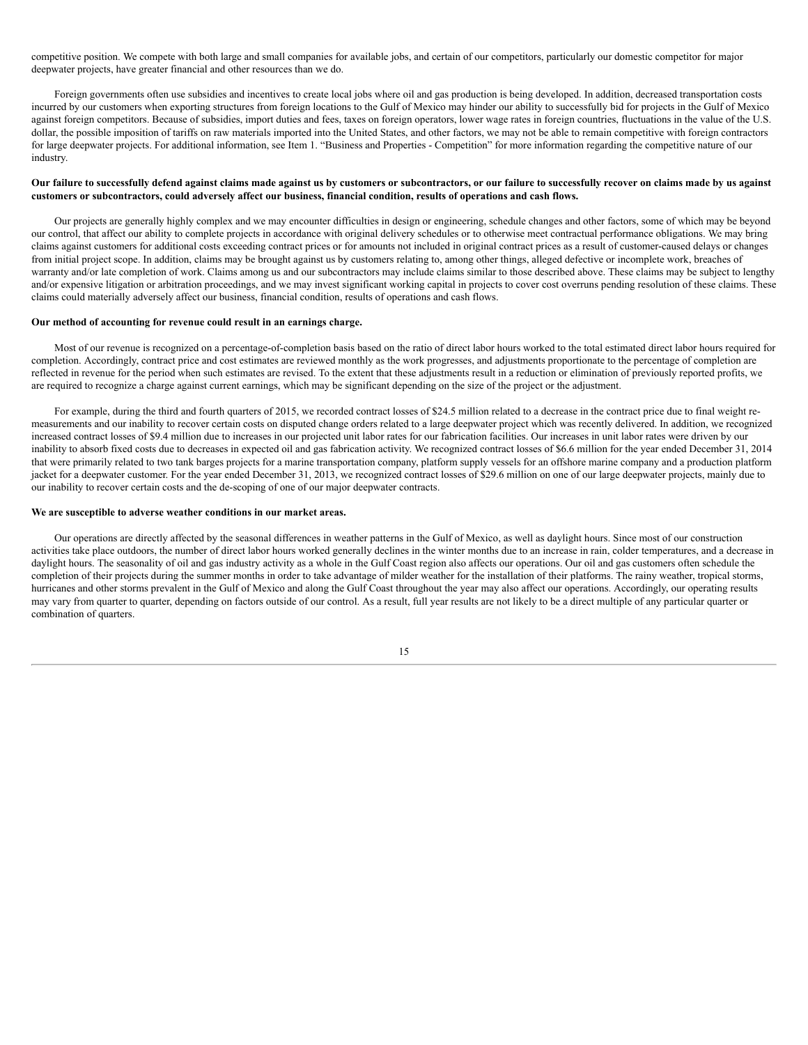competitive position. We compete with both large and small companies for available jobs, and certain of our competitors, particularly our domestic competitor for major deepwater projects, have greater financial and other resources than we do.

Foreign governments often use subsidies and incentives to create local jobs where oil and gas production is being developed. In addition, decreased transportation costs incurred by our customers when exporting structures from foreign locations to the Gulf of Mexico may hinder our ability to successfully bid for projects in the Gulf of Mexico against foreign competitors. Because of subsidies, import duties and fees, taxes on foreign operators, lower wage rates in foreign countries, fluctuations in the value of the U.S. dollar, the possible imposition of tariffs on raw materials imported into the United States, and other factors, we may not be able to remain competitive with foreign contractors for large deepwater projects. For additional information, see Item 1. "Business and Properties - Competition" for more information regarding the competitive nature of our industry.

#### Our failure to successfully defend against claims made against us by customers or subcontractors, or our failure to successfully recover on claims made by us against customers or subcontractors, could adversely affect our business, financial condition, results of operations and cash flows.

Our projects are generally highly complex and we may encounter difficulties in design or engineering, schedule changes and other factors, some of which may be beyond our control, that affect our ability to complete projects in accordance with original delivery schedules or to otherwise meet contractual performance obligations. We may bring claims against customers for additional costs exceeding contract prices or for amounts not included in original contract prices as a result of customer-caused delays or changes from initial project scope. In addition, claims may be brought against us by customers relating to, among other things, alleged defective or incomplete work, breaches of warranty and/or late completion of work. Claims among us and our subcontractors may include claims similar to those described above. These claims may be subject to lengthy and/or expensive litigation or arbitration proceedings, and we may invest significant working capital in projects to cover cost overruns pending resolution of these claims. These claims could materially adversely affect our business, financial condition, results of operations and cash flows.

#### **Our method of accounting for revenue could result in an earnings charge.**

Most of our revenue is recognized on a percentage-of-completion basis based on the ratio of direct labor hours worked to the total estimated direct labor hours required for completion. Accordingly, contract price and cost estimates are reviewed monthly as the work progresses, and adjustments proportionate to the percentage of completion are reflected in revenue for the period when such estimates are revised. To the extent that these adjustments result in a reduction or elimination of previously reported profits, we are required to recognize a charge against current earnings, which may be significant depending on the size of the project or the adjustment.

For example, during the third and fourth quarters of 2015, we recorded contract losses of \$24.5 million related to a decrease in the contract price due to final weight remeasurements and our inability to recover certain costs on disputed change orders related to a large deepwater project which was recently delivered. In addition, we recognized increased contract losses of \$9.4 million due to increases in our projected unit labor rates for our fabrication facilities. Our increases in unit labor rates were driven by our inability to absorb fixed costs due to decreases in expected oil and gas fabrication activity. We recognized contract losses of \$6.6 million for the year ended December 31, 2014 that were primarily related to two tank barges projects for a marine transportation company, platform supply vessels for an offshore marine company and a production platform jacket for a deepwater customer. For the year ended December 31, 2013, we recognized contract losses of \$29.6 million on one of our large deepwater projects, mainly due to our inability to recover certain costs and the de-scoping of one of our major deepwater contracts.

#### **We are susceptible to adverse weather conditions in our market areas.**

Our operations are directly affected by the seasonal differences in weather patterns in the Gulf of Mexico, as well as daylight hours. Since most of our construction activities take place outdoors, the number of direct labor hours worked generally declines in the winter months due to an increase in rain, colder temperatures, and a decrease in daylight hours. The seasonality of oil and gas industry activity as a whole in the Gulf Coast region also affects our operations. Our oil and gas customers often schedule the completion of their projects during the summer months in order to take advantage of milder weather for the installation of their platforms. The rainy weather, tropical storms, hurricanes and other storms prevalent in the Gulf of Mexico and along the Gulf Coast throughout the year may also affect our operations. Accordingly, our operating results may vary from quarter to quarter, depending on factors outside of our control. As a result, full year results are not likely to be a direct multiple of any particular quarter or combination of quarters.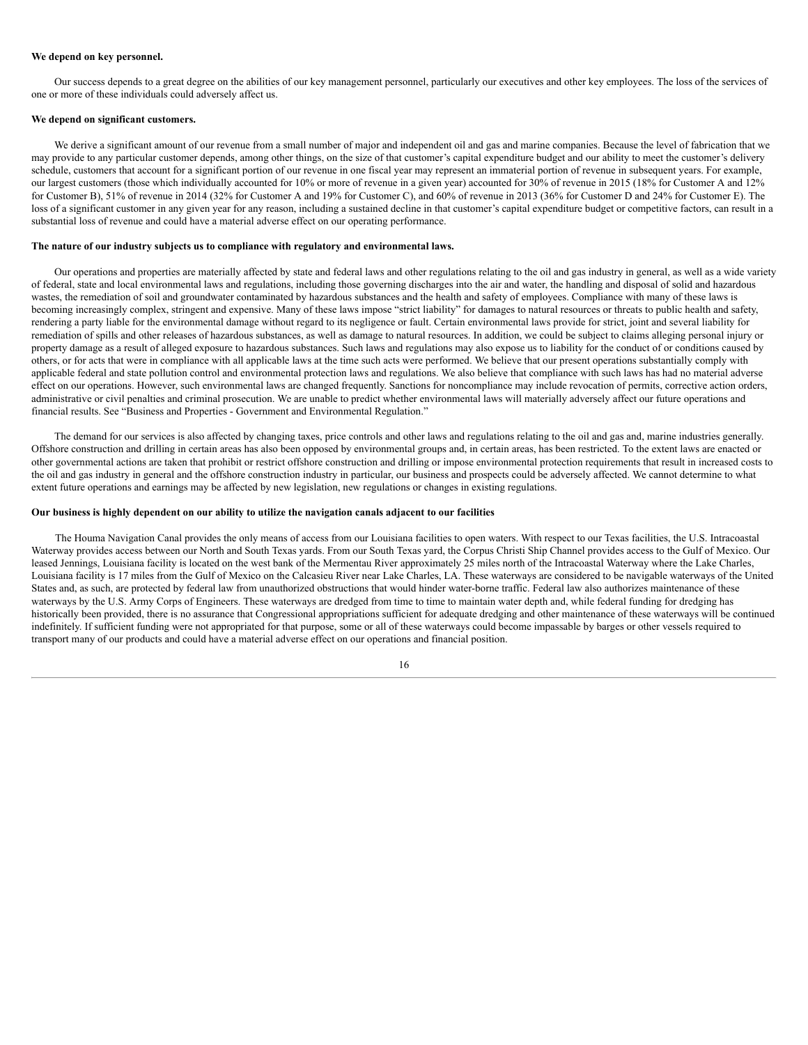#### **We depend on key personnel.**

Our success depends to a great degree on the abilities of our key management personnel, particularly our executives and other key employees. The loss of the services of one or more of these individuals could adversely affect us.

#### **We depend on significant customers.**

We derive a significant amount of our revenue from a small number of major and independent oil and gas and marine companies. Because the level of fabrication that we may provide to any particular customer depends, among other things, on the size of that customer's capital expenditure budget and our ability to meet the customer's delivery schedule, customers that account for a significant portion of our revenue in one fiscal year may represent an immaterial portion of revenue in subsequent years. For example, our largest customers (those which individually accounted for 10% or more of revenue in a given year) accounted for 30% of revenue in 2015 (18% for Customer A and 12% for Customer B), 51% of revenue in 2014 (32% for Customer A and 19% for Customer C), and 60% of revenue in 2013 (36% for Customer D and 24% for Customer E). The loss of a significant customer in any given year for any reason, including a sustained decline in that customer's capital expenditure budget or competitive factors, can result in a substantial loss of revenue and could have a material adverse effect on our operating performance.

#### **The nature of our industry subjects us to compliance with regulatory and environmental laws.**

Our operations and properties are materially affected by state and federal laws and other regulations relating to the oil and gas industry in general, as well as a wide variety of federal, state and local environmental laws and regulations, including those governing discharges into the air and water, the handling and disposal of solid and hazardous wastes, the remediation of soil and groundwater contaminated by hazardous substances and the health and safety of employees. Compliance with many of these laws is becoming increasingly complex, stringent and expensive. Many of these laws impose "strict liability" for damages to natural resources or threats to public health and safety, rendering a party liable for the environmental damage without regard to its negligence or fault. Certain environmental laws provide for strict, joint and several liability for remediation of spills and other releases of hazardous substances, as well as damage to natural resources. In addition, we could be subject to claims alleging personal injury or property damage as a result of alleged exposure to hazardous substances. Such laws and regulations may also expose us to liability for the conduct of or conditions caused by others, or for acts that were in compliance with all applicable laws at the time such acts were performed. We believe that our present operations substantially comply with applicable federal and state pollution control and environmental protection laws and regulations. We also believe that compliance with such laws has had no material adverse effect on our operations. However, such environmental laws are changed frequently. Sanctions for noncompliance may include revocation of permits, corrective action orders, administrative or civil penalties and criminal prosecution. We are unable to predict whether environmental laws will materially adversely affect our future operations and financial results. See "Business and Properties - Government and Environmental Regulation."

The demand for our services is also affected by changing taxes, price controls and other laws and regulations relating to the oil and gas and, marine industries generally. Offshore construction and drilling in certain areas has also been opposed by environmental groups and, in certain areas, has been restricted. To the extent laws are enacted or other governmental actions are taken that prohibit or restrict offshore construction and drilling or impose environmental protection requirements that result in increased costs to the oil and gas industry in general and the offshore construction industry in particular, our business and prospects could be adversely affected. We cannot determine to what extent future operations and earnings may be affected by new legislation, new regulations or changes in existing regulations.

#### Our business is highly dependent on our ability to utilize the navigation canals adjacent to our facilities

The Houma Navigation Canal provides the only means of access from our Louisiana facilities to open waters. With respect to our Texas facilities, the U.S. Intracoastal Waterway provides access between our North and South Texas yards. From our South Texas yard, the Corpus Christi Ship Channel provides access to the Gulf of Mexico. Our leased Jennings, Louisiana facility is located on the west bank of the Mermentau River approximately 25 miles north of the Intracoastal Waterway where the Lake Charles, Louisiana facility is 17 miles from the Gulf of Mexico on the Calcasieu River near Lake Charles, LA. These waterways are considered to be navigable waterways of the United States and, as such, are protected by federal law from unauthorized obstructions that would hinder water-borne traffic. Federal law also authorizes maintenance of these waterways by the U.S. Army Corps of Engineers. These waterways are dredged from time to time to maintain water depth and, while federal funding for dredging has historically been provided, there is no assurance that Congressional appropriations sufficient for adequate dredging and other maintenance of these waterways will be continued indefinitely. If sufficient funding were not appropriated for that purpose, some or all of these waterways could become impassable by barges or other vessels required to transport many of our products and could have a material adverse effect on our operations and financial position.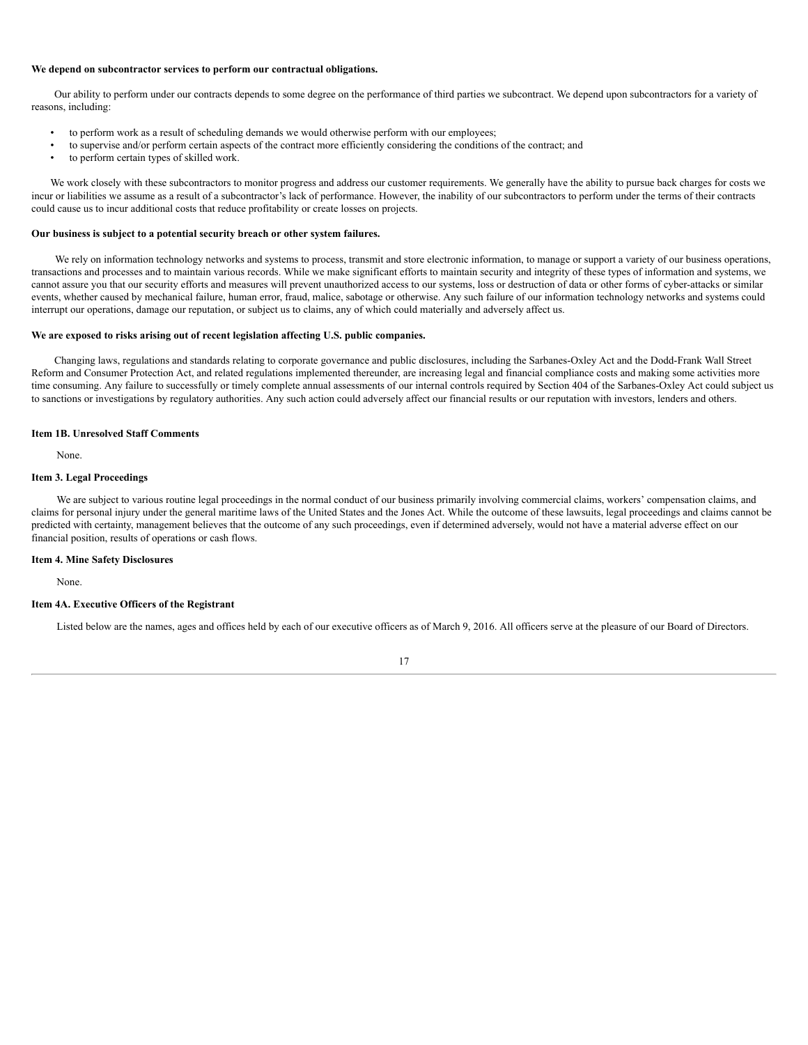#### **We depend on subcontractor services to perform our contractual obligations.**

Our ability to perform under our contracts depends to some degree on the performance of third parties we subcontract. We depend upon subcontractors for a variety of reasons, including:

- to perform work as a result of scheduling demands we would otherwise perform with our employees;
- to supervise and/or perform certain aspects of the contract more efficiently considering the conditions of the contract; and
- to perform certain types of skilled work.

We work closely with these subcontractors to monitor progress and address our customer requirements. We generally have the ability to pursue back charges for costs we incur or liabilities we assume as a result of a subcontractor's lack of performance. However, the inability of our subcontractors to perform under the terms of their contracts could cause us to incur additional costs that reduce profitability or create losses on projects.

#### **Our business is subject to a potential security breach or other system failures.**

We rely on information technology networks and systems to process, transmit and store electronic information, to manage or support a variety of our business operations, transactions and processes and to maintain various records. While we make significant efforts to maintain security and integrity of these types of information and systems, we cannot assure you that our security efforts and measures will prevent unauthorized access to our systems, loss or destruction of data or other forms of cyber-attacks or similar events, whether caused by mechanical failure, human error, fraud, malice, sabotage or otherwise. Any such failure of our information technology networks and systems could interrupt our operations, damage our reputation, or subject us to claims, any of which could materially and adversely affect us.

#### **We are exposed to risks arising out of recent legislation affecting U.S. public companies.**

Changing laws, regulations and standards relating to corporate governance and public disclosures, including the Sarbanes-Oxley Act and the Dodd-Frank Wall Street Reform and Consumer Protection Act, and related regulations implemented thereunder, are increasing legal and financial compliance costs and making some activities more time consuming. Any failure to successfully or timely complete annual assessments of our internal controls required by Section 404 of the Sarbanes-Oxley Act could subject us to sanctions or investigations by regulatory authorities. Any such action could adversely affect our financial results or our reputation with investors, lenders and others.

#### **Item 1B. Unresolved Staff Comments**

None.

# **Item 3. Legal Proceedings**

We are subject to various routine legal proceedings in the normal conduct of our business primarily involving commercial claims, workers' compensation claims, and claims for personal injury under the general maritime laws of the United States and the Jones Act. While the outcome of these lawsuits, legal proceedings and claims cannot be predicted with certainty, management believes that the outcome of any such proceedings, even if determined adversely, would not have a material adverse effect on our financial position, results of operations or cash flows.

#### **Item 4. Mine Safety Disclosures**

None.

#### **Item 4A. Executive Officers of the Registrant**

Listed below are the names, ages and offices held by each of our executive officers as of March 9, 2016. All officers serve at the pleasure of our Board of Directors.

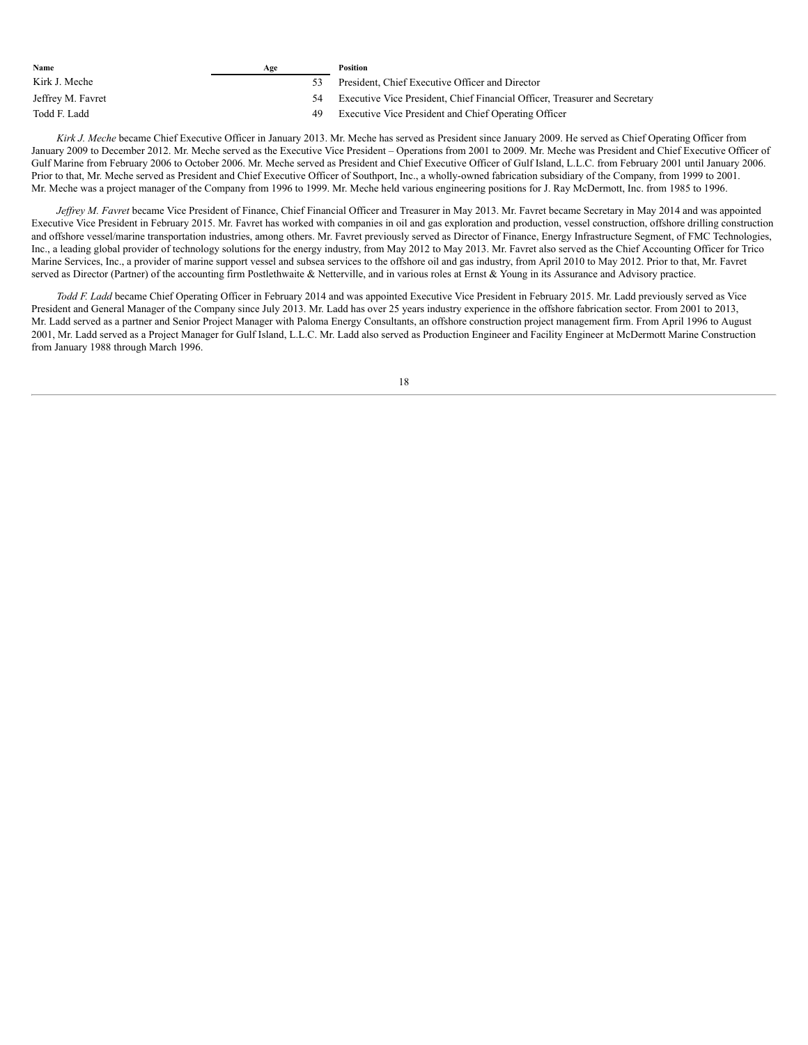| Name              | Age | Position                                                                   |
|-------------------|-----|----------------------------------------------------------------------------|
| Kirk J. Meche     |     | President, Chief Executive Officer and Director                            |
| Jeffrey M. Favret | 54  | Executive Vice President, Chief Financial Officer, Treasurer and Secretary |
| Todd F. Ladd      | 49  | Executive Vice President and Chief Operating Officer                       |

*Kirk J. Meche* became Chief Executive Officer in January 2013. Mr. Meche has served as President since January 2009. He served as Chief Operating Officer from January 2009 to December 2012. Mr. Meche served as the Executive Vice President – Operations from 2001 to 2009. Mr. Meche was President and Chief Executive Officer of Gulf Marine from February 2006 to October 2006. Mr. Meche served as President and Chief Executive Officer of Gulf Island, L.L.C. from February 2001 until January 2006. Prior to that, Mr. Meche served as President and Chief Executive Officer of Southport, Inc., a wholly-owned fabrication subsidiary of the Company, from 1999 to 2001. Mr. Meche was a project manager of the Company from 1996 to 1999. Mr. Meche held various engineering positions for J. Ray McDermott, Inc. from 1985 to 1996.

*Jeffrey M. Favret* became Vice President of Finance, Chief Financial Officer and Treasurer in May 2013. Mr. Favret became Secretary in May 2014 and was appointed Executive Vice President in February 2015. Mr. Favret has worked with companies in oil and gas exploration and production, vessel construction, offshore drilling construction and offshore vessel/marine transportation industries, among others. Mr. Favret previously served as Director of Finance, Energy Infrastructure Segment, of FMC Technologies, Inc., a leading global provider of technology solutions for the energy industry, from May 2012 to May 2013. Mr. Favret also served as the Chief Accounting Officer for Trico Marine Services, Inc., a provider of marine support vessel and subsea services to the offshore oil and gas industry, from April 2010 to May 2012. Prior to that, Mr. Favret served as Director (Partner) of the accounting firm Postlethwaite & Netterville, and in various roles at Ernst & Young in its Assurance and Advisory practice.

*Todd F. Ladd* became Chief Operating Officer in February 2014 and was appointed Executive Vice President in February 2015. Mr. Ladd previously served as Vice President and General Manager of the Company since July 2013. Mr. Ladd has over 25 years industry experience in the offshore fabrication sector. From 2001 to 2013, Mr. Ladd served as a partner and Senior Project Manager with Paloma Energy Consultants, an offshore construction project management firm. From April 1996 to August 2001, Mr. Ladd served as a Project Manager for Gulf Island, L.L.C. Mr. Ladd also served as Production Engineer and Facility Engineer at McDermott Marine Construction from January 1988 through March 1996.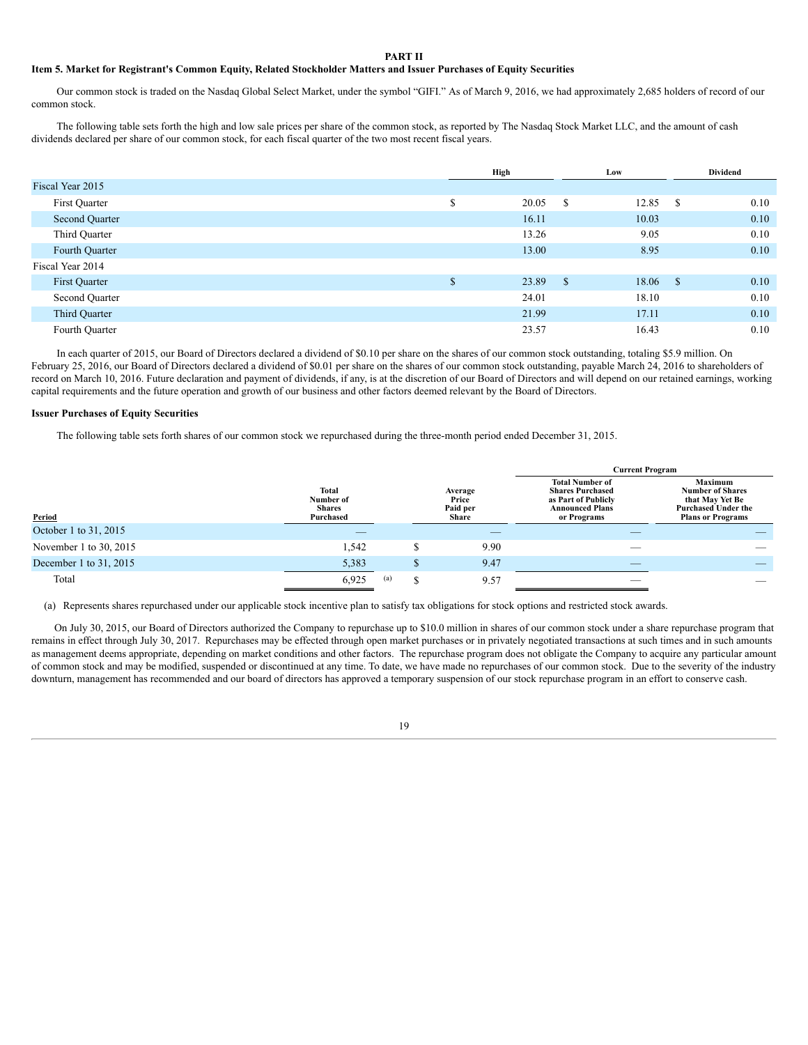#### **PART II**

#### Item 5. Market for Registrant's Common Equity, Related Stockholder Matters and Issuer Purchases of Equity Securities

Our common stock is traded on the Nasdaq Global Select Market, under the symbol "GIFI." As of March 9, 2016, we had approximately 2,685 holders of record of our common stock.

The following table sets forth the high and low sale prices per share of the common stock, as reported by The Nasdaq Stock Market LLC, and the amount of cash dividends declared per share of our common stock, for each fiscal quarter of the two most recent fiscal years.

|                  |               | High  |               | Low   |               | <b>Dividend</b> |
|------------------|---------------|-------|---------------|-------|---------------|-----------------|
| Fiscal Year 2015 |               |       |               |       |               |                 |
| First Quarter    | \$            | 20.05 | <sup>\$</sup> | 12.85 | <sup>\$</sup> | 0.10            |
| Second Quarter   |               | 16.11 |               | 10.03 |               | 0.10            |
| Third Quarter    |               | 13.26 |               | 9.05  |               | 0.10            |
| Fourth Quarter   |               | 13.00 |               | 8.95  |               | 0.10            |
| Fiscal Year 2014 |               |       |               |       |               |                 |
| First Quarter    | <sup>\$</sup> | 23.89 | <b>S</b>      | 18.06 | <sup>\$</sup> | 0.10            |
| Second Quarter   |               | 24.01 |               | 18.10 |               | 0.10            |
| Third Quarter    |               | 21.99 |               | 17.11 |               | 0.10            |
| Fourth Quarter   |               | 23.57 |               | 16.43 |               | 0.10            |

In each quarter of 2015, our Board of Directors declared a dividend of \$0.10 per share on the shares of our common stock outstanding, totaling \$5.9 million. On February 25, 2016, our Board of Directors declared a dividend of \$0.01 per share on the shares of our common stock outstanding, payable March 24, 2016 to shareholders of record on March 10, 2016. Future declaration and payment of dividends, if any, is at the discretion of our Board of Directors and will depend on our retained earnings, working capital requirements and the future operation and growth of our business and other factors deemed relevant by the Board of Directors.

#### **Issuer Purchases of Equity Securities**

The following table sets forth shares of our common stock we repurchased during the three-month period ended December 31, 2015.

|                        |                                                  |     |                                       | <b>Current Program</b>                                                                                            |                                                                                                                        |  |
|------------------------|--------------------------------------------------|-----|---------------------------------------|-------------------------------------------------------------------------------------------------------------------|------------------------------------------------------------------------------------------------------------------------|--|
| Period                 | Total<br>Number of<br><b>Shares</b><br>Purchased |     | Average<br>Price<br>Paid per<br>Share | <b>Total Number of</b><br><b>Shares Purchased</b><br>as Part of Publicly<br><b>Announced Plans</b><br>or Programs | <b>Maximum</b><br><b>Number of Shares</b><br>that May Yet Be<br><b>Purchased Under the</b><br><b>Plans or Programs</b> |  |
| October 1 to 31, 2015  |                                                  |     |                                       |                                                                                                                   |                                                                                                                        |  |
| November 1 to 30, 2015 | 1,542                                            |     | 9.90                                  |                                                                                                                   |                                                                                                                        |  |
| December 1 to 31, 2015 | 5,383                                            |     | 9.47                                  |                                                                                                                   | _                                                                                                                      |  |
| Total                  | 6,925                                            | (a) | 9.57                                  |                                                                                                                   | __                                                                                                                     |  |

(a) Represents shares repurchased under our applicable stock incentive plan to satisfy tax obligations for stock options and restricted stock awards.

On July 30, 2015, our Board of Directors authorized the Company to repurchase up to \$10.0 million in shares of our common stock under a share repurchase program that remains in effect through July 30, 2017. Repurchases may be effected through open market purchases or in privately negotiated transactions at such times and in such amounts as management deems appropriate, depending on market conditions and other factors. The repurchase program does not obligate the Company to acquire any particular amount of common stock and may be modified, suspended or discontinued at any time. To date, we have made no repurchases of our common stock. Due to the severity of the industry downturn, management has recommended and our board of directors has approved a temporary suspension of our stock repurchase program in an effort to conserve cash.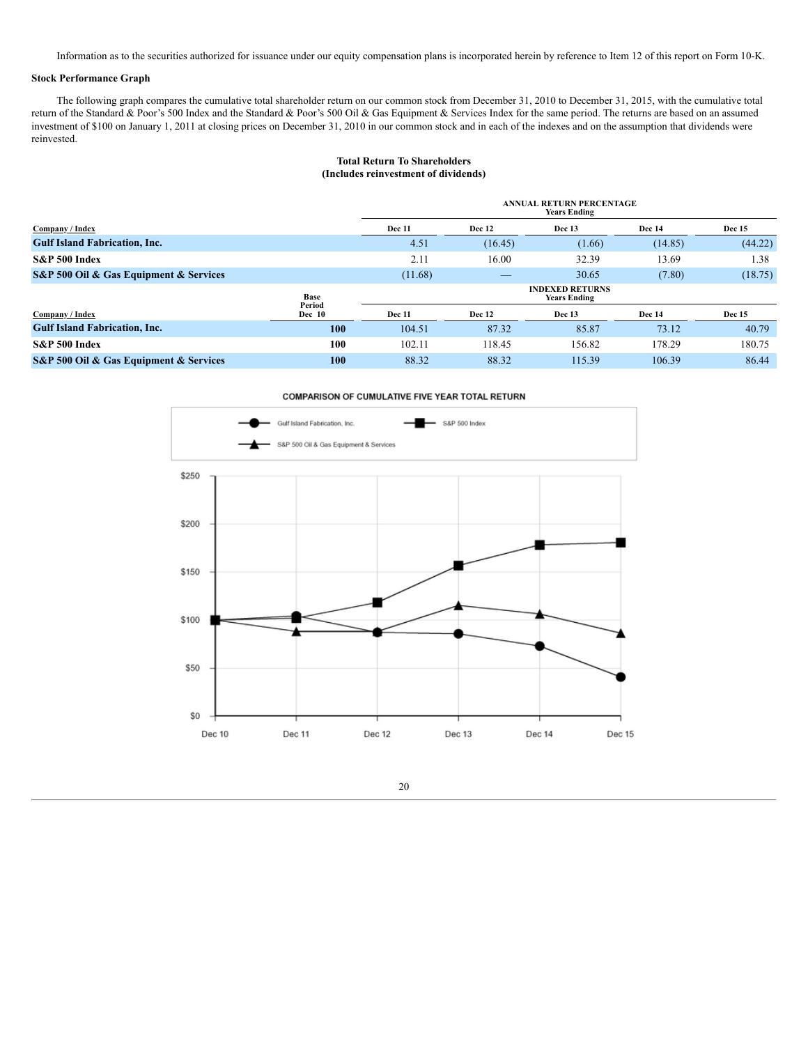Information as to the securities authorized for issuance under our equity compensation plans is incorporated herein by reference to Item 12 of this report on Form 10-K.

# **Stock Performance Graph**

The following graph compares the cumulative total shareholder return on our common stock from December 31, 2010 to December 31, 2015, with the cumulative total return of the Standard & Poor's 500 Index and the Standard & Poor's 500 Oil & Gas Equipment & Services Index for the same period. The returns are based on an assumed investment of \$100 on January 1, 2011 at closing prices on December 31, 2010 in our common stock and in each of the indexes and on the assumption that dividends were reinvested.

#### **Total Return To Shareholders (Includes reinvestment of dividends)**

|                                        |                         |               |         | <b>ANNUAL RETURN PERCENTAGE</b><br><b>Years Ending</b> |         |               |
|----------------------------------------|-------------------------|---------------|---------|--------------------------------------------------------|---------|---------------|
| Company / Index                        |                         | <b>Dec 11</b> | Dec 12  | Dec 13                                                 | Dec 14  | <b>Dec 15</b> |
| <b>Gulf Island Fabrication, Inc.</b>   |                         | 4.51          | (16.45) | (1.66)                                                 | (14.85) | (44.22)       |
| <b>S&amp;P 500 Index</b>               |                         | 2.11          | 16.00   | 32.39                                                  | 13.69   | 1.38          |
| S&P 500 Oil & Gas Equipment & Services |                         | (11.68)       | _       | 30.65                                                  | (7.80)  | (18.75)       |
|                                        | Base                    |               |         | <b>INDEXED RETURNS</b><br><b>Years Ending</b>          |         |               |
| Company / Index                        | Period<br><b>Dec</b> 10 | <b>Dec 11</b> | Dec 12  | Dec 13                                                 | Dec 14  | <b>Dec 15</b> |
| <b>Gulf Island Fabrication, Inc.</b>   | <b>100</b>              | 104.51        | 87.32   | 85.87                                                  | 73.12   | 40.79         |
| <b>S&amp;P 500 Index</b>               | 100                     | 102.11        | 118.45  | 156.82                                                 | 178.29  | 180.75        |
| S&P 500 Oil & Gas Equipment & Services | 100                     | 88.32         | 88.32   | 115.39                                                 | 106.39  | 86.44         |

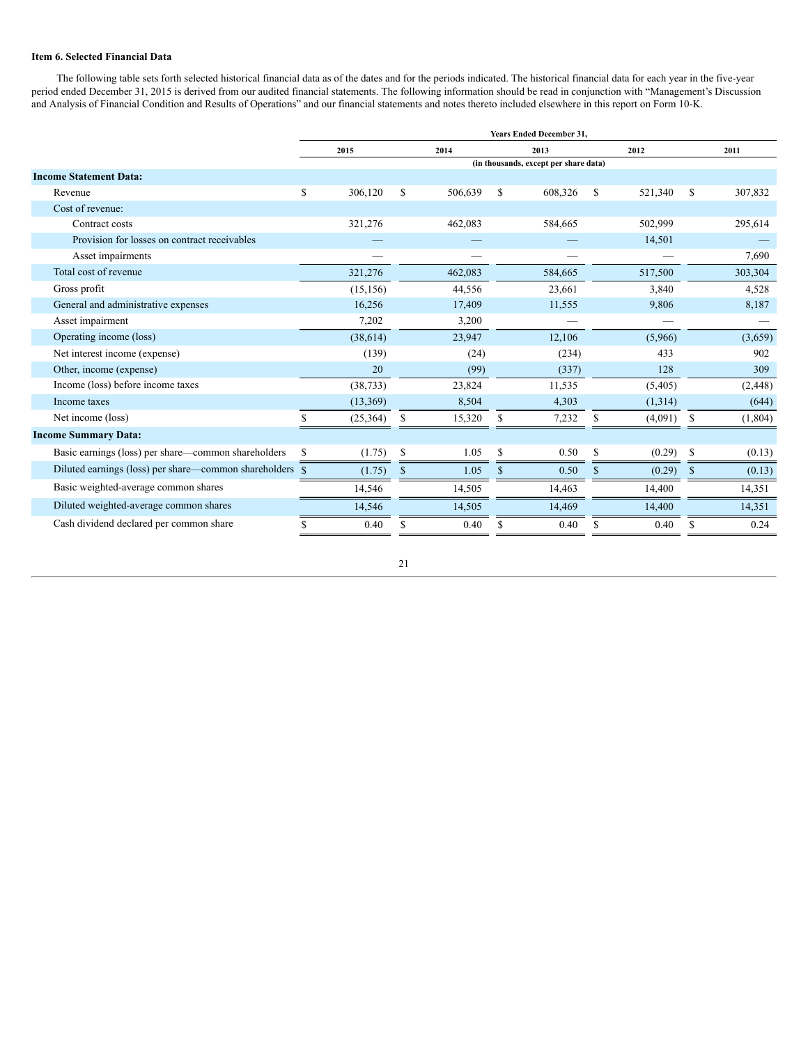#### **Item 6. Selected Financial Data**

The following table sets forth selected historical financial data as of the dates and for the periods indicated. The historical financial data for each year in the five-year period ended December 31, 2015 is derived from our audited financial statements. The following information should be read in conjunction with "Management's Discussion and Analysis of Financial Condition and Results of Operations" and our financial statements and notes thereto included elsewhere in this report on Form 10-K.

|                                                       | <b>Years Ended December 31.</b> |           |             |         |             |                                       |               |         |    |          |
|-------------------------------------------------------|---------------------------------|-----------|-------------|---------|-------------|---------------------------------------|---------------|---------|----|----------|
|                                                       |                                 | 2015      |             | 2014    |             | 2013                                  |               | 2012    |    | 2011     |
|                                                       |                                 |           |             |         |             | (in thousands, except per share data) |               |         |    |          |
| <b>Income Statement Data:</b>                         |                                 |           |             |         |             |                                       |               |         |    |          |
| Revenue                                               | \$                              | 306,120   | $\mathbf S$ | 506,639 | $\mathbf S$ | 608,326                               | <sup>\$</sup> | 521,340 | S  | 307,832  |
| Cost of revenue:                                      |                                 |           |             |         |             |                                       |               |         |    |          |
| Contract costs                                        |                                 | 321,276   |             | 462,083 |             | 584,665                               |               | 502,999 |    | 295,614  |
| Provision for losses on contract receivables          |                                 |           |             |         |             |                                       |               | 14,501  |    |          |
| Asset impairments                                     |                                 |           |             |         |             |                                       |               |         |    | 7,690    |
| Total cost of revenue                                 |                                 | 321,276   |             | 462,083 |             | 584,665                               |               | 517,500 |    | 303,304  |
| Gross profit                                          |                                 | (15, 156) |             | 44,556  |             | 23,661                                |               | 3,840   |    | 4,528    |
| General and administrative expenses                   |                                 | 16,256    |             | 17,409  |             | 11,555                                |               | 9,806   |    | 8,187    |
| Asset impairment                                      |                                 | 7,202     |             | 3,200   |             |                                       |               |         |    |          |
| Operating income (loss)                               |                                 | (38,614)  |             | 23,947  |             | 12,106                                |               | (5,966) |    | (3,659)  |
| Net interest income (expense)                         |                                 | (139)     |             | (24)    |             | (234)                                 |               | 433     |    | 902      |
| Other, income (expense)                               |                                 | 20        |             | (99)    |             | (337)                                 |               | 128     |    | 309      |
| Income (loss) before income taxes                     |                                 | (38, 733) |             | 23,824  |             | 11,535                                |               | (5,405) |    | (2, 448) |
| Income taxes                                          |                                 | (13,369)  |             | 8,504   |             | 4,303                                 |               | (1,314) |    | (644)    |
| Net income (loss)                                     | S.                              | (25,364)  | \$          | 15,320  | \$          | 7,232                                 | \$            | (4,091) | \$ | (1,804)  |
| <b>Income Summary Data:</b>                           |                                 |           |             |         |             |                                       |               |         |    |          |
| Basic earnings (loss) per share—common shareholders   | S                               | (1.75)    | S           | 1.05    | S           | 0.50                                  | \$            | (0.29)  | S  | (0.13)   |
| Diluted earnings (loss) per share—common shareholders | $\mathcal{S}$                   | (1.75)    | \$          | 1.05    | \$          | 0.50                                  | \$            | (0.29)  | \$ | (0.13)   |
| Basic weighted-average common shares                  |                                 | 14,546    |             | 14,505  |             | 14,463                                |               | 14,400  |    | 14,351   |
| Diluted weighted-average common shares                |                                 | 14,546    |             | 14,505  |             | 14,469                                |               | 14,400  |    | 14,351   |
| Cash dividend declared per common share               |                                 | 0.40      |             | 0.40    |             | 0.40                                  |               | 0.40    |    | 0.24     |
|                                                       |                                 |           |             |         |             |                                       |               |         |    |          |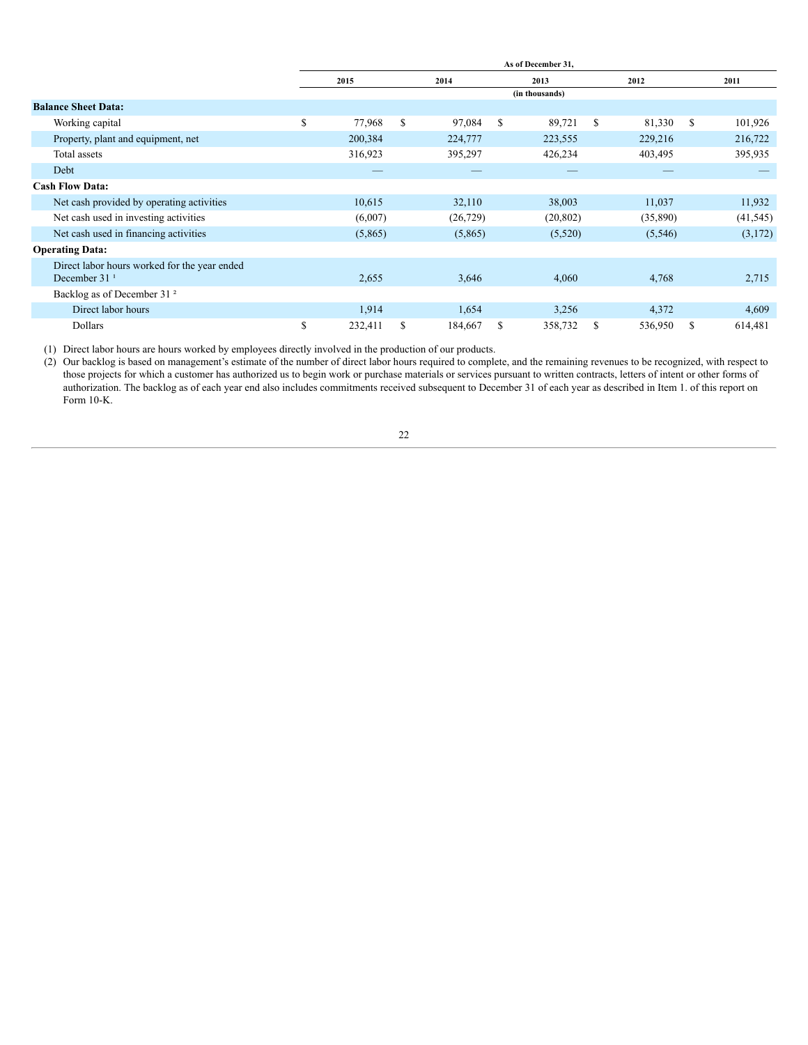|                                                                          | As of December 31, |         |      |                             |    |                |    |          |               |           |
|--------------------------------------------------------------------------|--------------------|---------|------|-----------------------------|----|----------------|----|----------|---------------|-----------|
|                                                                          |                    | 2015    | 2014 |                             |    | 2013           |    | 2012     |               | 2011      |
|                                                                          |                    |         |      |                             |    | (in thousands) |    |          |               |           |
| <b>Balance Sheet Data:</b>                                               |                    |         |      |                             |    |                |    |          |               |           |
| Working capital                                                          | $\mathbf S$        | 77,968  | S    | 97,084                      | S  | 89,721         | \$ | 81,330   | <sup>\$</sup> | 101,926   |
| Property, plant and equipment, net                                       |                    | 200,384 |      | 224,777                     |    | 223,555        |    | 229,216  |               | 216,722   |
| Total assets                                                             |                    | 316,923 |      | 395,297                     |    | 426,234        |    | 403,495  |               | 395,935   |
| Debt                                                                     |                    |         |      | $\overbrace{\hspace{15em}}$ |    | _              |    |          |               |           |
| <b>Cash Flow Data:</b>                                                   |                    |         |      |                             |    |                |    |          |               |           |
| Net cash provided by operating activities                                |                    | 10,615  |      | 32,110                      |    | 38,003         |    | 11,037   |               | 11,932    |
| Net cash used in investing activities                                    |                    | (6,007) |      | (26, 729)                   |    | (20, 802)      |    | (35,890) |               | (41, 545) |
| Net cash used in financing activities                                    |                    | (5,865) |      | (5,865)                     |    | (5,520)        |    | (5, 546) |               | (3,172)   |
| <b>Operating Data:</b>                                                   |                    |         |      |                             |    |                |    |          |               |           |
| Direct labor hours worked for the year ended<br>December 31 <sup>1</sup> |                    | 2,655   |      | 3,646                       |    | 4,060          |    | 4,768    |               | 2,715     |
| Backlog as of December 31 <sup>2</sup>                                   |                    |         |      |                             |    |                |    |          |               |           |
| Direct labor hours                                                       |                    | 1,914   |      | 1,654                       |    | 3,256          |    | 4,372    |               | 4,609     |
| Dollars                                                                  | S                  | 232,411 | \$   | 184,667                     | \$ | 358,732        | \$ | 536,950  | \$            | 614,481   |

(1) Direct labor hours are hours worked by employees directly involved in the production of our products.

(2) Our backlog is based on management's estimate of the number of direct labor hours required to complete, and the remaining revenues to be recognized, with respect to those projects for which a customer has authorized us to begin work or purchase materials or services pursuant to written contracts, letters of intent or other forms of authorization. The backlog as of each year end also includes commitments received subsequent to December 31 of each year as described in Item 1. of this report on Form 10-K.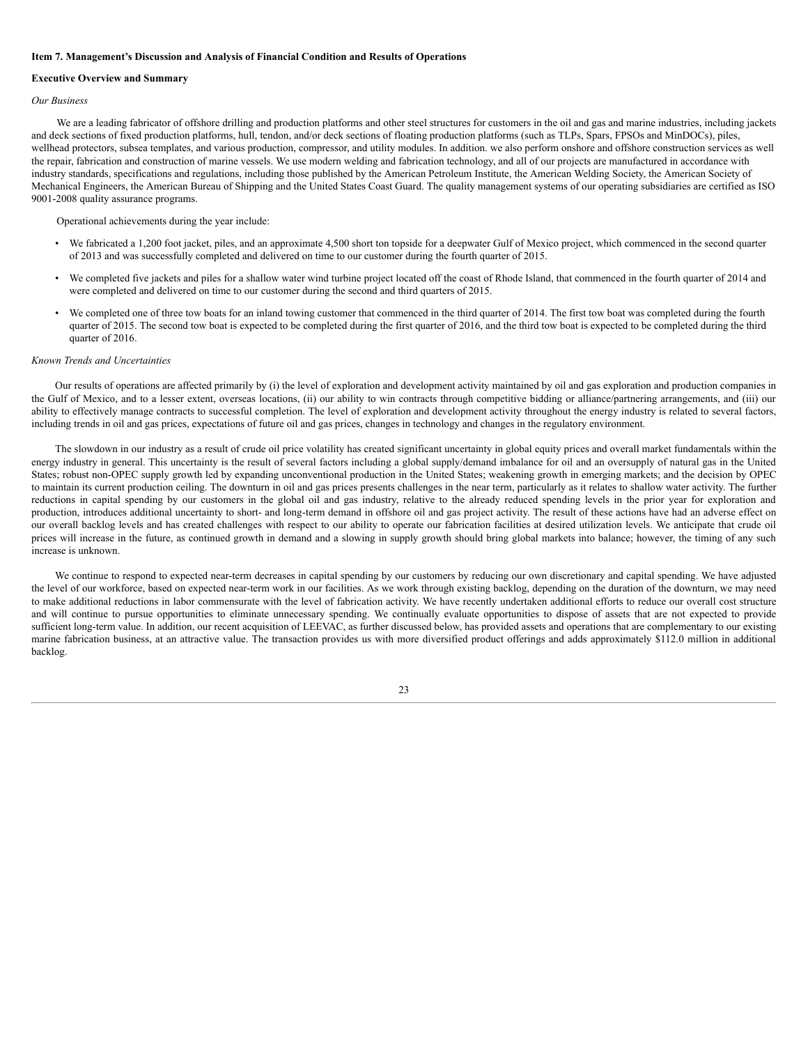#### **Item 7. Management's Discussion and Analysis of Financial Condition and Results of Operations**

#### **Executive Overview and Summary**

#### *Our Business*

We are a leading fabricator of offshore drilling and production platforms and other steel structures for customers in the oil and gas and marine industries, including jackets and deck sections of fixed production platforms, hull, tendon, and/or deck sections of floating production platforms (such as TLPs, Spars, FPSOs and MinDOCs), piles, wellhead protectors, subsea templates, and various production, compressor, and utility modules. In addition. we also perform onshore and offshore construction services as well the repair, fabrication and construction of marine vessels. We use modern welding and fabrication technology, and all of our projects are manufactured in accordance with industry standards, specifications and regulations, including those published by the American Petroleum Institute, the American Welding Society, the American Society of Mechanical Engineers, the American Bureau of Shipping and the United States Coast Guard. The quality management systems of our operating subsidiaries are certified as ISO 9001-2008 quality assurance programs.

Operational achievements during the year include:

- We fabricated a 1,200 foot jacket, piles, and an approximate 4,500 short ton topside for a deepwater Gulf of Mexico project, which commenced in the second quarter of 2013 and was successfully completed and delivered on time to our customer during the fourth quarter of 2015.
- We completed five jackets and piles for a shallow water wind turbine project located off the coast of Rhode Island, that commenced in the fourth quarter of 2014 and were completed and delivered on time to our customer during the second and third quarters of 2015.
- We completed one of three tow boats for an inland towing customer that commenced in the third quarter of 2014. The first tow boat was completed during the fourth quarter of 2015. The second tow boat is expected to be completed during the first quarter of 2016, and the third tow boat is expected to be completed during the third quarter of 2016.

#### *Known Trends and Uncertainties*

Our results of operations are affected primarily by (i) the level of exploration and development activity maintained by oil and gas exploration and production companies in the Gulf of Mexico, and to a lesser extent, overseas locations, (ii) our ability to win contracts through competitive bidding or alliance/partnering arrangements, and (iii) our ability to effectively manage contracts to successful completion. The level of exploration and development activity throughout the energy industry is related to several factors, including trends in oil and gas prices, expectations of future oil and gas prices, changes in technology and changes in the regulatory environment.

The slowdown in our industry as a result of crude oil price volatility has created significant uncertainty in global equity prices and overall market fundamentals within the energy industry in general. This uncertainty is the result of several factors including a global supply/demand imbalance for oil and an oversupply of natural gas in the United States; robust non-OPEC supply growth led by expanding unconventional production in the United States; weakening growth in emerging markets; and the decision by OPEC to maintain its current production ceiling. The downturn in oil and gas prices presents challenges in the near term, particularly as it relates to shallow water activity. The further reductions in capital spending by our customers in the global oil and gas industry, relative to the already reduced spending levels in the prior year for exploration and production, introduces additional uncertainty to short- and long-term demand in offshore oil and gas project activity. The result of these actions have had an adverse effect on our overall backlog levels and has created challenges with respect to our ability to operate our fabrication facilities at desired utilization levels. We anticipate that crude oil prices will increase in the future, as continued growth in demand and a slowing in supply growth should bring global markets into balance; however, the timing of any such increase is unknown.

We continue to respond to expected near-term decreases in capital spending by our customers by reducing our own discretionary and capital spending. We have adjusted the level of our workforce, based on expected near-term work in our facilities. As we work through existing backlog, depending on the duration of the downturn, we may need to make additional reductions in labor commensurate with the level of fabrication activity. We have recently undertaken additional efforts to reduce our overall cost structure and will continue to pursue opportunities to eliminate unnecessary spending. We continually evaluate opportunities to dispose of assets that are not expected to provide sufficient long-term value. In addition, our recent acquisition of LEEVAC, as further discussed below, has provided assets and operations that are complementary to our existing marine fabrication business, at an attractive value. The transaction provides us with more diversified product offerings and adds approximately \$112.0 million in additional backlog.

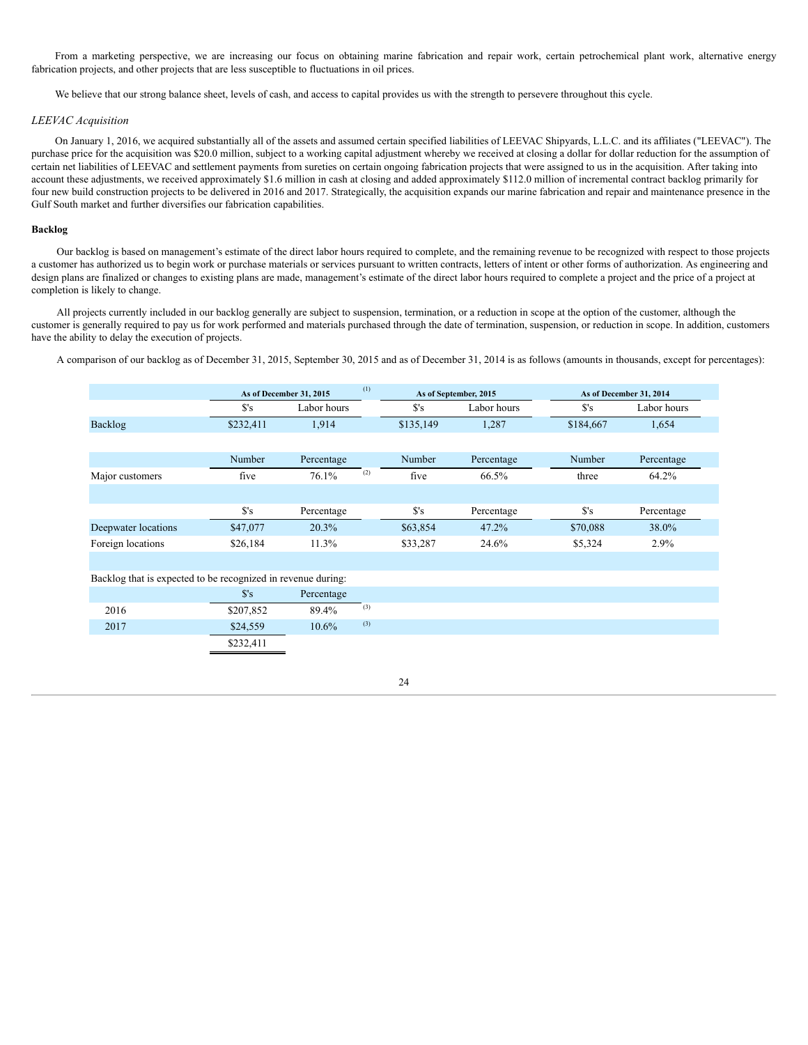From a marketing perspective, we are increasing our focus on obtaining marine fabrication and repair work, certain petrochemical plant work, alternative energy fabrication projects, and other projects that are less susceptible to fluctuations in oil prices.

We believe that our strong balance sheet, levels of cash, and access to capital provides us with the strength to persevere throughout this cycle.

#### *LEEVAC Acquisition*

On January 1, 2016, we acquired substantially all of the assets and assumed certain specified liabilities of LEEVAC Shipyards, L.L.C. and its affiliates ("LEEVAC"). The purchase price for the acquisition was \$20.0 million, subject to a working capital adjustment whereby we received at closing a dollar for dollar reduction for the assumption of certain net liabilities of LEEVAC and settlement payments from sureties on certain ongoing fabrication projects that were assigned to us in the acquisition. After taking into account these adjustments, we received approximately \$1.6 million in cash at closing and added approximately \$112.0 million of incremental contract backlog primarily for four new build construction projects to be delivered in 2016 and 2017. Strategically, the acquisition expands our marine fabrication and repair and maintenance presence in the Gulf South market and further diversifies our fabrication capabilities.

#### **Backlog**

Our backlog is based on management's estimate of the direct labor hours required to complete, and the remaining revenue to be recognized with respect to those projects a customer has authorized us to begin work or purchase materials or services pursuant to written contracts, letters of intent or other forms of authorization. As engineering and design plans are finalized or changes to existing plans are made, management's estimate of the direct labor hours required to complete a project and the price of a project at completion is likely to change.

All projects currently included in our backlog generally are subject to suspension, termination, or a reduction in scope at the option of the customer, although the customer is generally required to pay us for work performed and materials purchased through the date of termination, suspension, or reduction in scope. In addition, customers have the ability to delay the execution of projects.

A comparison of our backlog as of December 31, 2015, September 30, 2015 and as of December 31, 2014 is as follows (amounts in thousands, except for percentages):

|                                                              |           | As of December 31, 2015 | (1) |           | As of September, 2015 |           | As of December 31, 2014 |
|--------------------------------------------------------------|-----------|-------------------------|-----|-----------|-----------------------|-----------|-------------------------|
|                                                              | S's       | Labor hours             |     | S's       | Labor hours           | S's       | Labor hours             |
| Backlog                                                      | \$232,411 | 1,914                   |     | \$135,149 | 1,287                 | \$184,667 | 1,654                   |
|                                                              |           |                         |     |           |                       |           |                         |
|                                                              | Number    | Percentage              |     | Number    | Percentage            | Number    | Percentage              |
| Major customers                                              | five      | 76.1%                   | (2) | five      | 66.5%                 | three     | 64.2%                   |
|                                                              |           |                         |     |           |                       |           |                         |
|                                                              | S's       | Percentage              |     | S's       | Percentage            | S's       | Percentage              |
| Deepwater locations                                          | \$47,077  | 20.3%                   |     | \$63,854  | 47.2%                 | \$70,088  | 38.0%                   |
| Foreign locations                                            | \$26,184  | 11.3%                   |     | \$33,287  | 24.6%                 | \$5,324   | 2.9%                    |
|                                                              |           |                         |     |           |                       |           |                         |
| Backlog that is expected to be recognized in revenue during: |           |                         |     |           |                       |           |                         |

| Backlog that is expected to be recognized in revenue during: |                 |            |     |  |  |
|--------------------------------------------------------------|-----------------|------------|-----|--|--|
|                                                              | $\mathbb{S}'$ s | Percentage |     |  |  |
| 2016                                                         | \$207,852       | 89.4%      | (3) |  |  |
| 2017                                                         | \$24,559        | 10.6%      | (3) |  |  |
|                                                              | \$232,411       |            |     |  |  |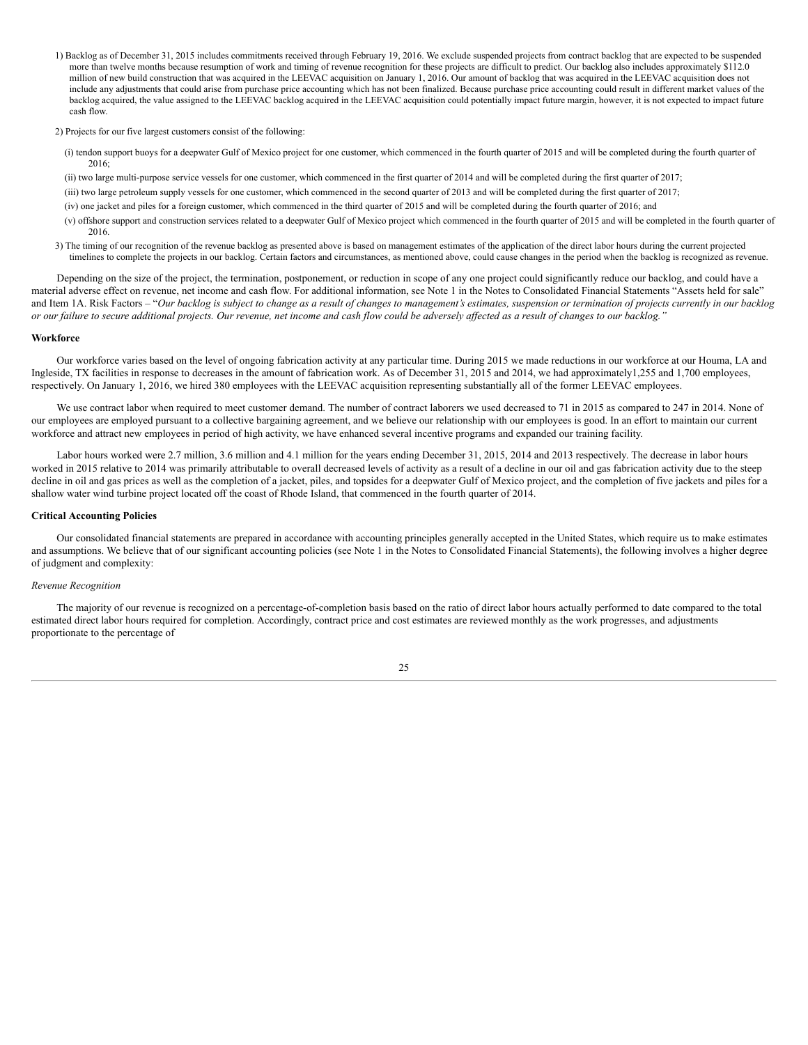- 1) Backlog as of December 31, 2015 includes commitments received through February 19, 2016. We exclude suspended projects from contract backlog that are expected to be suspended more than twelve months because resumption of work and timing of revenue recognition for these projects are difficult to predict. Our backlog also includes approximately \$112.0 million of new build construction that was acquired in the LEEVAC acquisition on January 1, 2016. Our amount of backlog that was acquired in the LEEVAC acquisition does not include any adjustments that could arise from purchase price accounting which has not been finalized. Because purchase price accounting could result in different market values of the backlog acquired, the value assigned to the LEEVAC backlog acquired in the LEEVAC acquisition could potentially impact future margin, however, it is not expected to impact future cash flow.
- 2) Projects for our five largest customers consist of the following:
	- (i) tendon support buoys for a deepwater Gulf of Mexico project for one customer, which commenced in the fourth quarter of 2015 and will be completed during the fourth quarter of 2016;
	- (ii) two large multi-purpose service vessels for one customer, which commenced in the first quarter of 2014 and will be completed during the first quarter of 2017;
	- (iii) two large petroleum supply vessels for one customer, which commenced in the second quarter of 2013 and will be completed during the first quarter of 2017;
	- (iv) one jacket and piles for a foreign customer, which commenced in the third quarter of 2015 and will be completed during the fourth quarter of 2016; and
	- (v) offshore support and construction services related to a deepwater Gulf of Mexico project which commenced in the fourth quarter of 2015 and will be completed in the fourth quarter of 2016.
- 3) The timing of our recognition of the revenue backlog as presented above is based on management estimates of the application of the direct labor hours during the current projected timelines to complete the projects in our backlog. Certain factors and circumstances, as mentioned above, could cause changes in the period when the backlog is recognized as revenue.

Depending on the size of the project, the termination, postponement, or reduction in scope of any one project could significantly reduce our backlog, and could have a material adverse effect on revenue, net income and cash flow. For additional information, see Note 1 in the Notes to Consolidated Financial Statements "Assets held for sale" and Item 1A. Risk Factors - "Our backlog is subject to change as a result of changes to management's estimates, suspension or termination of projects currently in our backlog or our failure to secure additional projects. Our revenue, net income and cash flow could be adversely affected as a result of changes to our backlog.'

#### **Workforce**

Our workforce varies based on the level of ongoing fabrication activity at any particular time. During 2015 we made reductions in our workforce at our Houma, LA and Ingleside, TX facilities in response to decreases in the amount of fabrication work. As of December 31, 2015 and 2014, we had approximately1,255 and 1,700 employees, respectively. On January 1, 2016, we hired 380 employees with the LEEVAC acquisition representing substantially all of the former LEEVAC employees.

We use contract labor when required to meet customer demand. The number of contract laborers we used decreased to 71 in 2015 as compared to 247 in 2014. None of our employees are employed pursuant to a collective bargaining agreement, and we believe our relationship with our employees is good. In an effort to maintain our current workforce and attract new employees in period of high activity, we have enhanced several incentive programs and expanded our training facility.

Labor hours worked were 2.7 million, 3.6 million and 4.1 million for the years ending December 31, 2015, 2014 and 2013 respectively. The decrease in labor hours worked in 2015 relative to 2014 was primarily attributable to overall decreased levels of activity as a result of a decline in our oil and gas fabrication activity due to the steep decline in oil and gas prices as well as the completion of a jacket, piles, and topsides for a deepwater Gulf of Mexico project, and the completion of five jackets and piles for a shallow water wind turbine project located off the coast of Rhode Island, that commenced in the fourth quarter of 2014.

#### **Critical Accounting Policies**

Our consolidated financial statements are prepared in accordance with accounting principles generally accepted in the United States, which require us to make estimates and assumptions. We believe that of our significant accounting policies (see Note 1 in the Notes to Consolidated Financial Statements), the following involves a higher degree of judgment and complexity:

#### *Revenue Recognition*

The majority of our revenue is recognized on a percentage-of-completion basis based on the ratio of direct labor hours actually performed to date compared to the total estimated direct labor hours required for completion. Accordingly, contract price and cost estimates are reviewed monthly as the work progresses, and adjustments proportionate to the percentage of

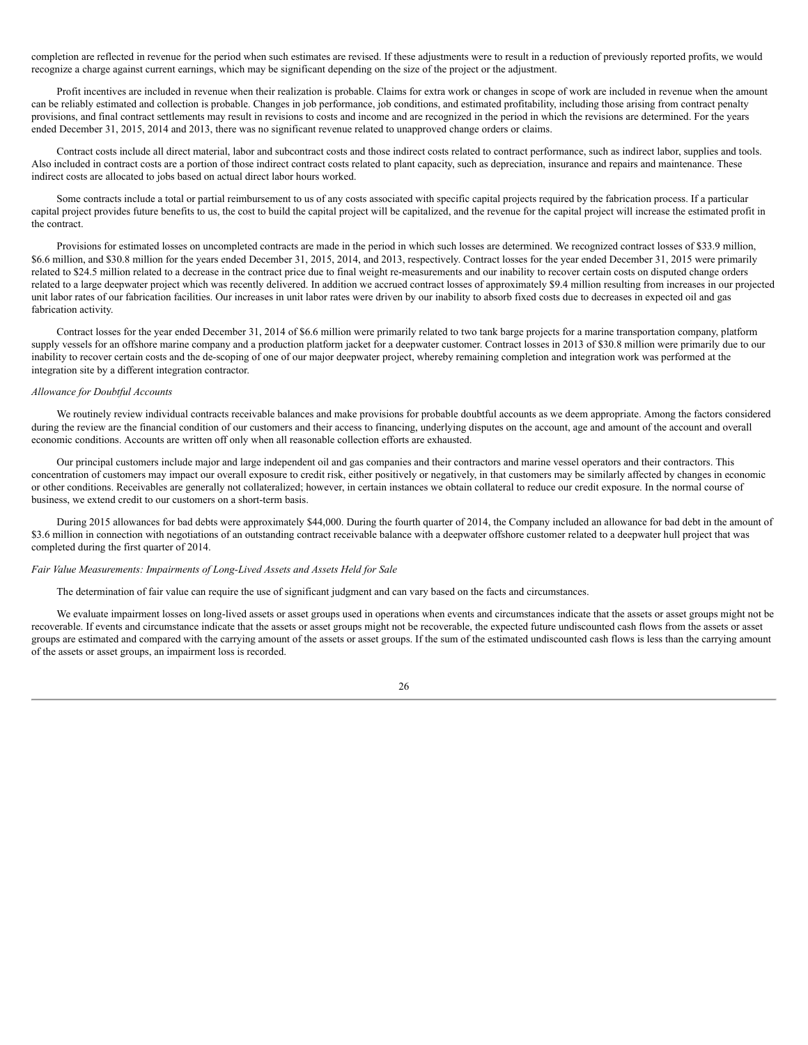completion are reflected in revenue for the period when such estimates are revised. If these adjustments were to result in a reduction of previously reported profits, we would recognize a charge against current earnings, which may be significant depending on the size of the project or the adjustment.

Profit incentives are included in revenue when their realization is probable. Claims for extra work or changes in scope of work are included in revenue when the amount can be reliably estimated and collection is probable. Changes in job performance, job conditions, and estimated profitability, including those arising from contract penalty provisions, and final contract settlements may result in revisions to costs and income and are recognized in the period in which the revisions are determined. For the years ended December 31, 2015, 2014 and 2013, there was no significant revenue related to unapproved change orders or claims.

Contract costs include all direct material, labor and subcontract costs and those indirect costs related to contract performance, such as indirect labor, supplies and tools. Also included in contract costs are a portion of those indirect contract costs related to plant capacity, such as depreciation, insurance and repairs and maintenance. These indirect costs are allocated to jobs based on actual direct labor hours worked.

Some contracts include a total or partial reimbursement to us of any costs associated with specific capital projects required by the fabrication process. If a particular capital project provides future benefits to us, the cost to build the capital project will be capitalized, and the revenue for the capital project will increase the estimated profit in the contract.

Provisions for estimated losses on uncompleted contracts are made in the period in which such losses are determined. We recognized contract losses of \$33.9 million, \$6.6 million, and \$30.8 million for the years ended December 31, 2015, 2014, and 2013, respectively. Contract losses for the year ended December 31, 2015 were primarily related to \$24.5 million related to a decrease in the contract price due to final weight re-measurements and our inability to recover certain costs on disputed change orders related to a large deepwater project which was recently delivered. In addition we accrued contract losses of approximately \$9.4 million resulting from increases in our projected unit labor rates of our fabrication facilities. Our increases in unit labor rates were driven by our inability to absorb fixed costs due to decreases in expected oil and gas fabrication activity.

Contract losses for the year ended December 31, 2014 of \$6.6 million were primarily related to two tank barge projects for a marine transportation company, platform supply vessels for an offshore marine company and a production platform jacket for a deepwater customer. Contract losses in 2013 of \$30.8 million were primarily due to our inability to recover certain costs and the de-scoping of one of our major deepwater project, whereby remaining completion and integration work was performed at the integration site by a different integration contractor.

#### *Allowance for Doubtful Accounts*

We routinely review individual contracts receivable balances and make provisions for probable doubtful accounts as we deem appropriate. Among the factors considered during the review are the financial condition of our customers and their access to financing, underlying disputes on the account, age and amount of the account and overall economic conditions. Accounts are written off only when all reasonable collection efforts are exhausted.

Our principal customers include major and large independent oil and gas companies and their contractors and marine vessel operators and their contractors. This concentration of customers may impact our overall exposure to credit risk, either positively or negatively, in that customers may be similarly affected by changes in economic or other conditions. Receivables are generally not collateralized; however, in certain instances we obtain collateral to reduce our credit exposure. In the normal course of business, we extend credit to our customers on a short-term basis.

During 2015 allowances for bad debts were approximately \$44,000. During the fourth quarter of 2014, the Company included an allowance for bad debt in the amount of \$3.6 million in connection with negotiations of an outstanding contract receivable balance with a deepwater offshore customer related to a deepwater hull project that was completed during the first quarter of 2014.

#### *Fair Value Measurements: Impairments of Long-Lived Assets and Assets Held for Sale*

The determination of fair value can require the use of significant judgment and can vary based on the facts and circumstances.

We evaluate impairment losses on long-lived assets or asset groups used in operations when events and circumstances indicate that the assets or asset groups might not be recoverable. If events and circumstance indicate that the assets or asset groups might not be recoverable, the expected future undiscounted cash flows from the assets or asset groups are estimated and compared with the carrying amount of the assets or asset groups. If the sum of the estimated undiscounted cash flows is less than the carrying amount of the assets or asset groups, an impairment loss is recorded.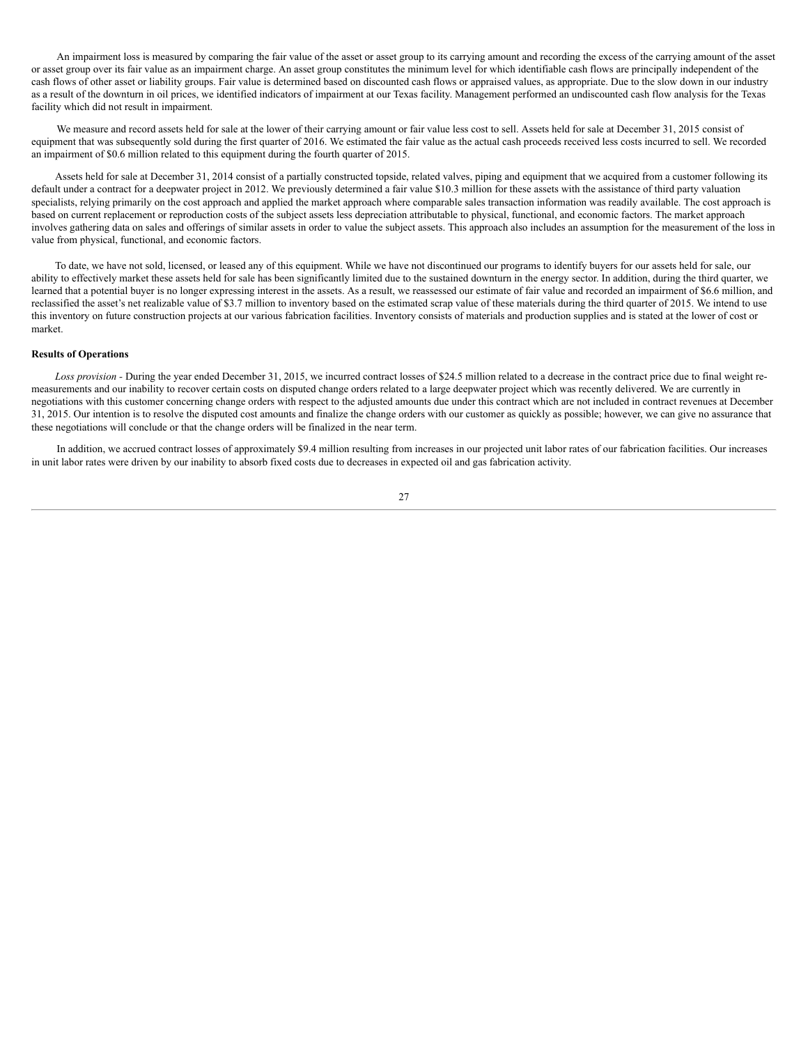An impairment loss is measured by comparing the fair value of the asset or asset group to its carrying amount and recording the excess of the carrying amount of the asset or asset group over its fair value as an impairment charge. An asset group constitutes the minimum level for which identifiable cash flows are principally independent of the cash flows of other asset or liability groups. Fair value is determined based on discounted cash flows or appraised values, as appropriate. Due to the slow down in our industry as a result of the downturn in oil prices, we identified indicators of impairment at our Texas facility. Management performed an undiscounted cash flow analysis for the Texas facility which did not result in impairment.

We measure and record assets held for sale at the lower of their carrying amount or fair value less cost to sell. Assets held for sale at December 31, 2015 consist of equipment that was subsequently sold during the first quarter of 2016. We estimated the fair value as the actual cash proceeds received less costs incurred to sell. We recorded an impairment of \$0.6 million related to this equipment during the fourth quarter of 2015.

Assets held for sale at December 31, 2014 consist of a partially constructed topside, related valves, piping and equipment that we acquired from a customer following its default under a contract for a deepwater project in 2012. We previously determined a fair value \$10.3 million for these assets with the assistance of third party valuation specialists, relying primarily on the cost approach and applied the market approach where comparable sales transaction information was readily available. The cost approach is based on current replacement or reproduction costs of the subject assets less depreciation attributable to physical, functional, and economic factors. The market approach involves gathering data on sales and offerings of similar assets in order to value the subject assets. This approach also includes an assumption for the measurement of the loss in value from physical, functional, and economic factors.

To date, we have not sold, licensed, or leased any of this equipment. While we have not discontinued our programs to identify buyers for our assets held for sale, our ability to effectively market these assets held for sale has been significantly limited due to the sustained downturn in the energy sector. In addition, during the third quarter, we learned that a potential buyer is no longer expressing interest in the assets. As a result, we reassessed our estimate of fair value and recorded an impairment of \$6.6 million, and reclassified the asset's net realizable value of \$3.7 million to inventory based on the estimated scrap value of these materials during the third quarter of 2015. We intend to use this inventory on future construction projects at our various fabrication facilities. Inventory consists of materials and production supplies and is stated at the lower of cost or market.

#### **Results of Operations**

*Loss provision* - During the year ended December 31, 2015, we incurred contract losses of \$24.5 million related to a decrease in the contract price due to final weight remeasurements and our inability to recover certain costs on disputed change orders related to a large deepwater project which was recently delivered. We are currently in negotiations with this customer concerning change orders with respect to the adjusted amounts due under this contract which are not included in contract revenues at December 31, 2015. Our intention is to resolve the disputed cost amounts and finalize the change orders with our customer as quickly as possible; however, we can give no assurance that these negotiations will conclude or that the change orders will be finalized in the near term.

In addition, we accrued contract losses of approximately \$9.4 million resulting from increases in our projected unit labor rates of our fabrication facilities. Our increases in unit labor rates were driven by our inability to absorb fixed costs due to decreases in expected oil and gas fabrication activity.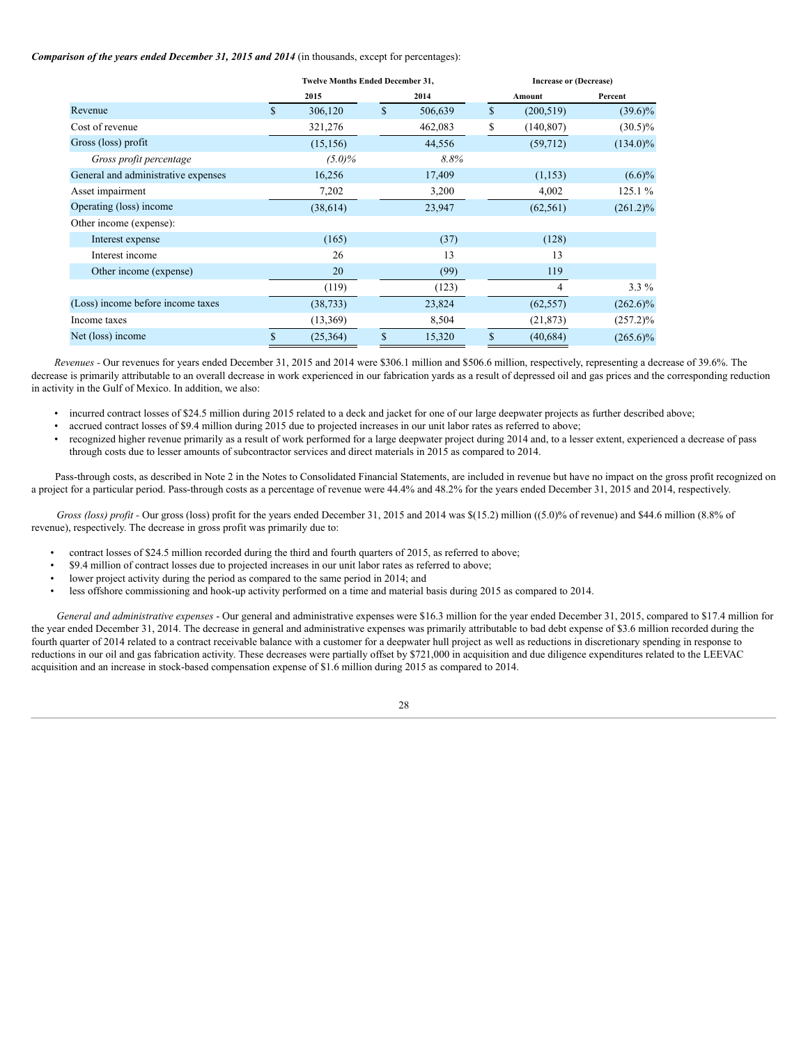*Comparison of the years ended December 31, 2015 and 2014* (in thousands, except for percentages):

|                                     | <b>Twelve Months Ended December 31,</b> |    |         | <b>Increase or (Decrease)</b> |             |  |  |
|-------------------------------------|-----------------------------------------|----|---------|-------------------------------|-------------|--|--|
|                                     | 2015                                    |    | 2014    | Amount                        | Percent     |  |  |
| Revenue                             | \$<br>306,120                           | \$ | 506,639 | \$<br>(200, 519)              | $(39.6)\%$  |  |  |
| Cost of revenue                     | 321,276                                 |    | 462,083 | \$<br>(140, 807)              | $(30.5)\%$  |  |  |
| Gross (loss) profit                 | (15, 156)                               |    | 44,556  | (59,712)                      | $(134.0)\%$ |  |  |
| Gross profit percentage             | $(5.0)\%$                               |    | 8.8%    |                               |             |  |  |
| General and administrative expenses | 16,256                                  |    | 17,409  | (1,153)                       | $(6.6)\%$   |  |  |
| Asset impairment                    | 7,202                                   |    | 3,200   | 4,002                         | 125.1 %     |  |  |
| Operating (loss) income             | (38,614)                                |    | 23,947  | (62, 561)                     | $(261.2)\%$ |  |  |
| Other income (expense):             |                                         |    |         |                               |             |  |  |
| Interest expense                    | (165)                                   |    | (37)    | (128)                         |             |  |  |
| Interest income                     | 26                                      |    | 13      | 13                            |             |  |  |
| Other income (expense)              | 20                                      |    | (99)    | 119                           |             |  |  |
|                                     | (119)                                   |    | (123)   | 4                             | $3.3\%$     |  |  |
| (Loss) income before income taxes   | (38, 733)                               |    | 23,824  | (62, 557)                     | $(262.6)\%$ |  |  |
| Income taxes                        | (13,369)                                |    | 8,504   | (21, 873)                     | $(257.2)\%$ |  |  |
| Net (loss) income                   | \$<br>(25, 364)                         | \$ | 15,320  | \$<br>(40, 684)               | $(265.6)\%$ |  |  |
|                                     |                                         |    |         |                               |             |  |  |

*Revenues -* Our revenues for years ended December 31, 2015 and 2014 were \$306.1 million and \$506.6 million, respectively, representing a decrease of 39.6%. The decrease is primarily attributable to an overall decrease in work experienced in our fabrication yards as a result of depressed oil and gas prices and the corresponding reduction in activity in the Gulf of Mexico. In addition, we also:

- incurred contract losses of \$24.5 million during 2015 related to a deck and jacket for one of our large deepwater projects as further described above;
- accrued contract losses of \$9.4 million during 2015 due to projected increases in our unit labor rates as referred to above;
- recognized higher revenue primarily as a result of work performed for a large deepwater project during 2014 and, to a lesser extent, experienced a decrease of pass through costs due to lesser amounts of subcontractor services and direct materials in 2015 as compared to 2014.

Pass-through costs, as described in Note 2 in the Notes to Consolidated Financial Statements, are included in revenue but have no impact on the gross profit recognized on a project for a particular period. Pass-through costs as a percentage of revenue were 44.4% and 48.2% for the years ended December 31, 2015 and 2014, respectively.

*Gross (loss) profit -* Our gross (loss) profit for the years ended December 31, 2015 and 2014 was \$(15.2) million ((5.0)% of revenue) and \$44.6 million (8.8% of revenue), respectively. The decrease in gross profit was primarily due to:

- contract losses of \$24.5 million recorded during the third and fourth quarters of 2015, as referred to above;
- \$9.4 million of contract losses due to projected increases in our unit labor rates as referred to above;
- lower project activity during the period as compared to the same period in 2014; and
- less offshore commissioning and hook-up activity performed on a time and material basis during 2015 as compared to 2014.

*General and administrative expenses* - Our general and administrative expenses were \$16.3 million for the year ended December 31, 2015, compared to \$17.4 million for the year ended December 31, 2014. The decrease in general and administrative expenses was primarily attributable to bad debt expense of \$3.6 million recorded during the fourth quarter of 2014 related to a contract receivable balance with a customer for a deepwater hull project as well as reductions in discretionary spending in response to reductions in our oil and gas fabrication activity. These decreases were partially offset by \$721,000 in acquisition and due diligence expenditures related to the LEEVAC acquisition and an increase in stock-based compensation expense of \$1.6 million during 2015 as compared to 2014.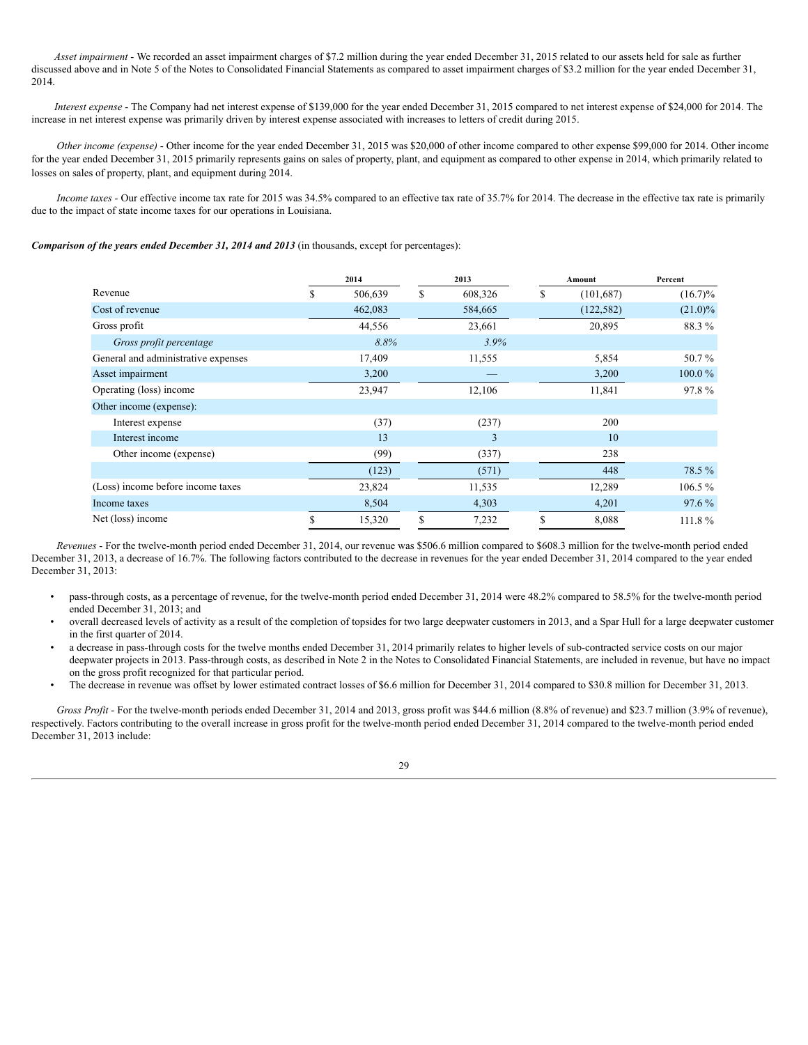*Asset impairment* - We recorded an asset impairment charges of \$7.2 million during the year ended December 31, 2015 related to our assets held for sale as further discussed above and in Note 5 of the Notes to Consolidated Financial Statements as compared to asset impairment charges of \$3.2 million for the year ended December 31, 2014.

*Interest expense* - The Company had net interest expense of \$139,000 for the year ended December 31, 2015 compared to net interest expense of \$24,000 for 2014. The increase in net interest expense was primarily driven by interest expense associated with increases to letters of credit during 2015.

*Other income (expense)* - Other income for the year ended December 31, 2015 was \$20,000 of other income compared to other expense \$99,000 for 2014. Other income for the year ended December 31, 2015 primarily represents gains on sales of property, plant, and equipment as compared to other expense in 2014, which primarily related to losses on sales of property, plant, and equipment during 2014.

*Income taxes* - Our effective income tax rate for 2015 was 34.5% compared to an effective tax rate of 35.7% for 2014. The decrease in the effective tax rate is primarily due to the impact of state income taxes for our operations in Louisiana.

*Comparison of the years ended December 31, 2014 and 2013* (in thousands, except for percentages):

|                                     | 2014          | 2013          | Amount           | Percent    |
|-------------------------------------|---------------|---------------|------------------|------------|
| Revenue                             | \$<br>506,639 | \$<br>608,326 | \$<br>(101, 687) | $(16.7)\%$ |
| Cost of revenue                     | 462,083       | 584,665       | (122, 582)       | $(21.0)\%$ |
| Gross profit                        | 44,556        | 23,661        | 20,895           | 88.3%      |
| Gross profit percentage             | 8.8%          | 3.9%          |                  |            |
| General and administrative expenses | 17,409        | 11,555        | 5,854            | 50.7%      |
| Asset impairment                    | 3,200         |               | 3,200            | 100.0%     |
| Operating (loss) income             | 23,947        | 12,106        | 11,841           | 97.8%      |
| Other income (expense):             |               |               |                  |            |
| Interest expense                    | (37)          | (237)         | 200              |            |
| Interest income                     | 13            | 3             | 10               |            |
| Other income (expense)              | (99)          | (337)         | 238              |            |
|                                     | (123)         | (571)         | 448              | 78.5%      |
| (Loss) income before income taxes   | 23,824        | 11,535        | 12,289           | 106.5%     |
| Income taxes                        | 8,504         | 4,303         | 4,201            | $97.6\%$   |
| Net (loss) income                   | \$<br>15,320  | \$<br>7,232   | \$<br>8,088      | 111.8%     |

*Revenues* - For the twelve-month period ended December 31, 2014, our revenue was \$506.6 million compared to \$608.3 million for the twelve-month period ended December 31, 2013, a decrease of 16.7%. The following factors contributed to the decrease in revenues for the year ended December 31, 2014 compared to the year ended December 31, 2013:

- pass-through costs, as a percentage of revenue, for the twelve-month period ended December 31, 2014 were 48.2% compared to 58.5% for the twelve-month period ended December 31, 2013; and
- overall decreased levels of activity as a result of the completion of topsides for two large deepwater customers in 2013, and a Spar Hull for a large deepwater customer in the first quarter of 2014.
- a decrease in pass-through costs for the twelve months ended December 31, 2014 primarily relates to higher levels of sub-contracted service costs on our major deepwater projects in 2013. Pass-through costs, as described in Note 2 in the Notes to Consolidated Financial Statements, are included in revenue, but have no impact on the gross profit recognized for that particular period.
- The decrease in revenue was offset by lower estimated contract losses of \$6.6 million for December 31, 2014 compared to \$30.8 million for December 31, 2013.

*Gross Profit* - For the twelve-month periods ended December 31, 2014 and 2013, gross profit was \$44.6 million (8.8% of revenue) and \$23.7 million (3.9% of revenue), respectively. Factors contributing to the overall increase in gross profit for the twelve-month period ended December 31, 2014 compared to the twelve-month period ended December 31, 2013 include: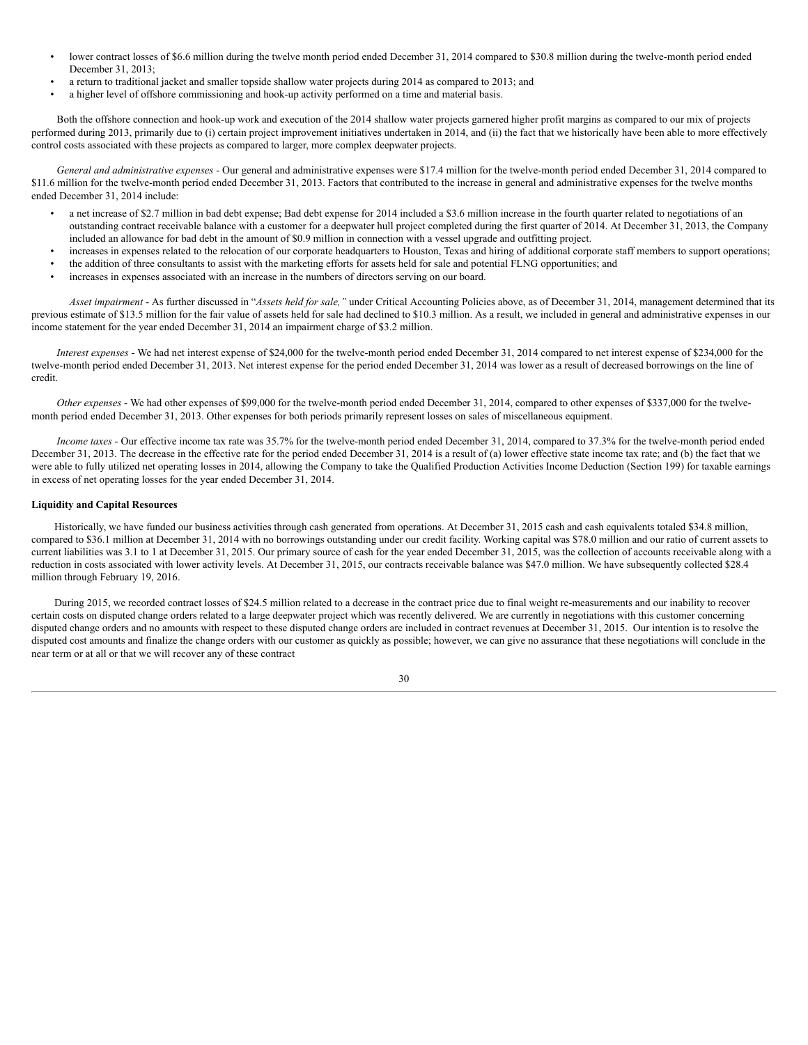- lower contract losses of \$6.6 million during the twelve month period ended December 31, 2014 compared to \$30.8 million during the twelve-month period ended December 31, 2013;
- a return to traditional jacket and smaller topside shallow water projects during 2014 as compared to 2013; and
- a higher level of offshore commissioning and hook-up activity performed on a time and material basis.

Both the offshore connection and hook-up work and execution of the 2014 shallow water projects garnered higher profit margins as compared to our mix of projects performed during 2013, primarily due to (i) certain project improvement initiatives undertaken in 2014, and (ii) the fact that we historically have been able to more effectively control costs associated with these projects as compared to larger, more complex deepwater projects.

*General and administrative expenses* - Our general and administrative expenses were \$17.4 million for the twelve-month period ended December 31, 2014 compared to \$11.6 million for the twelve-month period ended December 31, 2013. Factors that contributed to the increase in general and administrative expenses for the twelve months ended December 31, 2014 include:

- a net increase of \$2.7 million in bad debt expense; Bad debt expense for 2014 included a \$3.6 million increase in the fourth quarter related to negotiations of an outstanding contract receivable balance with a customer for a deepwater hull project completed during the first quarter of 2014. At December 31, 2013, the Company included an allowance for bad debt in the amount of \$0.9 million in connection with a vessel upgrade and outfitting project.
- increases in expenses related to the relocation of our corporate headquarters to Houston, Texas and hiring of additional corporate staff members to support operations;
- the addition of three consultants to assist with the marketing efforts for assets held for sale and potential FLNG opportunities; and
- increases in expenses associated with an increase in the numbers of directors serving on our board.

*Asset impairment* - As further discussed in "*Assets held for sale,"* under Critical Accounting Policies above, as of December 31, 2014, management determined that its previous estimate of \$13.5 million for the fair value of assets held for sale had declined to \$10.3 million. As a result, we included in general and administrative expenses in our income statement for the year ended December 31, 2014 an impairment charge of \$3.2 million.

*Interest expenses* - We had net interest expense of \$24,000 for the twelve-month period ended December 31, 2014 compared to net interest expense of \$234,000 for the twelve-month period ended December 31, 2013. Net interest expense for the period ended December 31, 2014 was lower as a result of decreased borrowings on the line of credit.

*Other expenses* - We had other expenses of \$99,000 for the twelve-month period ended December 31, 2014, compared to other expenses of \$337,000 for the twelvemonth period ended December 31, 2013. Other expenses for both periods primarily represent losses on sales of miscellaneous equipment.

*Income taxes* - Our effective income tax rate was 35.7% for the twelve-month period ended December 31, 2014, compared to 37.3% for the twelve-month period ended December 31, 2013. The decrease in the effective rate for the period ended December 31, 2014 is a result of (a) lower effective state income tax rate; and (b) the fact that we were able to fully utilized net operating losses in 2014, allowing the Company to take the Qualified Production Activities Income Deduction (Section 199) for taxable earnings in excess of net operating losses for the year ended December 31, 2014.

#### **Liquidity and Capital Resources**

Historically, we have funded our business activities through cash generated from operations. At December 31, 2015 cash and cash equivalents totaled \$34.8 million, compared to \$36.1 million at December 31, 2014 with no borrowings outstanding under our credit facility. Working capital was \$78.0 million and our ratio of current assets to current liabilities was 3.1 to 1 at December 31, 2015. Our primary source of cash for the year ended December 31, 2015, was the collection of accounts receivable along with a reduction in costs associated with lower activity levels. At December 31, 2015, our contracts receivable balance was \$47.0 million. We have subsequently collected \$28.4 million through February 19, 2016.

During 2015, we recorded contract losses of \$24.5 million related to a decrease in the contract price due to final weight re-measurements and our inability to recover certain costs on disputed change orders related to a large deepwater project which was recently delivered. We are currently in negotiations with this customer concerning disputed change orders and no amounts with respect to these disputed change orders are included in contract revenues at December 31, 2015. Our intention is to resolve the disputed cost amounts and finalize the change orders with our customer as quickly as possible; however, we can give no assurance that these negotiations will conclude in the near term or at all or that we will recover any of these contract

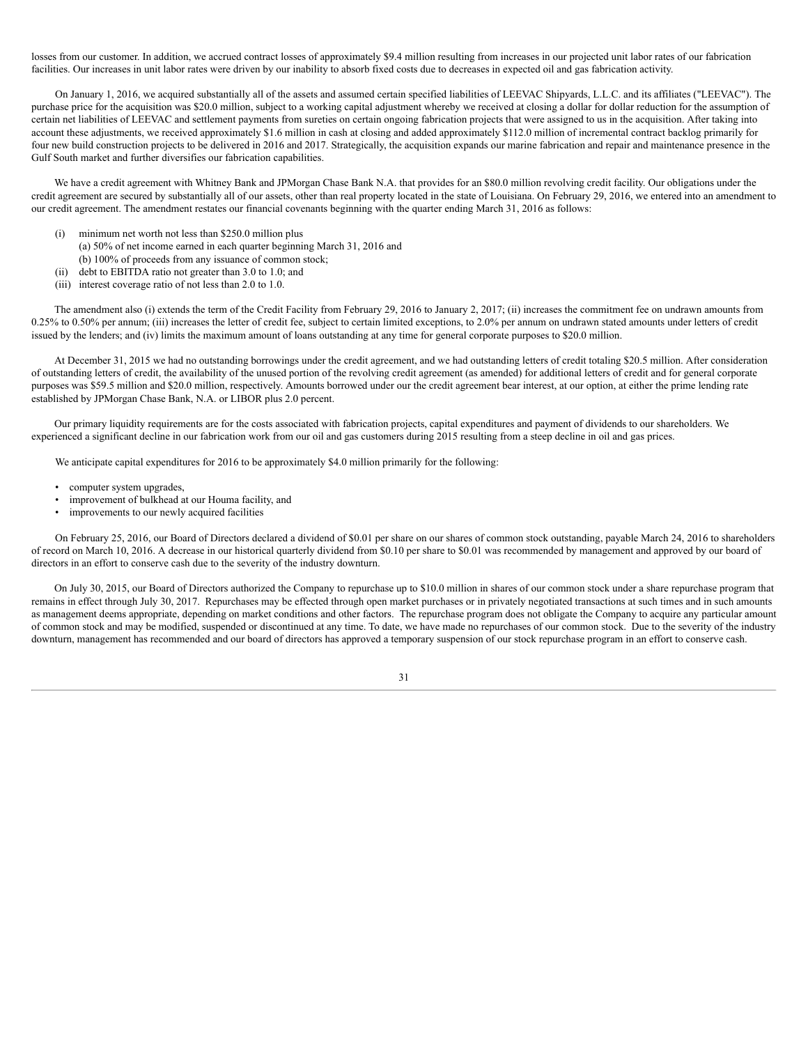losses from our customer. In addition, we accrued contract losses of approximately \$9.4 million resulting from increases in our projected unit labor rates of our fabrication facilities. Our increases in unit labor rates were driven by our inability to absorb fixed costs due to decreases in expected oil and gas fabrication activity.

On January 1, 2016, we acquired substantially all of the assets and assumed certain specified liabilities of LEEVAC Shipyards, L.L.C. and its affiliates ("LEEVAC"). The purchase price for the acquisition was \$20.0 million, subject to a working capital adjustment whereby we received at closing a dollar for dollar reduction for the assumption of certain net liabilities of LEEVAC and settlement payments from sureties on certain ongoing fabrication projects that were assigned to us in the acquisition. After taking into account these adjustments, we received approximately \$1.6 million in cash at closing and added approximately \$112.0 million of incremental contract backlog primarily for four new build construction projects to be delivered in 2016 and 2017. Strategically, the acquisition expands our marine fabrication and repair and maintenance presence in the Gulf South market and further diversifies our fabrication capabilities.

We have a credit agreement with Whitney Bank and JPMorgan Chase Bank N.A. that provides for an \$80.0 million revolving credit facility. Our obligations under the credit agreement are secured by substantially all of our assets, other than real property located in the state of Louisiana. On February 29, 2016, we entered into an amendment to our credit agreement. The amendment restates our financial covenants beginning with the quarter ending March 31, 2016 as follows:

- (i) minimum net worth not less than \$250.0 million plus
	- (a) 50% of net income earned in each quarter beginning March 31, 2016 and
- (b) 100% of proceeds from any issuance of common stock;
- (ii) debt to EBITDA ratio not greater than 3.0 to 1.0; and
- (iii) interest coverage ratio of not less than 2.0 to 1.0.

The amendment also (i) extends the term of the Credit Facility from February 29, 2016 to January 2, 2017; (ii) increases the commitment fee on undrawn amounts from 0.25% to 0.50% per annum; (iii) increases the letter of credit fee, subject to certain limited exceptions, to 2.0% per annum on undrawn stated amounts under letters of credit issued by the lenders; and (iv) limits the maximum amount of loans outstanding at any time for general corporate purposes to \$20.0 million.

At December 31, 2015 we had no outstanding borrowings under the credit agreement, and we had outstanding letters of credit totaling \$20.5 million. After consideration of outstanding letters of credit, the availability of the unused portion of the revolving credit agreement (as amended) for additional letters of credit and for general corporate purposes was \$59.5 million and \$20.0 million, respectively. Amounts borrowed under our the credit agreement bear interest, at our option, at either the prime lending rate established by JPMorgan Chase Bank, N.A. or LIBOR plus 2.0 percent.

Our primary liquidity requirements are for the costs associated with fabrication projects, capital expenditures and payment of dividends to our shareholders. We experienced a significant decline in our fabrication work from our oil and gas customers during 2015 resulting from a steep decline in oil and gas prices.

We anticipate capital expenditures for 2016 to be approximately \$4.0 million primarily for the following:

- computer system upgrades,
- improvement of bulkhead at our Houma facility, and
- improvements to our newly acquired facilities

On February 25, 2016, our Board of Directors declared a dividend of \$0.01 per share on our shares of common stock outstanding, payable March 24, 2016 to shareholders of record on March 10, 2016. A decrease in our historical quarterly dividend from \$0.10 per share to \$0.01 was recommended by management and approved by our board of directors in an effort to conserve cash due to the severity of the industry downturn.

On July 30, 2015, our Board of Directors authorized the Company to repurchase up to \$10.0 million in shares of our common stock under a share repurchase program that remains in effect through July 30, 2017. Repurchases may be effected through open market purchases or in privately negotiated transactions at such times and in such amounts as management deems appropriate, depending on market conditions and other factors. The repurchase program does not obligate the Company to acquire any particular amount of common stock and may be modified, suspended or discontinued at any time. To date, we have made no repurchases of our common stock. Due to the severity of the industry downturn, management has recommended and our board of directors has approved a temporary suspension of our stock repurchase program in an effort to conserve cash.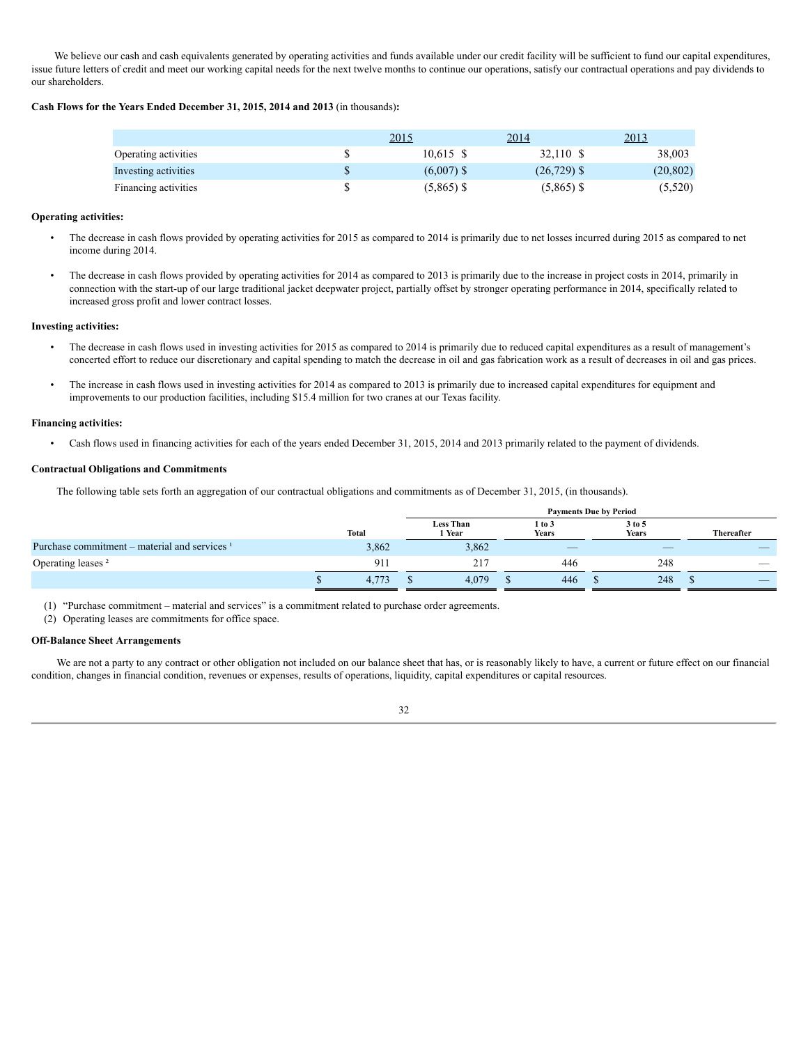We believe our cash and cash equivalents generated by operating activities and funds available under our credit facility will be sufficient to fund our capital expenditures, issue future letters of credit and meet our working capital needs for the next twelve months to continue our operations, satisfy our contractual operations and pay dividends to our shareholders.

#### **Cash Flows for the Years Ended December 31, 2015, 2014 and 2013** (in thousands)**:**

|                      |    | 2015         | 2014           | 2013      |
|----------------------|----|--------------|----------------|-----------|
| Operating activities | S  | 10.615 S     | 32.110 \$      | 38,003    |
| Investing activities | \$ | $(6,007)$ \$ | $(26, 729)$ \$ | (20, 802) |
| Financing activities | S  | $(5,865)$ \$ | $(5,865)$ \$   | 5,520)    |

#### **Operating activities:**

- The decrease in cash flows provided by operating activities for 2015 as compared to 2014 is primarily due to net losses incurred during 2015 as compared to net income during 2014.
- The decrease in cash flows provided by operating activities for 2014 as compared to 2013 is primarily due to the increase in project costs in 2014, primarily in connection with the start-up of our large traditional jacket deepwater project, partially offset by stronger operating performance in 2014, specifically related to increased gross profit and lower contract losses.

#### **Investing activities:**

- The decrease in cash flows used in investing activities for 2015 as compared to 2014 is primarily due to reduced capital expenditures as a result of management's concerted effort to reduce our discretionary and capital spending to match the decrease in oil and gas fabrication work as a result of decreases in oil and gas prices.
- The increase in cash flows used in investing activities for 2014 as compared to 2013 is primarily due to increased capital expenditures for equipment and improvements to our production facilities, including \$15.4 million for two cranes at our Texas facility.

#### **Financing activities:**

• Cash flows used in financing activities for each of the years ended December 31, 2015, 2014 and 2013 primarily related to the payment of dividends.

#### **Contractual Obligations and Commitments**

The following table sets forth an aggregation of our contractual obligations and commitments as of December 31, 2015, (in thousands).

|                                                 | <b>Payments Due by Period</b> |  |                            |  |                 |  |                        |  |                          |
|-------------------------------------------------|-------------------------------|--|----------------------------|--|-----------------|--|------------------------|--|--------------------------|
|                                                 | <b>Total</b>                  |  | <b>Less Than</b><br>' Year |  | 1 to 3<br>Years |  | 3 to 5<br><b>Years</b> |  | <b>Thereafter</b>        |
| Purchase commitment – material and services $1$ | 3,862                         |  | 3,862                      |  |                 |  |                        |  |                          |
| Operating leases <sup>2</sup>                   | 911                           |  | 217                        |  | 446             |  | 248                    |  | $\overline{\phantom{a}}$ |
|                                                 |                               |  | 4,079                      |  | 446             |  | 248                    |  | _                        |

(1) "Purchase commitment – material and services" is a commitment related to purchase order agreements.

(2) Operating leases are commitments for office space.

#### **Off-Balance Sheet Arrangements**

We are not a party to any contract or other obligation not included on our balance sheet that has, or is reasonably likely to have, a current or future effect on our financial condition, changes in financial condition, revenues or expenses, results of operations, liquidity, capital expenditures or capital resources.

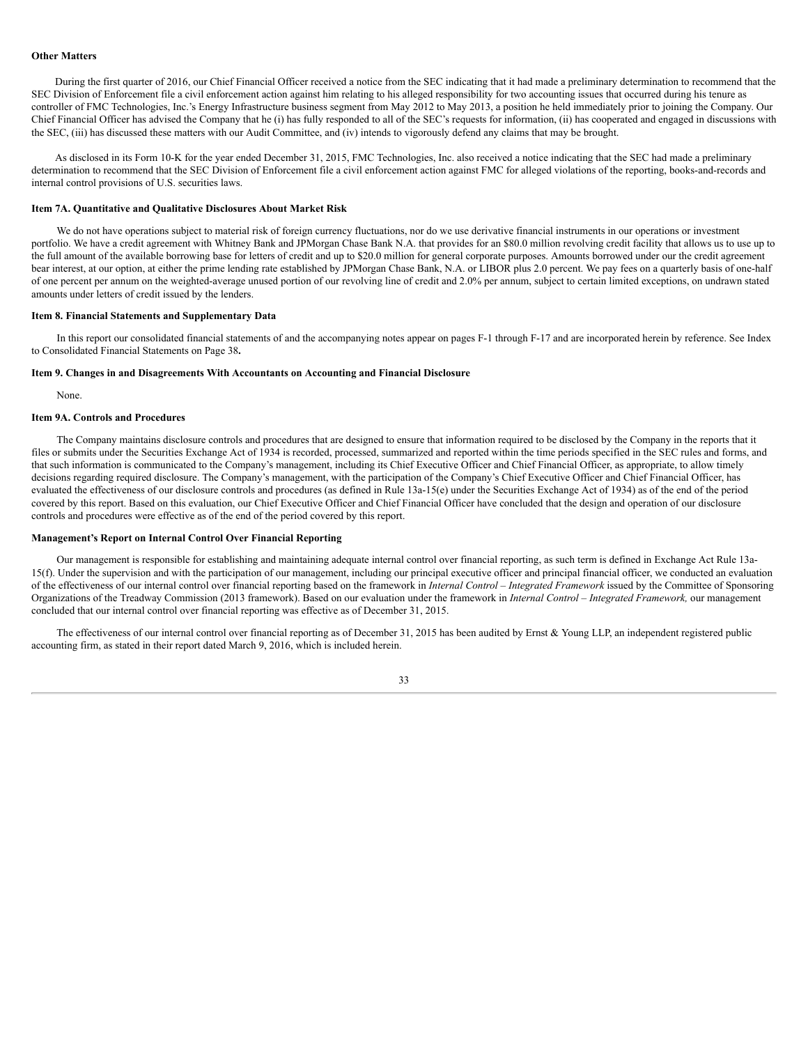#### **Other Matters**

During the first quarter of 2016, our Chief Financial Officer received a notice from the SEC indicating that it had made a preliminary determination to recommend that the SEC Division of Enforcement file a civil enforcement action against him relating to his alleged responsibility for two accounting issues that occurred during his tenure as controller of FMC Technologies, Inc.'s Energy Infrastructure business segment from May 2012 to May 2013, a position he held immediately prior to joining the Company. Our Chief Financial Officer has advised the Company that he (i) has fully responded to all of the SEC's requests for information, (ii) has cooperated and engaged in discussions with the SEC, (iii) has discussed these matters with our Audit Committee, and (iv) intends to vigorously defend any claims that may be brought.

As disclosed in its Form 10-K for the year ended December 31, 2015, FMC Technologies, Inc. also received a notice indicating that the SEC had made a preliminary determination to recommend that the SEC Division of Enforcement file a civil enforcement action against FMC for alleged violations of the reporting, books-and-records and internal control provisions of U.S. securities laws.

#### **Item 7A. Quantitative and Qualitative Disclosures About Market Risk**

We do not have operations subject to material risk of foreign currency fluctuations, nor do we use derivative financial instruments in our operations or investment portfolio. We have a credit agreement with Whitney Bank and JPMorgan Chase Bank N.A. that provides for an \$80.0 million revolving credit facility that allows us to use up to the full amount of the available borrowing base for letters of credit and up to \$20.0 million for general corporate purposes. Amounts borrowed under our the credit agreement bear interest, at our option, at either the prime lending rate established by JPMorgan Chase Bank, N.A. or LIBOR plus 2.0 percent. We pay fees on a quarterly basis of one-half of one percent per annum on the weighted-average unused portion of our revolving line of credit and 2.0% per annum, subject to certain limited exceptions, on undrawn stated amounts under letters of credit issued by the lenders.

#### **Item 8. Financial Statements and Supplementary Data**

In this report our consolidated financial statements of and the accompanying notes appear on pages F-1 through F-17 and are incorporated herein by reference. See Index to Consolidated Financial Statements on Page 38**.**

#### **Item 9. Changes in and Disagreements With Accountants on Accounting and Financial Disclosure**

None.

#### **Item 9A. Controls and Procedures**

The Company maintains disclosure controls and procedures that are designed to ensure that information required to be disclosed by the Company in the reports that it files or submits under the Securities Exchange Act of 1934 is recorded, processed, summarized and reported within the time periods specified in the SEC rules and forms, and that such information is communicated to the Company's management, including its Chief Executive Officer and Chief Financial Officer, as appropriate, to allow timely decisions regarding required disclosure. The Company's management, with the participation of the Company's Chief Executive Officer and Chief Financial Officer, has evaluated the effectiveness of our disclosure controls and procedures (as defined in Rule 13a-15(e) under the Securities Exchange Act of 1934) as of the end of the period covered by this report. Based on this evaluation, our Chief Executive Officer and Chief Financial Officer have concluded that the design and operation of our disclosure controls and procedures were effective as of the end of the period covered by this report.

#### **Management's Report on Internal Control Over Financial Reporting**

Our management is responsible for establishing and maintaining adequate internal control over financial reporting, as such term is defined in Exchange Act Rule 13a-15(f). Under the supervision and with the participation of our management, including our principal executive officer and principal financial officer, we conducted an evaluation of the effectiveness of our internal control over financial reporting based on the framework in *Internal Control – Integrated Framework* issued by the Committee of Sponsoring Organizations of the Treadway Commission (2013 framework). Based on our evaluation under the framework in *Internal Control – Integrated Framework,* our management concluded that our internal control over financial reporting was effective as of December 31, 2015.

The effectiveness of our internal control over financial reporting as of December 31, 2015 has been audited by Ernst & Young LLP, an independent registered public accounting firm, as stated in their report dated March 9, 2016, which is included herein.

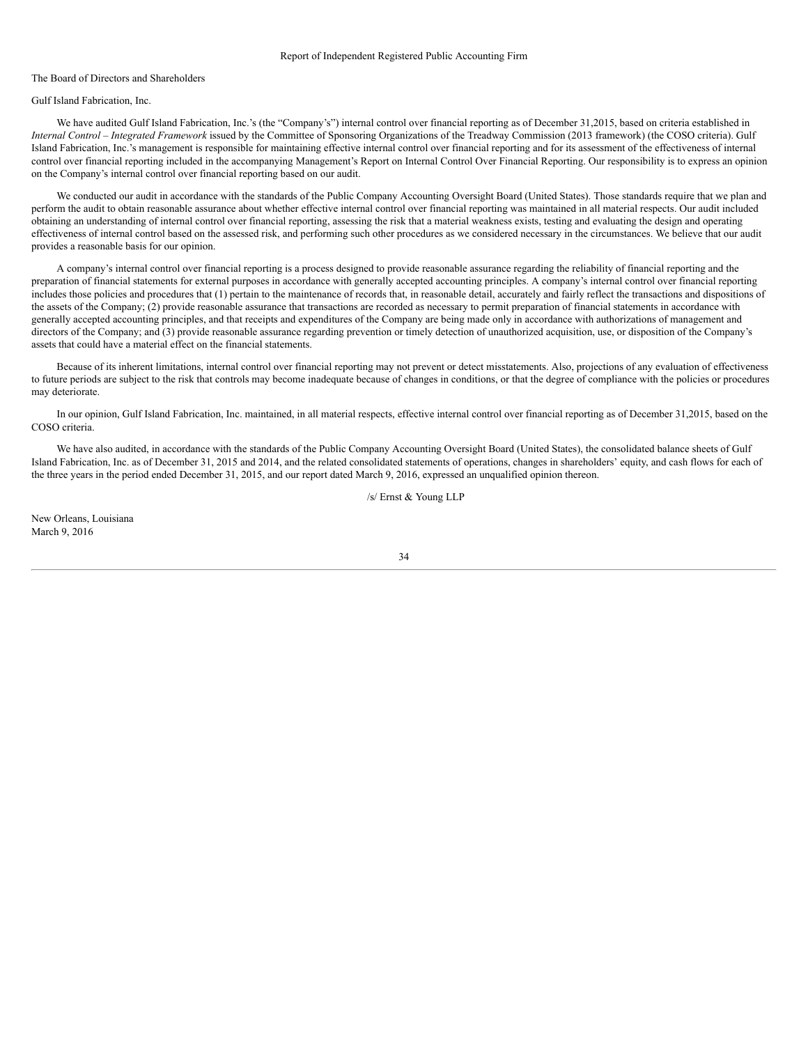#### The Board of Directors and Shareholders

#### Gulf Island Fabrication, Inc.

We have audited Gulf Island Fabrication, Inc.'s (the "Company's") internal control over financial reporting as of December 31,2015, based on criteria established in *Internal Control – Integrated Framework* issued by the Committee of Sponsoring Organizations of the Treadway Commission (2013 framework) (the COSO criteria). Gulf Island Fabrication, Inc.'s management is responsible for maintaining effective internal control over financial reporting and for its assessment of the effectiveness of internal control over financial reporting included in the accompanying Management's Report on Internal Control Over Financial Reporting. Our responsibility is to express an opinion on the Company's internal control over financial reporting based on our audit.

We conducted our audit in accordance with the standards of the Public Company Accounting Oversight Board (United States). Those standards require that we plan and perform the audit to obtain reasonable assurance about whether effective internal control over financial reporting was maintained in all material respects. Our audit included obtaining an understanding of internal control over financial reporting, assessing the risk that a material weakness exists, testing and evaluating the design and operating effectiveness of internal control based on the assessed risk, and performing such other procedures as we considered necessary in the circumstances. We believe that our audit provides a reasonable basis for our opinion.

A company's internal control over financial reporting is a process designed to provide reasonable assurance regarding the reliability of financial reporting and the preparation of financial statements for external purposes in accordance with generally accepted accounting principles. A company's internal control over financial reporting includes those policies and procedures that (1) pertain to the maintenance of records that, in reasonable detail, accurately and fairly reflect the transactions and dispositions of the assets of the Company; (2) provide reasonable assurance that transactions are recorded as necessary to permit preparation of financial statements in accordance with generally accepted accounting principles, and that receipts and expenditures of the Company are being made only in accordance with authorizations of management and directors of the Company; and (3) provide reasonable assurance regarding prevention or timely detection of unauthorized acquisition, use, or disposition of the Company's assets that could have a material effect on the financial statements.

Because of its inherent limitations, internal control over financial reporting may not prevent or detect misstatements. Also, projections of any evaluation of effectiveness to future periods are subject to the risk that controls may become inadequate because of changes in conditions, or that the degree of compliance with the policies or procedures may deteriorate.

In our opinion, Gulf Island Fabrication, Inc. maintained, in all material respects, effective internal control over financial reporting as of December 31,2015, based on the COSO criteria.

We have also audited, in accordance with the standards of the Public Company Accounting Oversight Board (United States), the consolidated balance sheets of Gulf Island Fabrication, Inc. as of December 31, 2015 and 2014, and the related consolidated statements of operations, changes in shareholders' equity, and cash flows for each of the three years in the period ended December 31, 2015, and our report dated March 9, 2016, expressed an unqualified opinion thereon.

/s/ Ernst & Young LLP

New Orleans, Louisiana March 9, 2016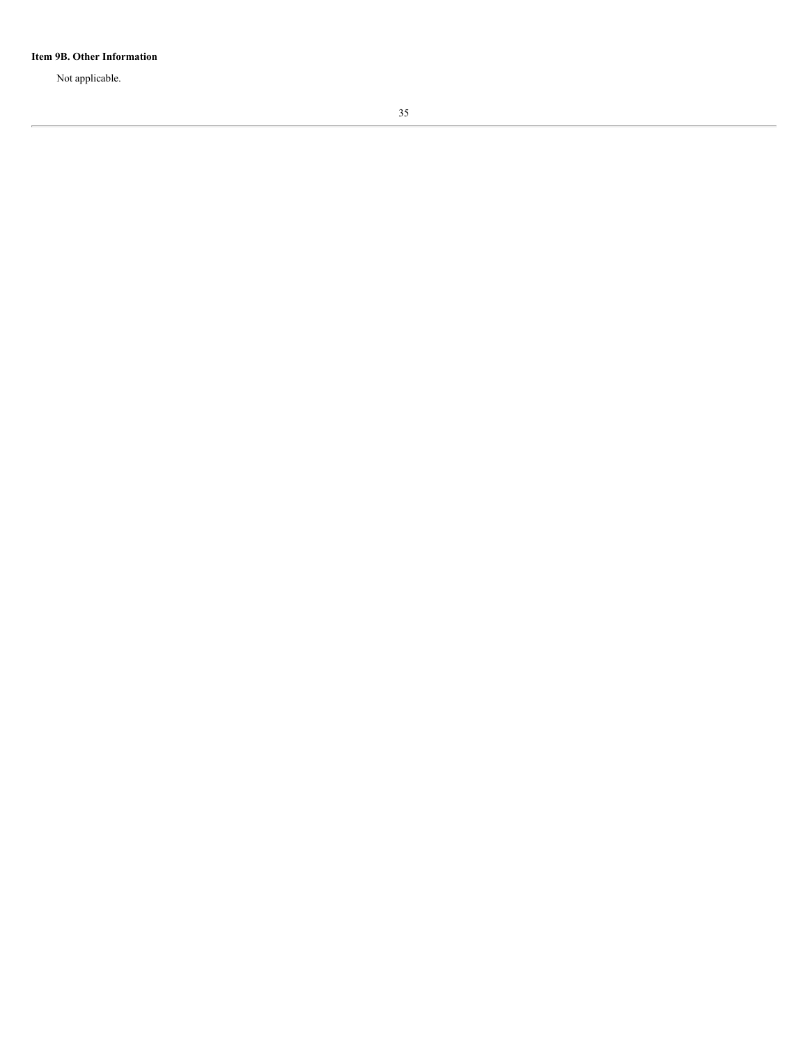#### Item 9B. Other Information

Not applicable.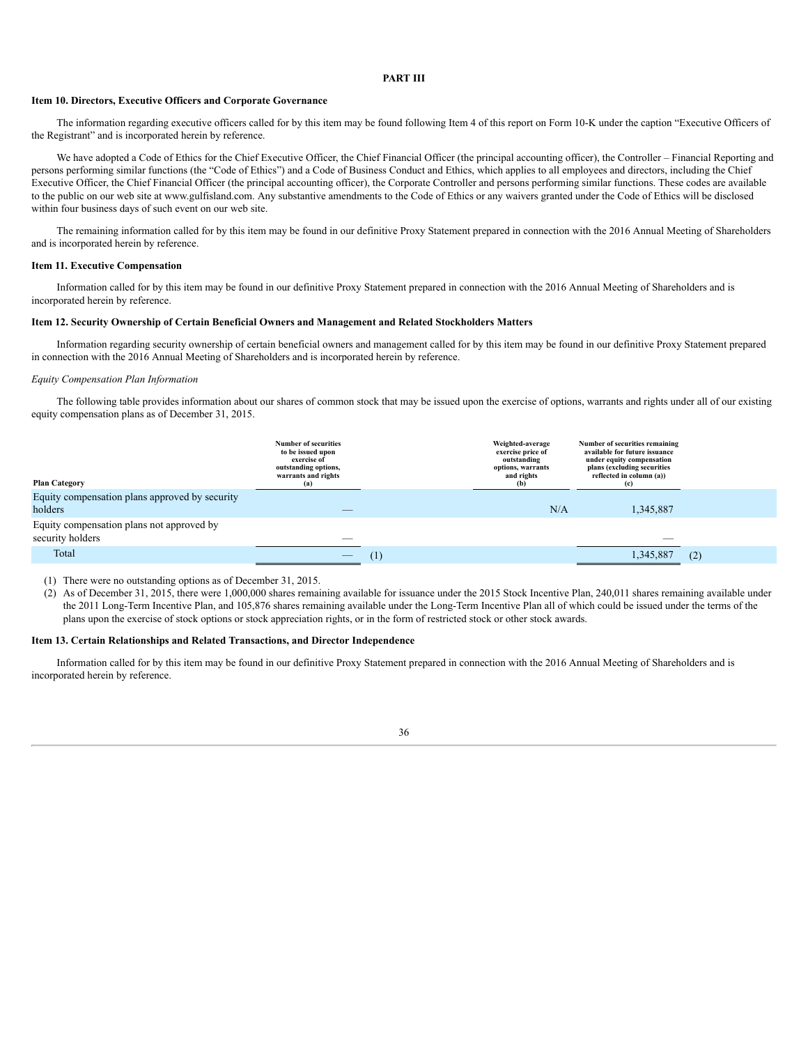#### **PART III**

#### **Item 10. Directors, Executive Officers and Corporate Governance**

The information regarding executive officers called for by this item may be found following Item 4 of this report on Form 10-K under the caption "Executive Officers of the Registrant" and is incorporated herein by reference.

We have adopted a Code of Ethics for the Chief Executive Officer, the Chief Financial Officer (the principal accounting officer), the Controller – Financial Reporting and persons performing similar functions (the "Code of Ethics") and a Code of Business Conduct and Ethics, which applies to all employees and directors, including the Chief Executive Officer, the Chief Financial Officer (the principal accounting officer), the Corporate Controller and persons performing similar functions. These codes are available to the public on our web site at www.gulfisland.com. Any substantive amendments to the Code of Ethics or any waivers granted under the Code of Ethics will be disclosed within four business days of such event on our web site.

The remaining information called for by this item may be found in our definitive Proxy Statement prepared in connection with the 2016 Annual Meeting of Shareholders and is incorporated herein by reference.

#### **Item 11. Executive Compensation**

Information called for by this item may be found in our definitive Proxy Statement prepared in connection with the 2016 Annual Meeting of Shareholders and is incorporated herein by reference.

#### **Item 12. Security Ownership of Certain Beneficial Owners and Management and Related Stockholders Matters**

Information regarding security ownership of certain beneficial owners and management called for by this item may be found in our definitive Proxy Statement prepared in connection with the 2016 Annual Meeting of Shareholders and is incorporated herein by reference.

#### *Equity Compensation Plan Information*

The following table provides information about our shares of common stock that may be issued upon the exercise of options, warrants and rights under all of our existing equity compensation plans as of December 31, 2015.

| <b>Plan Category</b>                                          | <b>Number of securities</b><br>to be issued upon<br>exercise of<br>outstanding options,<br>warrants and rights<br>(a) |     | Weighted-average<br>exercise price of<br>outstanding<br>options, warrants<br>and rights<br>(b) | Number of securities remaining<br>available for future issuance<br>under equity compensation<br>plans (excluding securities<br>reflected in column (a))<br>(c) |     |
|---------------------------------------------------------------|-----------------------------------------------------------------------------------------------------------------------|-----|------------------------------------------------------------------------------------------------|----------------------------------------------------------------------------------------------------------------------------------------------------------------|-----|
| Equity compensation plans approved by security<br>holders     |                                                                                                                       |     | N/A                                                                                            | 1,345,887                                                                                                                                                      |     |
| Equity compensation plans not approved by<br>security holders |                                                                                                                       |     |                                                                                                |                                                                                                                                                                |     |
| Total                                                         |                                                                                                                       | (1) |                                                                                                | 1,345,887                                                                                                                                                      | (2) |

(1) There were no outstanding options as of December 31, 2015.

(2) As of December 31, 2015, there were 1,000,000 shares remaining available for issuance under the 2015 Stock Incentive Plan, 240,011 shares remaining available under the 2011 Long-Term Incentive Plan, and 105,876 shares remaining available under the Long-Term Incentive Plan all of which could be issued under the terms of the plans upon the exercise of stock options or stock appreciation rights, or in the form of restricted stock or other stock awards.

#### **Item 13. Certain Relationships and Related Transactions, and Director Independence**

Information called for by this item may be found in our definitive Proxy Statement prepared in connection with the 2016 Annual Meeting of Shareholders and is incorporated herein by reference.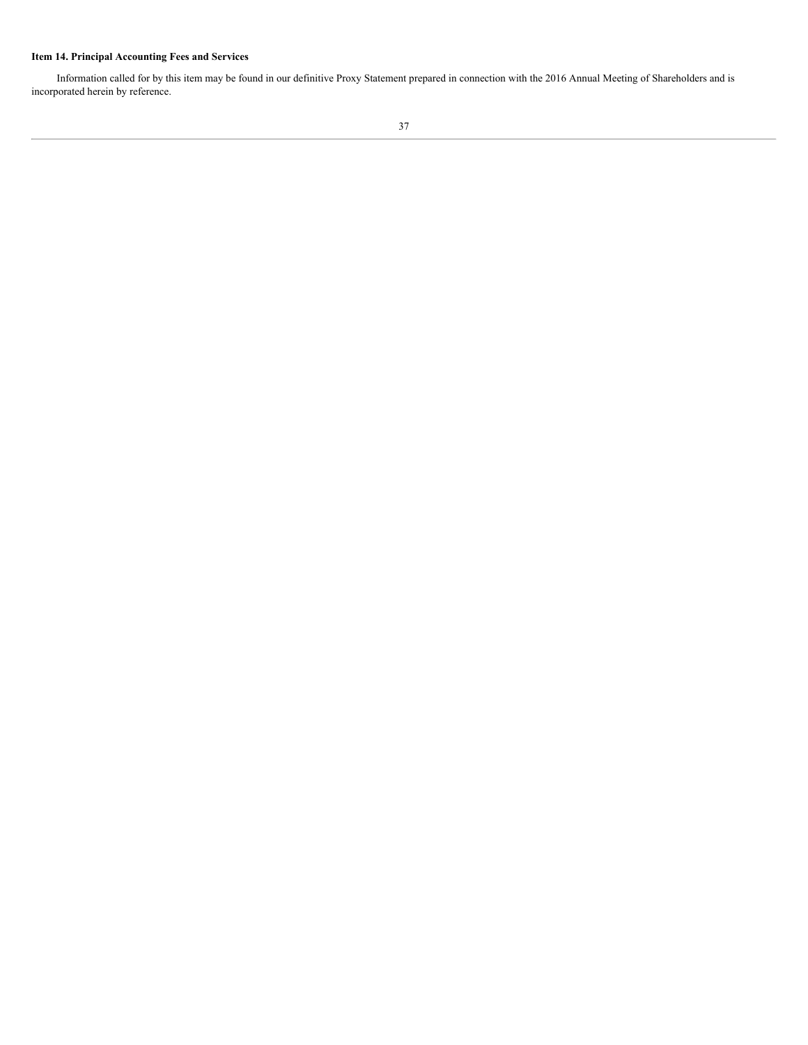# **Item 14. Principal Accounting Fees and Services**

Information called for by this item may be found in our definitive Proxy Statement prepared in connection with the 2016 Annual Meeting of Shareholders and is incorporated herein by reference.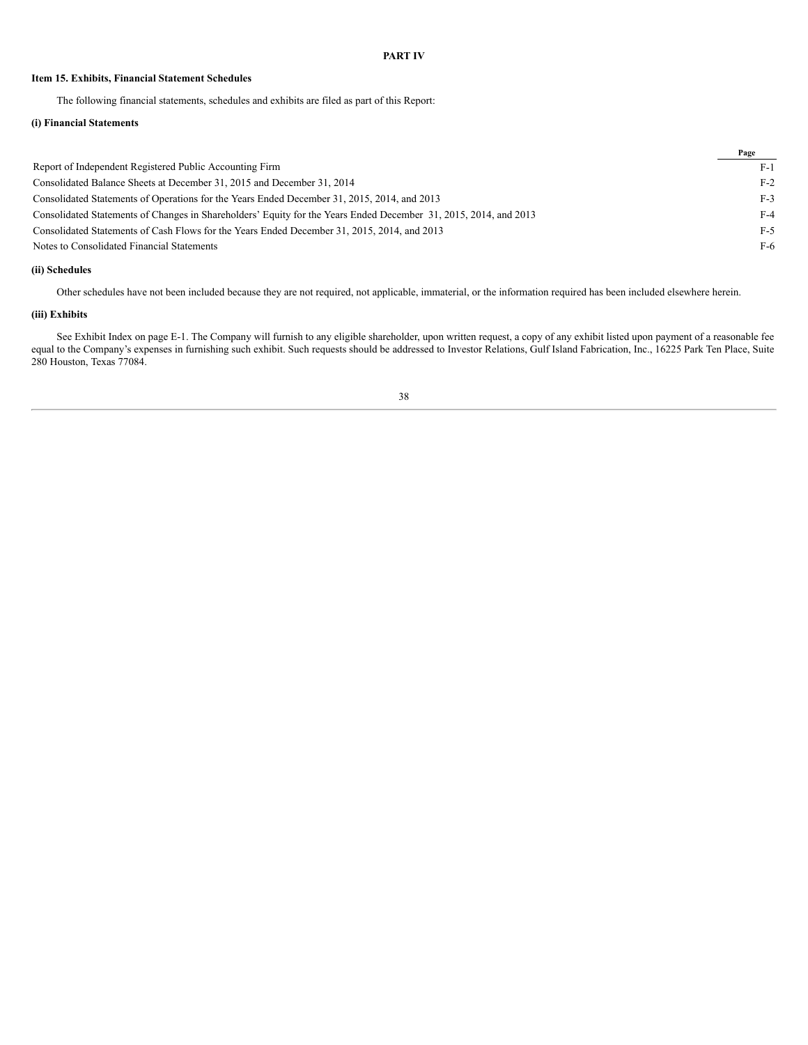# **Item 15. Exhibits, Financial Statement Schedules**

The following financial statements, schedules and exhibits are filed as part of this Report:

# **(i) Financial Statements**

|                                                                                                                  | Page  |
|------------------------------------------------------------------------------------------------------------------|-------|
| Report of Independent Registered Public Accounting Firm                                                          | $F-1$ |
| Consolidated Balance Sheets at December 31, 2015 and December 31, 2014                                           | $F-2$ |
| Consolidated Statements of Operations for the Years Ended December 31, 2015, 2014, and 2013                      | $F-3$ |
| Consolidated Statements of Changes in Shareholders' Equity for the Years Ended December 31, 2015, 2014, and 2013 | $F-4$ |
| Consolidated Statements of Cash Flows for the Years Ended December 31, 2015, 2014, and 2013                      | $F-5$ |
| Notes to Consolidated Financial Statements                                                                       | F-6   |

### **(ii) Schedules**

Other schedules have not been included because they are not required, not applicable, immaterial, or the information required has been included elsewhere herein.

#### **(iii) Exhibits**

See Exhibit Index on page E-1. The Company will furnish to any eligible shareholder, upon written request, a copy of any exhibit listed upon payment of a reasonable fee equal to the Company's expenses in furnishing such exhibit. Such requests should be addressed to Investor Relations, Gulf Island Fabrication, Inc., 16225 Park Ten Place, Suite 280 Houston, Texas 77084.

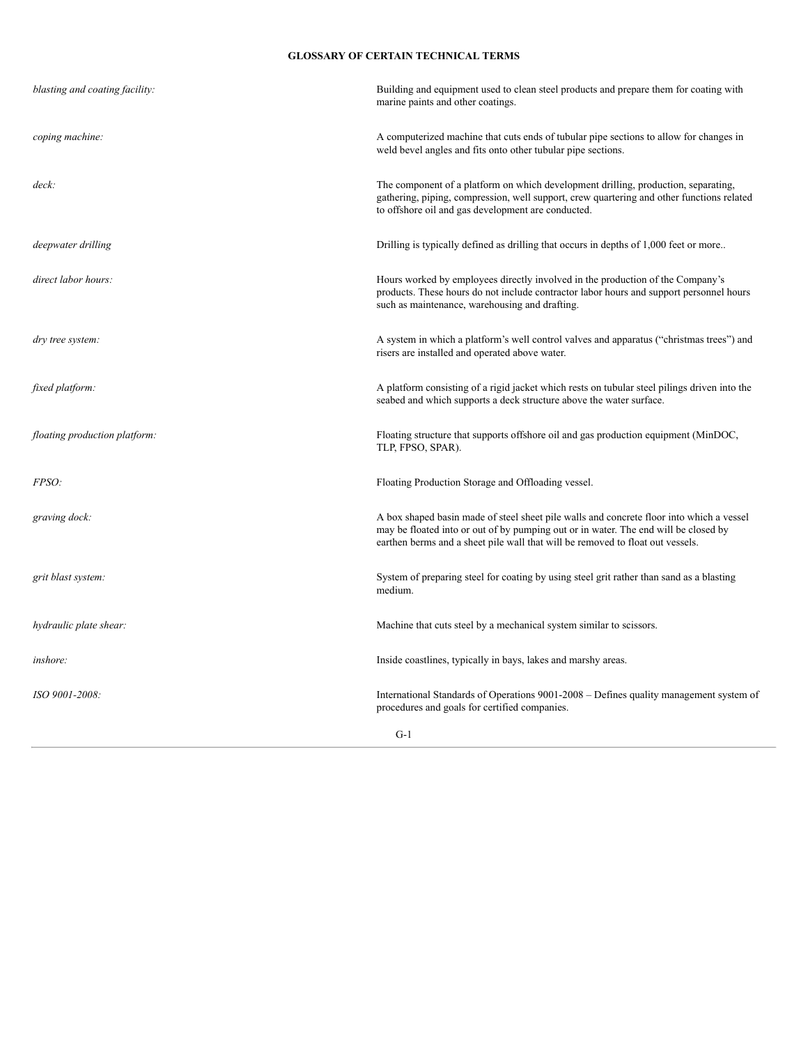# **GLOSSARY OF CERTAIN TECHNICAL TERMS**

| blasting and coating facility: | Building and equipment used to clean steel products and prepare them for coating with<br>marine paints and other coatings.                                                                                                                                        |
|--------------------------------|-------------------------------------------------------------------------------------------------------------------------------------------------------------------------------------------------------------------------------------------------------------------|
| coping machine:                | A computerized machine that cuts ends of tubular pipe sections to allow for changes in<br>weld bevel angles and fits onto other tubular pipe sections.                                                                                                            |
| deck:                          | The component of a platform on which development drilling, production, separating,<br>gathering, piping, compression, well support, crew quartering and other functions related<br>to offshore oil and gas development are conducted.                             |
| deepwater drilling             | Drilling is typically defined as drilling that occurs in depths of 1,000 feet or more.                                                                                                                                                                            |
| direct labor hours:            | Hours worked by employees directly involved in the production of the Company's<br>products. These hours do not include contractor labor hours and support personnel hours<br>such as maintenance, warehousing and drafting.                                       |
| dry tree system:               | A system in which a platform's well control valves and apparatus ("christmas trees") and<br>risers are installed and operated above water.                                                                                                                        |
| fixed platform:                | A platform consisting of a rigid jacket which rests on tubular steel pilings driven into the<br>seabed and which supports a deck structure above the water surface.                                                                                               |
| floating production platform:  | Floating structure that supports offshore oil and gas production equipment (MinDOC,<br>TLP, FPSO, SPAR).                                                                                                                                                          |
| FPSO:                          | Floating Production Storage and Offloading vessel.                                                                                                                                                                                                                |
| graving dock:                  | A box shaped basin made of steel sheet pile walls and concrete floor into which a vessel<br>may be floated into or out of by pumping out or in water. The end will be closed by<br>earthen berms and a sheet pile wall that will be removed to float out vessels. |
| grit blast system:             | System of preparing steel for coating by using steel grit rather than sand as a blasting<br>medium.                                                                                                                                                               |
| hydraulic plate shear:         | Machine that cuts steel by a mechanical system similar to scissors.                                                                                                                                                                                               |
| <i>inshore:</i>                | Inside coastlines, typically in bays, lakes and marshy areas.                                                                                                                                                                                                     |
| ISO 9001-2008:                 | International Standards of Operations 9001-2008 – Defines quality management system of<br>procedures and goals for certified companies.                                                                                                                           |

G-1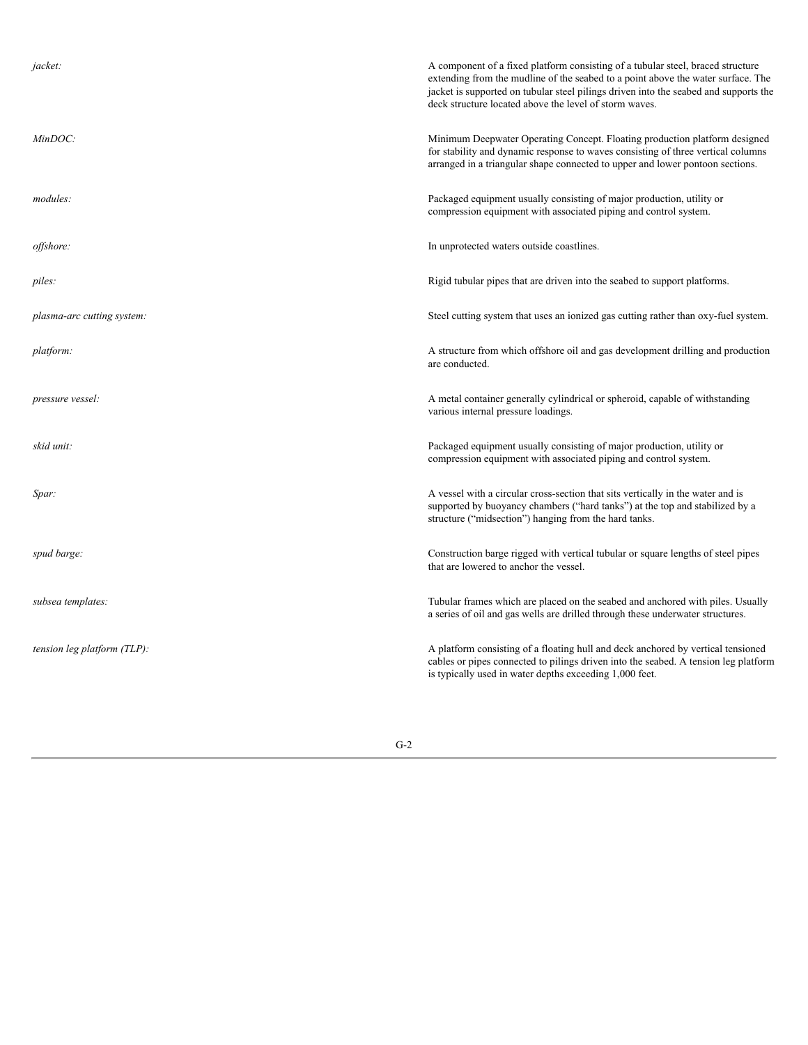| jacket:                     | A component of a fixed platform consisting of a tubular steel, braced structure<br>extending from the mudline of the seabed to a point above the water surface. The<br>jacket is supported on tubular steel pilings driven into the seabed and supports the<br>deck structure located above the level of storm waves. |
|-----------------------------|-----------------------------------------------------------------------------------------------------------------------------------------------------------------------------------------------------------------------------------------------------------------------------------------------------------------------|
| MinDOC:                     | Minimum Deepwater Operating Concept. Floating production platform designed<br>for stability and dynamic response to waves consisting of three vertical columns<br>arranged in a triangular shape connected to upper and lower pontoon sections.                                                                       |
| modules:                    | Packaged equipment usually consisting of major production, utility or<br>compression equipment with associated piping and control system.                                                                                                                                                                             |
| offshore:                   | In unprotected waters outside coastlines.                                                                                                                                                                                                                                                                             |
| piles:                      | Rigid tubular pipes that are driven into the seabed to support platforms.                                                                                                                                                                                                                                             |
| plasma-arc cutting system:  | Steel cutting system that uses an ionized gas cutting rather than oxy-fuel system.                                                                                                                                                                                                                                    |
| platform:                   | A structure from which offshore oil and gas development drilling and production<br>are conducted.                                                                                                                                                                                                                     |
| pressure vessel:            | A metal container generally cylindrical or spheroid, capable of withstanding<br>various internal pressure loadings.                                                                                                                                                                                                   |
| skid unit:                  | Packaged equipment usually consisting of major production, utility or<br>compression equipment with associated piping and control system.                                                                                                                                                                             |
| Spar:                       | A vessel with a circular cross-section that sits vertically in the water and is<br>supported by buoyancy chambers ("hard tanks") at the top and stabilized by a<br>structure ("midsection") hanging from the hard tanks.                                                                                              |
| spud barge:                 | Construction barge rigged with vertical tubular or square lengths of steel pipes<br>that are lowered to anchor the vessel.                                                                                                                                                                                            |
| subsea templates:           | Tubular frames which are placed on the seabed and anchored with piles. Usually<br>a series of oil and gas wells are drilled through these underwater structures.                                                                                                                                                      |
| tension leg platform (TLP): | A platform consisting of a floating hull and deck anchored by vertical tensioned<br>cables or pipes connected to pilings driven into the seabed. A tension leg platform<br>is typically used in water depths exceeding 1,000 feet.                                                                                    |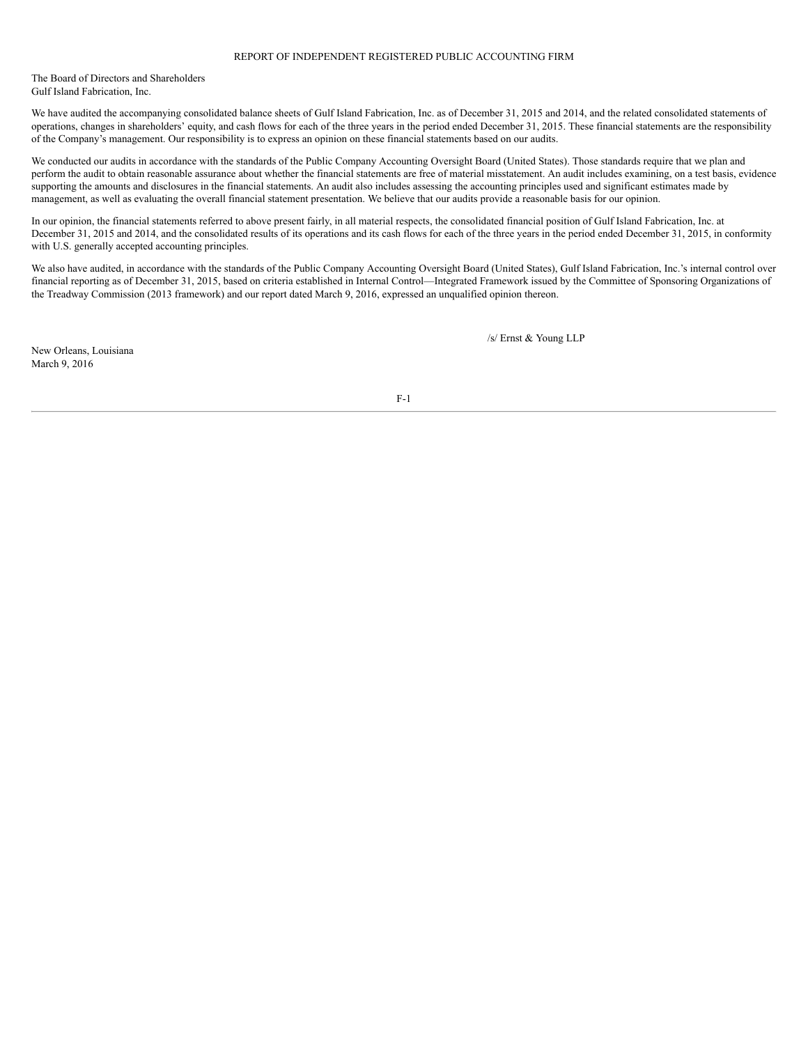#### REPORT OF INDEPENDENT REGISTERED PUBLIC ACCOUNTING FIRM

The Board of Directors and Shareholders Gulf Island Fabrication, Inc.

We have audited the accompanying consolidated balance sheets of Gulf Island Fabrication, Inc. as of December 31, 2015 and 2014, and the related consolidated statements of operations, changes in shareholders' equity, and cash flows for each of the three years in the period ended December 31, 2015. These financial statements are the responsibility of the Company's management. Our responsibility is to express an opinion on these financial statements based on our audits.

We conducted our audits in accordance with the standards of the Public Company Accounting Oversight Board (United States). Those standards require that we plan and perform the audit to obtain reasonable assurance about whether the financial statements are free of material misstatement. An audit includes examining, on a test basis, evidence supporting the amounts and disclosures in the financial statements. An audit also includes assessing the accounting principles used and significant estimates made by management, as well as evaluating the overall financial statement presentation. We believe that our audits provide a reasonable basis for our opinion.

In our opinion, the financial statements referred to above present fairly, in all material respects, the consolidated financial position of Gulf Island Fabrication, Inc. at December 31, 2015 and 2014, and the consolidated results of its operations and its cash flows for each of the three years in the period ended December 31, 2015, in conformity with U.S. generally accepted accounting principles.

We also have audited, in accordance with the standards of the Public Company Accounting Oversight Board (United States), Gulf Island Fabrication, Inc.'s internal control over financial reporting as of December 31, 2015, based on criteria established in Internal Control—Integrated Framework issued by the Committee of Sponsoring Organizations of the Treadway Commission (2013 framework) and our report dated March 9, 2016, expressed an unqualified opinion thereon.

New Orleans, Louisiana March 9, 2016

/s/ Ernst & Young LLP

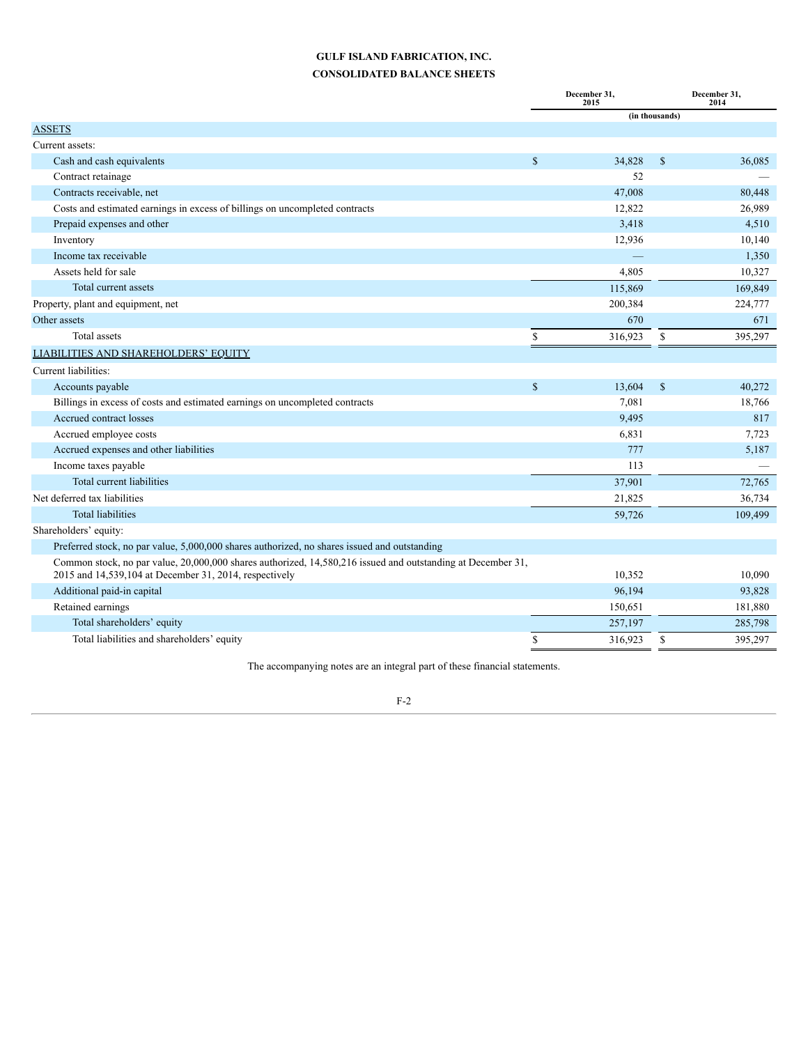# **GULF ISLAND FABRICATION, INC. CONSOLIDATED BALANCE SHEETS**

|                                                                                                                                                                       | December 31,<br>2015 | December 31,<br>2014 |         |  |
|-----------------------------------------------------------------------------------------------------------------------------------------------------------------------|----------------------|----------------------|---------|--|
|                                                                                                                                                                       |                      | (in thousands)       |         |  |
| <b>ASSETS</b>                                                                                                                                                         |                      |                      |         |  |
| Current assets:                                                                                                                                                       |                      |                      |         |  |
| Cash and cash equivalents                                                                                                                                             | \$<br>34,828         | $\mathbb{S}$         | 36,085  |  |
| Contract retainage                                                                                                                                                    | 52                   |                      |         |  |
| Contracts receivable, net                                                                                                                                             | 47,008               |                      | 80,448  |  |
| Costs and estimated earnings in excess of billings on uncompleted contracts                                                                                           | 12,822               |                      | 26,989  |  |
| Prepaid expenses and other                                                                                                                                            | 3,418                |                      | 4,510   |  |
| Inventory                                                                                                                                                             | 12,936               |                      | 10,140  |  |
| Income tax receivable                                                                                                                                                 |                      |                      | 1,350   |  |
| Assets held for sale                                                                                                                                                  | 4,805                |                      | 10,327  |  |
| Total current assets                                                                                                                                                  | 115,869              |                      | 169,849 |  |
| Property, plant and equipment, net                                                                                                                                    | 200,384              |                      | 224,777 |  |
| Other assets                                                                                                                                                          | 670                  |                      | 671     |  |
| Total assets                                                                                                                                                          | \$<br>316,923        | \$                   | 395,297 |  |
| LIABILITIES AND SHAREHOLDERS' EQUITY                                                                                                                                  |                      |                      |         |  |
| Current liabilities:                                                                                                                                                  |                      |                      |         |  |
| Accounts payable                                                                                                                                                      | \$<br>13,604         | $\mathbb{S}$         | 40,272  |  |
| Billings in excess of costs and estimated earnings on uncompleted contracts                                                                                           | 7,081                |                      | 18,766  |  |
| Accrued contract losses                                                                                                                                               | 9,495                |                      | 817     |  |
| Accrued employee costs                                                                                                                                                | 6,831                |                      | 7,723   |  |
| Accrued expenses and other liabilities                                                                                                                                | 777                  |                      | 5,187   |  |
| Income taxes payable                                                                                                                                                  | 113                  |                      |         |  |
| Total current liabilities                                                                                                                                             | 37,901               |                      | 72,765  |  |
| Net deferred tax liabilities                                                                                                                                          | 21,825               |                      | 36,734  |  |
| <b>Total liabilities</b>                                                                                                                                              | 59,726               |                      | 109,499 |  |
| Shareholders' equity:                                                                                                                                                 |                      |                      |         |  |
| Preferred stock, no par value, 5,000,000 shares authorized, no shares issued and outstanding                                                                          |                      |                      |         |  |
| Common stock, no par value, 20,000,000 shares authorized, 14,580,216 issued and outstanding at December 31,<br>2015 and 14,539,104 at December 31, 2014, respectively | 10,352               |                      | 10,090  |  |
| Additional paid-in capital                                                                                                                                            | 96,194               |                      | 93,828  |  |
| Retained earnings                                                                                                                                                     | 150,651              |                      | 181,880 |  |
| Total shareholders' equity                                                                                                                                            | 257,197              |                      | 285,798 |  |
| Total liabilities and shareholders' equity                                                                                                                            | \$<br>316,923        | \$                   | 395,297 |  |

The accompanying notes are an integral part of these financial statements.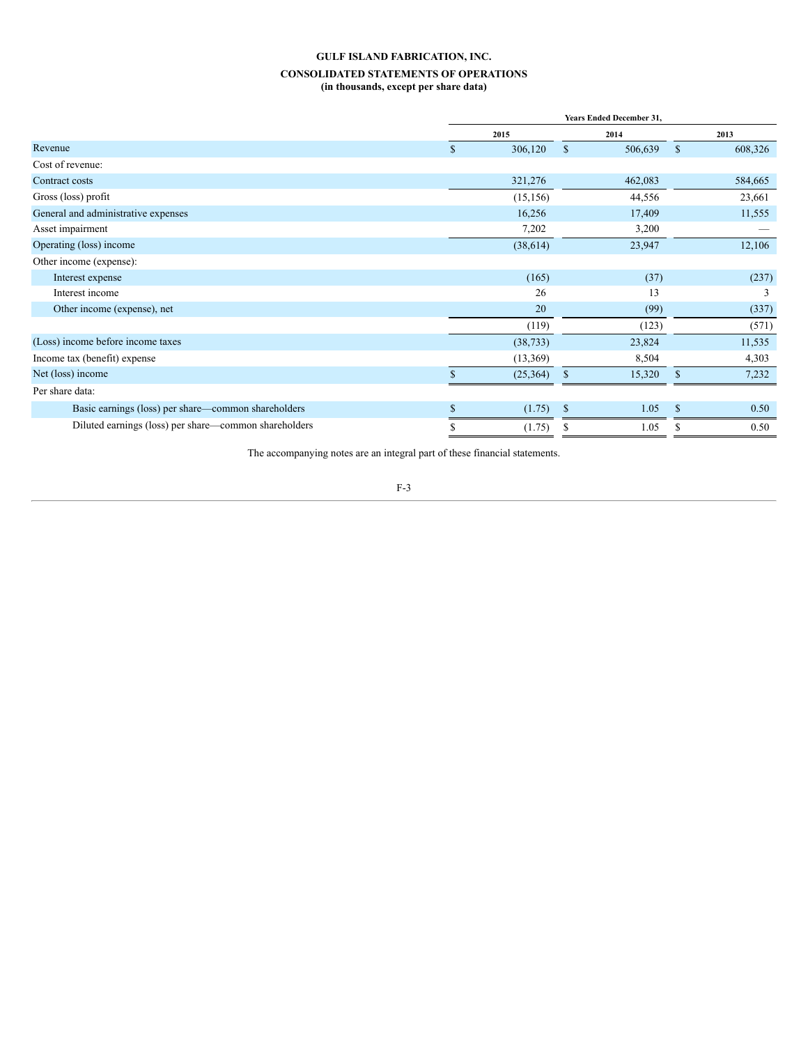# **GULF ISLAND FABRICATION, INC. CONSOLIDATED STATEMENTS OF OPERATIONS (in thousands, except per share data)**

|                                                       | <b>Years Ended December 31,</b> |           |               |         |               |         |
|-------------------------------------------------------|---------------------------------|-----------|---------------|---------|---------------|---------|
|                                                       |                                 | 2015      |               | 2014    |               | 2013    |
| Revenue                                               | $\mathbb{S}$                    | 306,120   | $\mathbf{s}$  | 506,639 | <sup>\$</sup> | 608,326 |
| Cost of revenue:                                      |                                 |           |               |         |               |         |
| Contract costs                                        |                                 | 321,276   |               | 462,083 |               | 584,665 |
| Gross (loss) profit                                   |                                 | (15, 156) |               | 44,556  |               | 23,661  |
| General and administrative expenses                   |                                 | 16,256    |               | 17,409  |               | 11,555  |
| Asset impairment                                      |                                 | 7,202     |               | 3,200   |               |         |
| Operating (loss) income                               |                                 | (38,614)  |               | 23,947  |               | 12,106  |
| Other income (expense):                               |                                 |           |               |         |               |         |
| Interest expense                                      |                                 | (165)     |               | (37)    |               | (237)   |
| Interest income                                       |                                 | 26        |               | 13      |               | 3       |
| Other income (expense), net                           |                                 | 20        |               | (99)    |               | (337)   |
|                                                       |                                 | (119)     |               | (123)   |               | (571)   |
| (Loss) income before income taxes                     |                                 | (38, 733) |               | 23,824  |               | 11,535  |
| Income tax (benefit) expense                          |                                 | (13,369)  |               | 8,504   |               | 4,303   |
| Net (loss) income                                     |                                 | (25, 364) | <sup>\$</sup> | 15,320  | S             | 7,232   |
| Per share data:                                       |                                 |           |               |         |               |         |
| Basic earnings (loss) per share—common shareholders   | \$                              | (1.75)    | $\mathcal{S}$ | 1.05    | <sup>\$</sup> | 0.50    |
| Diluted earnings (loss) per share—common shareholders | S                               | (1.75)    | S             | 1.05    | У             | 0.50    |

The accompanying notes are an integral part of these financial statements.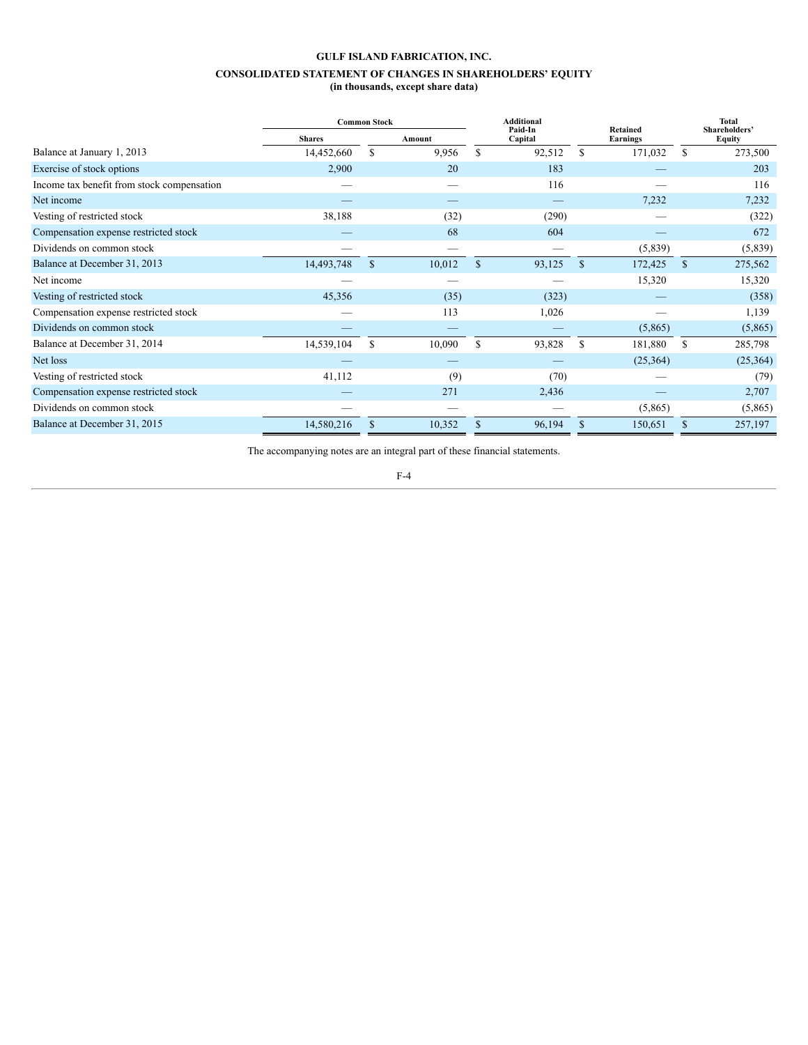# **GULF ISLAND FABRICATION, INC. CONSOLIDATED STATEMENT OF CHANGES IN SHAREHOLDERS' EQUITY (in thousands, except share data)**

|                                            | <b>Common Stock</b> |    | <b>Additional</b><br>Paid-In |     | <b>Retained</b> |               | <b>Total</b><br>Shareholders' |              |               |
|--------------------------------------------|---------------------|----|------------------------------|-----|-----------------|---------------|-------------------------------|--------------|---------------|
|                                            | <b>Shares</b>       |    | Amount                       |     | Capital         |               | Earnings                      |              | <b>Equity</b> |
| Balance at January 1, 2013                 | 14,452,660          | S  | 9,956                        | \$  | 92,512          | S             | 171,032                       | S            | 273,500       |
| Exercise of stock options                  | 2,900               |    | 20                           |     | 183             |               |                               |              | 203           |
| Income tax benefit from stock compensation |                     |    | __                           |     | 116             |               |                               |              | 116           |
| Net income                                 |                     |    |                              |     |                 |               | 7,232                         |              | 7,232         |
| Vesting of restricted stock                | 38,188              |    | (32)                         |     | (290)           |               |                               |              | (322)         |
| Compensation expense restricted stock      |                     |    | 68                           |     | 604             |               |                               |              | 672           |
| Dividends on common stock                  |                     |    |                              |     |                 |               | (5,839)                       |              | (5,839)       |
| Balance at December 31, 2013               | 14,493,748          | \$ | 10,012                       | \$  | 93,125          | <sup>\$</sup> | 172,425                       | $\mathbf{s}$ | 275,562       |
| Net income                                 |                     |    |                              |     |                 |               | 15,320                        |              | 15,320        |
| Vesting of restricted stock                | 45,356              |    | (35)                         |     | (323)           |               |                               |              | (358)         |
| Compensation expense restricted stock      |                     |    | 113                          |     | 1,026           |               |                               |              | 1,139         |
| Dividends on common stock                  |                     |    |                              |     |                 |               | (5,865)                       |              | (5,865)       |
| Balance at December 31, 2014               | 14,539,104          | S  | 10,090                       | \$. | 93,828          | S             | 181,880                       | S            | 285,798       |
| Net loss                                   |                     |    |                              |     |                 |               | (25,364)                      |              | (25, 364)     |
| Vesting of restricted stock                | 41,112              |    | (9)                          |     | (70)            |               |                               |              | (79)          |
| Compensation expense restricted stock      |                     |    | 271                          |     | 2,436           |               |                               |              | 2,707         |
| Dividends on common stock                  |                     |    |                              |     |                 |               | (5,865)                       |              | (5,865)       |
| Balance at December 31, 2015               | 14,580,216          | S  | 10,352                       |     | 96,194          | <sup>\$</sup> | 150,651                       | \$           | 257,197       |

The accompanying notes are an integral part of these financial statements.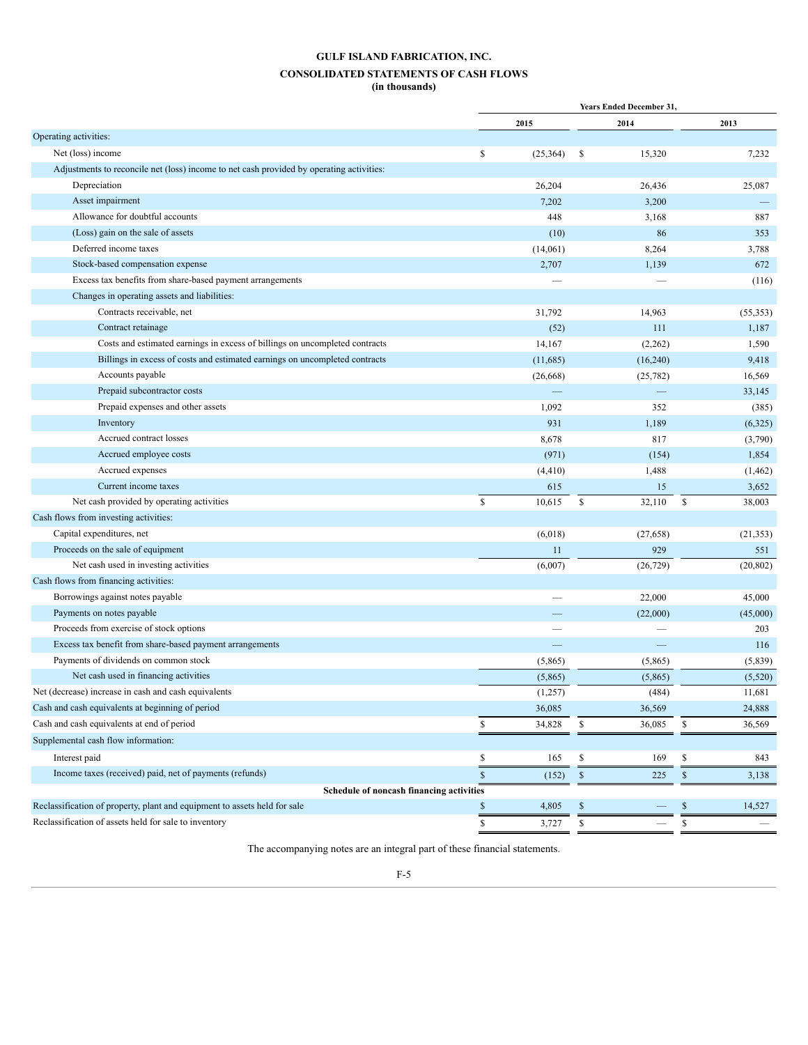# **GULF ISLAND FABRICATION, INC. CONSOLIDATED STATEMENTS OF CASH FLOWS (in thousands)**

|                                                                                          | <b>Years Ended December 31,</b> |           |      |           |               |           |
|------------------------------------------------------------------------------------------|---------------------------------|-----------|------|-----------|---------------|-----------|
|                                                                                          |                                 | 2015      |      | 2014      |               | 2013      |
| Operating activities:                                                                    |                                 |           |      |           |               |           |
| Net (loss) income                                                                        | \$                              | (25,364)  | \$   | 15,320    |               | 7,232     |
| Adjustments to reconcile net (loss) income to net cash provided by operating activities: |                                 |           |      |           |               |           |
| Depreciation                                                                             |                                 | 26,204    |      | 26,436    |               | 25,087    |
| Asset impairment                                                                         |                                 | 7,202     |      | 3,200     |               |           |
| Allowance for doubtful accounts                                                          |                                 | 448       |      | 3,168     |               | 887       |
| (Loss) gain on the sale of assets                                                        |                                 | (10)      |      | 86        |               | 353       |
| Deferred income taxes                                                                    |                                 | (14,061)  |      | 8,264     |               | 3,788     |
| Stock-based compensation expense                                                         |                                 | 2,707     |      | 1,139     |               | 672       |
| Excess tax benefits from share-based payment arrangements                                |                                 |           |      |           |               | (116)     |
| Changes in operating assets and liabilities:                                             |                                 |           |      |           |               |           |
| Contracts receivable, net                                                                |                                 | 31,792    |      | 14,963    |               | (55,353)  |
| Contract retainage                                                                       |                                 | (52)      |      | 111       |               | 1,187     |
| Costs and estimated earnings in excess of billings on uncompleted contracts              |                                 | 14,167    |      | (2,262)   |               | 1,590     |
| Billings in excess of costs and estimated earnings on uncompleted contracts              |                                 | (11,685)  |      | (16,240)  |               | 9,418     |
| Accounts payable                                                                         |                                 | (26, 668) |      | (25, 782) |               | 16,569    |
| Prepaid subcontractor costs                                                              |                                 |           |      |           |               | 33,145    |
| Prepaid expenses and other assets                                                        |                                 | 1,092     |      | 352       |               | (385)     |
| Inventory                                                                                |                                 | 931       |      | 1,189     |               | (6,325)   |
| Accrued contract losses                                                                  |                                 | 8,678     |      | 817       |               | (3,790)   |
| Accrued employee costs                                                                   |                                 | (971)     |      | (154)     |               | 1,854     |
| Accrued expenses                                                                         |                                 | (4, 410)  |      | 1,488     |               | (1, 462)  |
| Current income taxes                                                                     |                                 | 615       |      | 15        |               | 3,652     |
| Net cash provided by operating activities                                                | \$                              | 10,615    | \$   | 32,110    | $\mathsf{\$}$ | 38,003    |
| Cash flows from investing activities:                                                    |                                 |           |      |           |               |           |
| Capital expenditures, net                                                                |                                 | (6,018)   |      | (27, 658) |               | (21, 353) |
| Proceeds on the sale of equipment                                                        |                                 | 11        |      | 929       |               | 551       |
| Net cash used in investing activities                                                    |                                 | (6,007)   |      | (26, 729) |               | (20, 802) |
| Cash flows from financing activities:                                                    |                                 |           |      |           |               |           |
| Borrowings against notes payable                                                         |                                 |           |      | 22,000    |               | 45,000    |
| Payments on notes payable                                                                |                                 |           |      | (22,000)  |               | (45,000)  |
| Proceeds from exercise of stock options                                                  |                                 |           |      |           |               | 203       |
| Excess tax benefit from share-based payment arrangements                                 |                                 |           |      |           |               | 116       |
| Payments of dividends on common stock                                                    |                                 | (5,865)   |      | (5,865)   |               | (5,839)   |
| Net cash used in financing activities                                                    |                                 | (5,865)   |      | (5,865)   |               | (5, 520)  |
| Net (decrease) increase in cash and cash equivalents                                     |                                 | (1, 257)  |      | (484)     |               | 11,681    |
| Cash and cash equivalents at beginning of period                                         |                                 | 36,085    |      | 36,569    |               | 24,888    |
| Cash and cash equivalents at end of period                                               | \$                              | 34,828    | \$   | 36,085    | \$            | 36,569    |
| Supplemental cash flow information:                                                      |                                 |           |      |           |               |           |
| Interest paid                                                                            | \$                              | 165       | \$   | 169       | \$            | 843       |
| Income taxes (received) paid, net of payments (refunds)                                  | $\mathbb{S}$                    | (152)     | $\$$ | 225       | $\$$          | 3,138     |
| Schedule of noncash financing activities                                                 |                                 |           |      |           |               |           |
| Reclassification of property, plant and equipment to assets held for sale                | \$                              | 4,805     | \$   |           | \$            | 14,527    |
| Reclassification of assets held for sale to inventory                                    | \$                              | 3,727     | \$   |           | \$            |           |
|                                                                                          |                                 |           |      |           |               |           |

The accompanying notes are an integral part of these financial statements.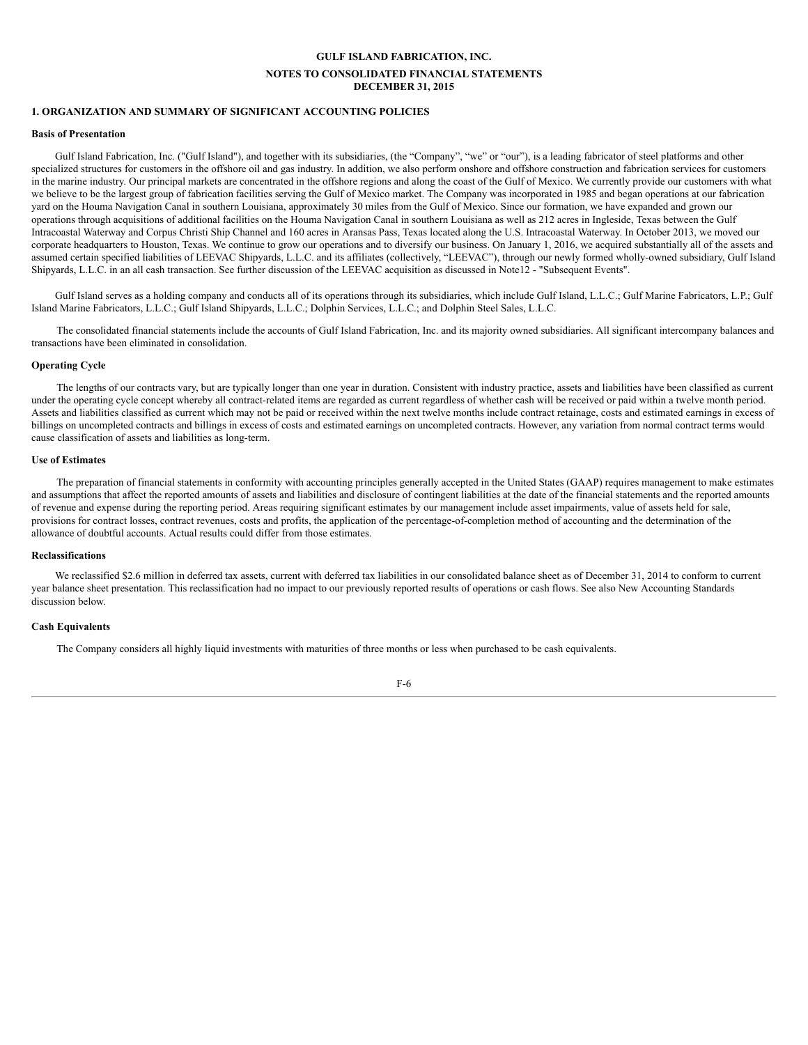# **GULF ISLAND FABRICATION, INC. NOTES TO CONSOLIDATED FINANCIAL STATEMENTS DECEMBER 31, 2015**

# **1. ORGANIZATION AND SUMMARY OF SIGNIFICANT ACCOUNTING POLICIES**

#### **Basis of Presentation**

Gulf Island Fabrication, Inc. ("Gulf Island"), and together with its subsidiaries, (the "Company", "we" or "our"), is a leading fabricator of steel platforms and other specialized structures for customers in the offshore oil and gas industry. In addition, we also perform onshore and offshore construction and fabrication services for customers in the marine industry. Our principal markets are concentrated in the offshore regions and along the coast of the Gulf of Mexico. We currently provide our customers with what we believe to be the largest group of fabrication facilities serving the Gulf of Mexico market. The Company was incorporated in 1985 and began operations at our fabrication yard on the Houma Navigation Canal in southern Louisiana, approximately 30 miles from the Gulf of Mexico. Since our formation, we have expanded and grown our operations through acquisitions of additional facilities on the Houma Navigation Canal in southern Louisiana as well as 212 acres in Ingleside, Texas between the Gulf Intracoastal Waterway and Corpus Christi Ship Channel and 160 acres in Aransas Pass, Texas located along the U.S. Intracoastal Waterway. In October 2013, we moved our corporate headquarters to Houston, Texas. We continue to grow our operations and to diversify our business. On January 1, 2016, we acquired substantially all of the assets and assumed certain specified liabilities of LEEVAC Shipyards, L.L.C. and its affiliates (collectively, "LEEVAC"), through our newly formed wholly-owned subsidiary, Gulf Island Shipyards, L.L.C. in an all cash transaction. See further discussion of the LEEVAC acquisition as discussed in Note12 - "Subsequent Events".

Gulf Island serves as a holding company and conducts all of its operations through its subsidiaries, which include Gulf Island, L.L.C.; Gulf Marine Fabricators, L.P.; Gulf Island Marine Fabricators, L.L.C.; Gulf Island Shipyards, L.L.C.; Dolphin Services, L.L.C.; and Dolphin Steel Sales, L.L.C.

The consolidated financial statements include the accounts of Gulf Island Fabrication, Inc. and its majority owned subsidiaries. All significant intercompany balances and transactions have been eliminated in consolidation.

#### **Operating Cycle**

The lengths of our contracts vary, but are typically longer than one year in duration. Consistent with industry practice, assets and liabilities have been classified as current under the operating cycle concept whereby all contract-related items are regarded as current regardless of whether cash will be received or paid within a twelve month period. Assets and liabilities classified as current which may not be paid or received within the next twelve months include contract retainage, costs and estimated earnings in excess of billings on uncompleted contracts and billings in excess of costs and estimated earnings on uncompleted contracts. However, any variation from normal contract terms would cause classification of assets and liabilities as long-term.

#### **Use of Estimates**

The preparation of financial statements in conformity with accounting principles generally accepted in the United States (GAAP) requires management to make estimates and assumptions that affect the reported amounts of assets and liabilities and disclosure of contingent liabilities at the date of the financial statements and the reported amounts of revenue and expense during the reporting period. Areas requiring significant estimates by our management include asset impairments, value of assets held for sale, provisions for contract losses, contract revenues, costs and profits, the application of the percentage-of-completion method of accounting and the determination of the allowance of doubtful accounts. Actual results could differ from those estimates.

#### **Reclassifications**

We reclassified \$2.6 million in deferred tax assets, current with deferred tax liabilities in our consolidated balance sheet as of December 31, 2014 to conform to current year balance sheet presentation. This reclassification had no impact to our previously reported results of operations or cash flows. See also New Accounting Standards discussion below.

#### **Cash Equivalents**

The Company considers all highly liquid investments with maturities of three months or less when purchased to be cash equivalents.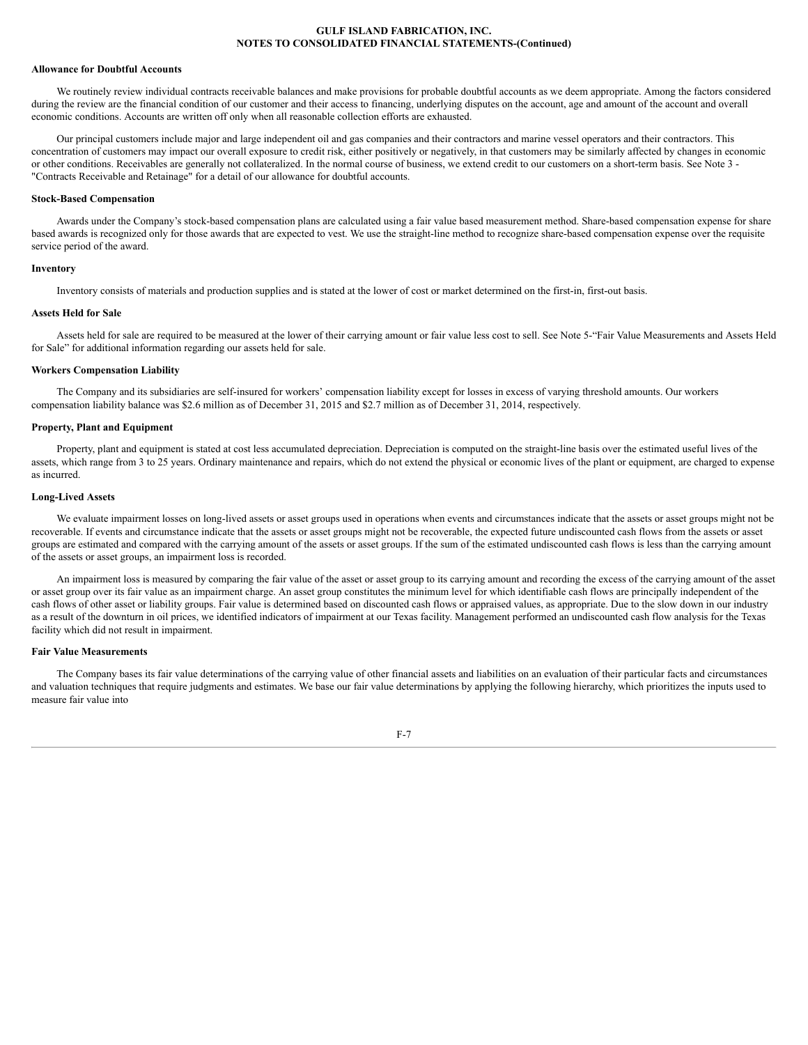#### **Allowance for Doubtful Accounts**

We routinely review individual contracts receivable balances and make provisions for probable doubtful accounts as we deem appropriate. Among the factors considered during the review are the financial condition of our customer and their access to financing, underlying disputes on the account, age and amount of the account and overall economic conditions. Accounts are written off only when all reasonable collection efforts are exhausted.

Our principal customers include major and large independent oil and gas companies and their contractors and marine vessel operators and their contractors. This concentration of customers may impact our overall exposure to credit risk, either positively or negatively, in that customers may be similarly affected by changes in economic or other conditions. Receivables are generally not collateralized. In the normal course of business, we extend credit to our customers on a short-term basis. See Note 3 - "Contracts Receivable and Retainage" for a detail of our allowance for doubtful accounts.

#### **Stock-Based Compensation**

Awards under the Company's stock-based compensation plans are calculated using a fair value based measurement method. Share-based compensation expense for share based awards is recognized only for those awards that are expected to vest. We use the straight-line method to recognize share-based compensation expense over the requisite service period of the award.

#### **Inventory**

Inventory consists of materials and production supplies and is stated at the lower of cost or market determined on the first-in, first-out basis.

#### **Assets Held for Sale**

Assets held for sale are required to be measured at the lower of their carrying amount or fair value less cost to sell. See Note 5-"Fair Value Measurements and Assets Held for Sale" for additional information regarding our assets held for sale.

#### **Workers Compensation Liability**

The Company and its subsidiaries are self-insured for workers' compensation liability except for losses in excess of varying threshold amounts. Our workers compensation liability balance was \$2.6 million as of December 31, 2015 and \$2.7 million as of December 31, 2014, respectively.

#### **Property, Plant and Equipment**

Property, plant and equipment is stated at cost less accumulated depreciation. Depreciation is computed on the straight-line basis over the estimated useful lives of the assets, which range from 3 to 25 years. Ordinary maintenance and repairs, which do not extend the physical or economic lives of the plant or equipment, are charged to expense as incurred.

#### **Long-Lived Assets**

We evaluate impairment losses on long-lived assets or asset groups used in operations when events and circumstances indicate that the assets or asset groups might not be recoverable. If events and circumstance indicate that the assets or asset groups might not be recoverable, the expected future undiscounted cash flows from the assets or asset groups are estimated and compared with the carrying amount of the assets or asset groups. If the sum of the estimated undiscounted cash flows is less than the carrying amount of the assets or asset groups, an impairment loss is recorded.

An impairment loss is measured by comparing the fair value of the asset or asset group to its carrying amount and recording the excess of the carrying amount of the asset or asset group over its fair value as an impairment charge. An asset group constitutes the minimum level for which identifiable cash flows are principally independent of the cash flows of other asset or liability groups. Fair value is determined based on discounted cash flows or appraised values, as appropriate. Due to the slow down in our industry as a result of the downturn in oil prices, we identified indicators of impairment at our Texas facility. Management performed an undiscounted cash flow analysis for the Texas facility which did not result in impairment.

#### **Fair Value Measurements**

The Company bases its fair value determinations of the carrying value of other financial assets and liabilities on an evaluation of their particular facts and circumstances and valuation techniques that require judgments and estimates. We base our fair value determinations by applying the following hierarchy, which prioritizes the inputs used to measure fair value into

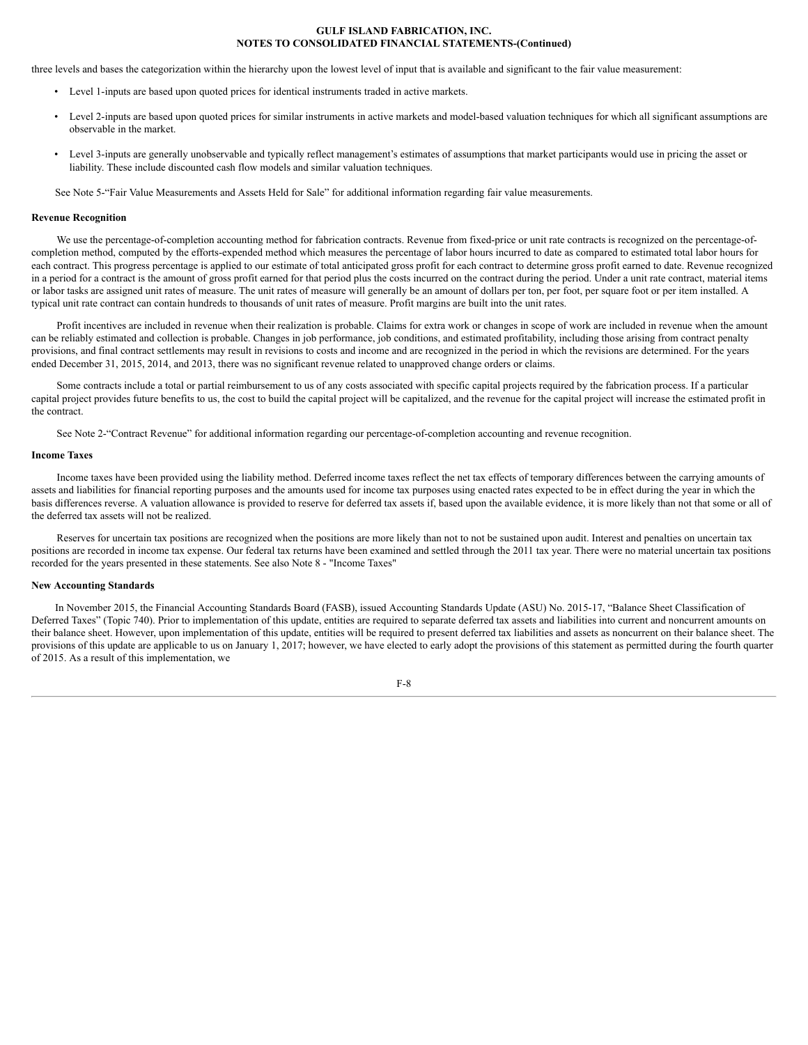three levels and bases the categorization within the hierarchy upon the lowest level of input that is available and significant to the fair value measurement:

- Level 1-inputs are based upon quoted prices for identical instruments traded in active markets.
- Level 2-inputs are based upon quoted prices for similar instruments in active markets and model-based valuation techniques for which all significant assumptions are observable in the market.
- Level 3-inputs are generally unobservable and typically reflect management's estimates of assumptions that market participants would use in pricing the asset or liability. These include discounted cash flow models and similar valuation techniques.

See Note 5-"Fair Value Measurements and Assets Held for Sale" for additional information regarding fair value measurements.

#### **Revenue Recognition**

We use the percentage-of-completion accounting method for fabrication contracts. Revenue from fixed-price or unit rate contracts is recognized on the percentage-ofcompletion method, computed by the efforts-expended method which measures the percentage of labor hours incurred to date as compared to estimated total labor hours for each contract. This progress percentage is applied to our estimate of total anticipated gross profit for each contract to determine gross profit earned to date. Revenue recognized in a period for a contract is the amount of gross profit earned for that period plus the costs incurred on the contract during the period. Under a unit rate contract, material items or labor tasks are assigned unit rates of measure. The unit rates of measure will generally be an amount of dollars per ton, per foot, per square foot or per item installed. A typical unit rate contract can contain hundreds to thousands of unit rates of measure. Profit margins are built into the unit rates.

Profit incentives are included in revenue when their realization is probable. Claims for extra work or changes in scope of work are included in revenue when the amount can be reliably estimated and collection is probable. Changes in job performance, job conditions, and estimated profitability, including those arising from contract penalty provisions, and final contract settlements may result in revisions to costs and income and are recognized in the period in which the revisions are determined. For the years ended December 31, 2015, 2014, and 2013, there was no significant revenue related to unapproved change orders or claims.

Some contracts include a total or partial reimbursement to us of any costs associated with specific capital projects required by the fabrication process. If a particular capital project provides future benefits to us, the cost to build the capital project will be capitalized, and the revenue for the capital project will increase the estimated profit in the contract.

See Note 2-"Contract Revenue" for additional information regarding our percentage-of-completion accounting and revenue recognition.

#### **Income Taxes**

Income taxes have been provided using the liability method. Deferred income taxes reflect the net tax effects of temporary differences between the carrying amounts of assets and liabilities for financial reporting purposes and the amounts used for income tax purposes using enacted rates expected to be in effect during the year in which the basis differences reverse. A valuation allowance is provided to reserve for deferred tax assets if, based upon the available evidence, it is more likely than not that some or all of the deferred tax assets will not be realized.

Reserves for uncertain tax positions are recognized when the positions are more likely than not to not be sustained upon audit. Interest and penalties on uncertain tax positions are recorded in income tax expense. Our federal tax returns have been examined and settled through the 2011 tax year. There were no material uncertain tax positions recorded for the years presented in these statements. See also Note 8 - "Income Taxes"

#### **New Accounting Standards**

In November 2015, the Financial Accounting Standards Board (FASB), issued Accounting Standards Update (ASU) No. 2015-17, "Balance Sheet Classification of Deferred Taxes" (Topic 740). Prior to implementation of this update, entities are required to separate deferred tax assets and liabilities into current and noncurrent amounts on their balance sheet. However, upon implementation of this update, entities will be required to present deferred tax liabilities and assets as noncurrent on their balance sheet. The provisions of this update are applicable to us on January 1, 2017; however, we have elected to early adopt the provisions of this statement as permitted during the fourth quarter of 2015. As a result of this implementation, we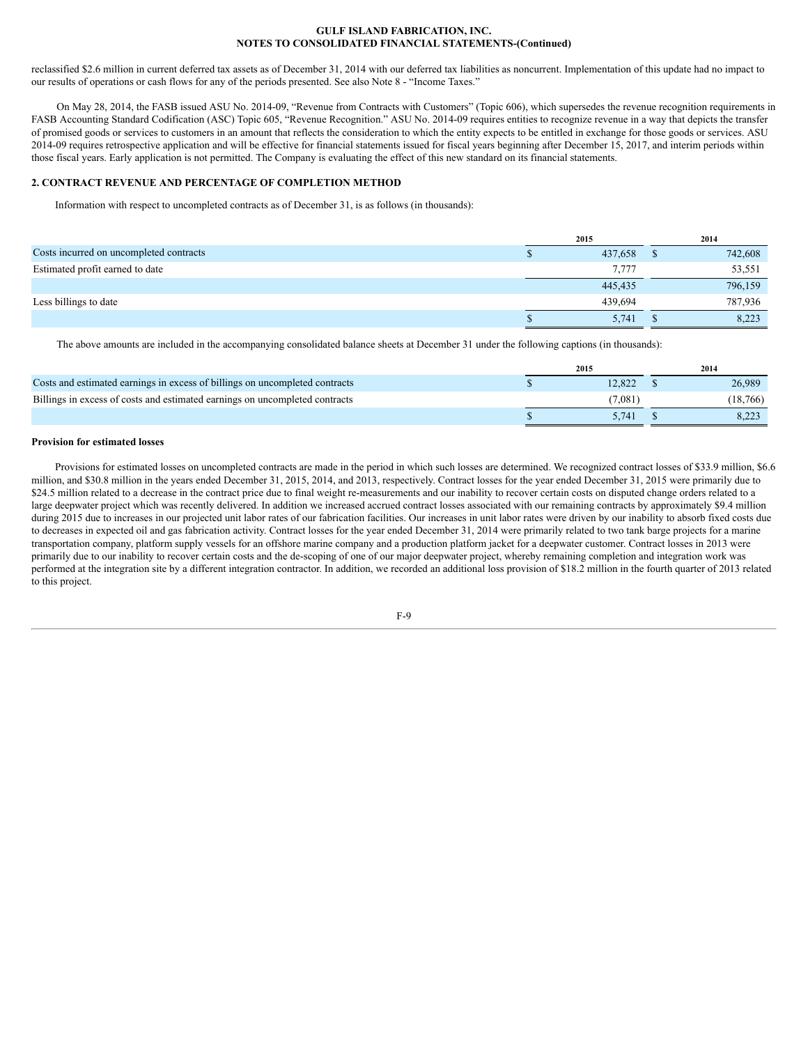reclassified \$2.6 million in current deferred tax assets as of December 31, 2014 with our deferred tax liabilities as noncurrent. Implementation of this update had no impact to our results of operations or cash flows for any of the periods presented. See also Note 8 - "Income Taxes."

On May 28, 2014, the FASB issued ASU No. 2014-09, "Revenue from Contracts with Customers" (Topic 606), which supersedes the revenue recognition requirements in FASB Accounting Standard Codification (ASC) Topic 605, "Revenue Recognition." ASU No. 2014-09 requires entities to recognize revenue in a way that depicts the transfer of promised goods or services to customers in an amount that reflects the consideration to which the entity expects to be entitled in exchange for those goods or services. ASU 2014-09 requires retrospective application and will be effective for financial statements issued for fiscal years beginning after December 15, 2017, and interim periods within those fiscal years. Early application is not permitted. The Company is evaluating the effect of this new standard on its financial statements.

#### **2. CONTRACT REVENUE AND PERCENTAGE OF COMPLETION METHOD**

Information with respect to uncompleted contracts as of December 31, is as follows (in thousands):

|                                         | 2015    | 2014    |
|-----------------------------------------|---------|---------|
| Costs incurred on uncompleted contracts | 437,658 | 742,608 |
| Estimated profit earned to date         | 7.777   | 53,551  |
|                                         | 445,435 | 796,159 |
| Less billings to date                   | 439.694 | 787,936 |
|                                         | 5,741   | 8,223   |

The above amounts are included in the accompanying consolidated balance sheets at December 31 under the following captions (in thousands):

|                                                                             | 2015    | 2014      |
|-----------------------------------------------------------------------------|---------|-----------|
| Costs and estimated earnings in excess of billings on uncompleted contracts | 2.822   | 26.989    |
| Billings in excess of costs and estimated earnings on uncompleted contracts | (7.081) | (18, 766) |
|                                                                             | 5.741   |           |

#### **Provision for estimated losses**

Provisions for estimated losses on uncompleted contracts are made in the period in which such losses are determined. We recognized contract losses of \$33.9 million, \$6.6 million, and \$30.8 million in the years ended December 31, 2015, 2014, and 2013, respectively. Contract losses for the year ended December 31, 2015 were primarily due to \$24.5 million related to a decrease in the contract price due to final weight re-measurements and our inability to recover certain costs on disputed change orders related to a large deepwater project which was recently delivered. In addition we increased accrued contract losses associated with our remaining contracts by approximately \$9.4 million during 2015 due to increases in our projected unit labor rates of our fabrication facilities. Our increases in unit labor rates were driven by our inability to absorb fixed costs due to decreases in expected oil and gas fabrication activity. Contract losses for the year ended December 31, 2014 were primarily related to two tank barge projects for a marine transportation company, platform supply vessels for an offshore marine company and a production platform jacket for a deepwater customer. Contract losses in 2013 were primarily due to our inability to recover certain costs and the de-scoping of one of our major deepwater project, whereby remaining completion and integration work was performed at the integration site by a different integration contractor. In addition, we recorded an additional loss provision of \$18.2 million in the fourth quarter of 2013 related to this project.

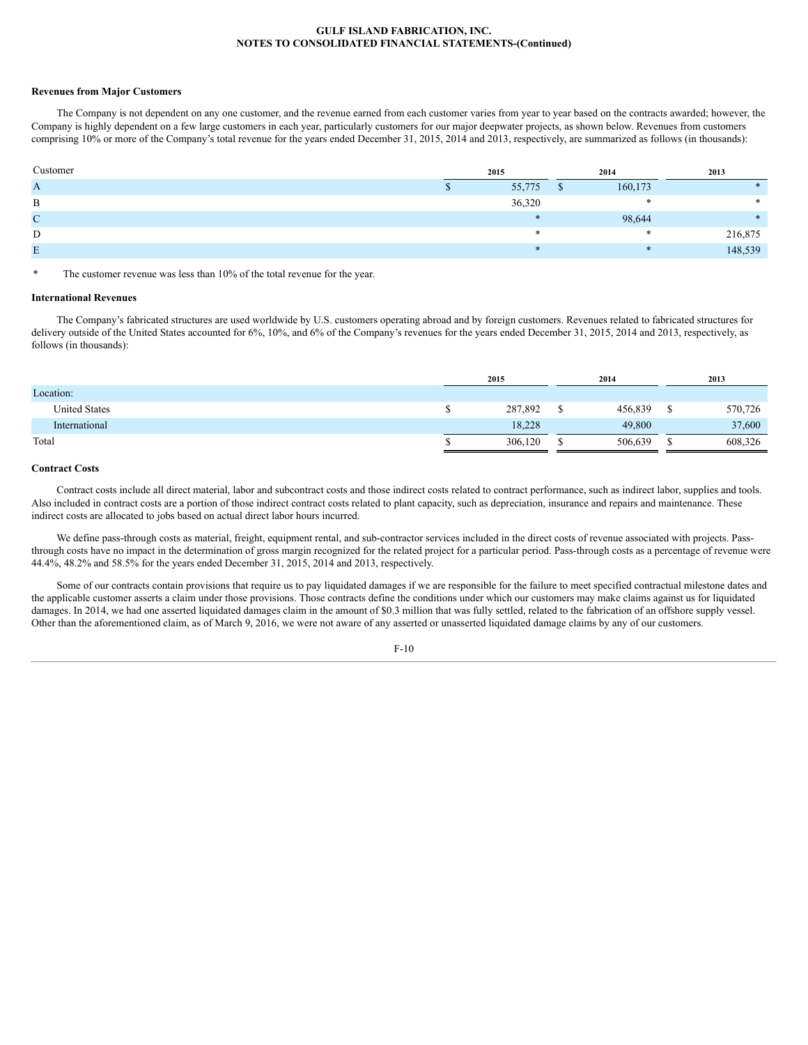#### **Revenues from Major Customers**

The Company is not dependent on any one customer, and the revenue earned from each customer varies from year to year based on the contracts awarded; however, the Company is highly dependent on a few large customers in each year, particularly customers for our major deepwater projects, as shown below. Revenues from customers comprising 10% or more of the Company's total revenue for the years ended December 31, 2015, 2014 and 2013, respectively, are summarized as follows (in thousands):

| Customer      | 2015   |               | 2014    | 2013    |
|---------------|--------|---------------|---------|---------|
| A             | 55,775 | $\mathcal{D}$ | 160,173 |         |
| B             | 36,320 |               |         | *       |
| $\Gamma$<br>◡ |        |               | 98,644  |         |
| D             |        | ж,            | *       | 216,875 |
| E             |        |               | $\ast$  | 148,539 |

The customer revenue was less than 10% of the total revenue for the year.

#### **International Revenues**

The Company's fabricated structures are used worldwide by U.S. customers operating abroad and by foreign customers. Revenues related to fabricated structures for delivery outside of the United States accounted for 6%, 10%, and 6% of the Company's revenues for the years ended December 31, 2015, 2014 and 2013, respectively, as follows (in thousands):

|                      | 2015    | 2014    | 2013 |         |  |
|----------------------|---------|---------|------|---------|--|
| Location:            |         |         |      |         |  |
| <b>United States</b> | 287,892 | 456,839 |      | 570,726 |  |
| International        | 18,228  | 49,800  |      | 37,600  |  |
| Total                | 306,120 | 506,639 |      | 608,326 |  |

#### **Contract Costs**

Contract costs include all direct material, labor and subcontract costs and those indirect costs related to contract performance, such as indirect labor, supplies and tools. Also included in contract costs are a portion of those indirect contract costs related to plant capacity, such as depreciation, insurance and repairs and maintenance. These indirect costs are allocated to jobs based on actual direct labor hours incurred.

We define pass-through costs as material, freight, equipment rental, and sub-contractor services included in the direct costs of revenue associated with projects. Passthrough costs have no impact in the determination of gross margin recognized for the related project for a particular period. Pass-through costs as a percentage of revenue were 44.4%, 48.2% and 58.5% for the years ended December 31, 2015, 2014 and 2013, respectively.

Some of our contracts contain provisions that require us to pay liquidated damages if we are responsible for the failure to meet specified contractual milestone dates and the applicable customer asserts a claim under those provisions. Those contracts define the conditions under which our customers may make claims against us for liquidated damages. In 2014, we had one asserted liquidated damages claim in the amount of \$0.3 million that was fully settled, related to the fabrication of an offshore supply vessel. Other than the aforementioned claim, as of March 9, 2016, we were not aware of any asserted or unasserted liquidated damage claims by any of our customers.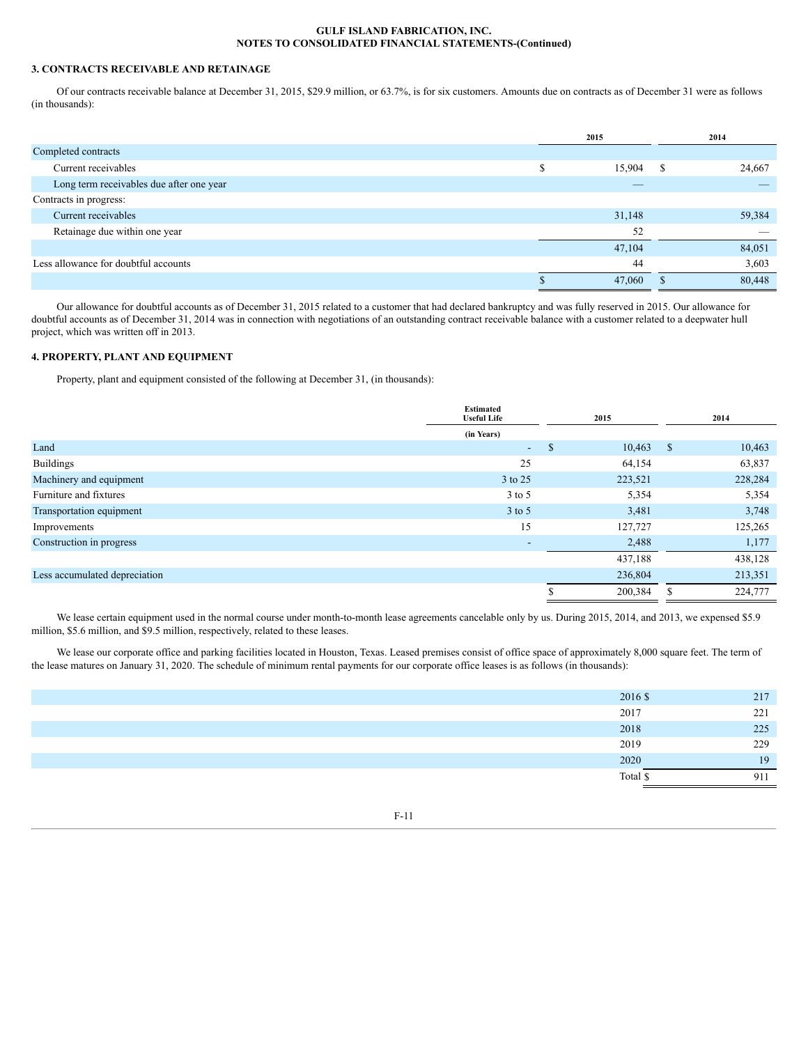### **3. CONTRACTS RECEIVABLE AND RETAINAGE**

Of our contracts receivable balance at December 31, 2015, \$29.9 million, or 63.7%, is for six customers. Amounts due on contracts as of December 31 were as follows (in thousands):

|                                          | 2015        | 2014        |
|------------------------------------------|-------------|-------------|
| Completed contracts                      |             |             |
| Current receivables                      | c<br>15,904 | S<br>24,667 |
| Long term receivables due after one year |             |             |
| Contracts in progress:                   |             |             |
| Current receivables                      | 31,148      | 59,384      |
| Retainage due within one year            | 52          |             |
|                                          | 47,104      | 84,051      |
| Less allowance for doubtful accounts     | 44          | 3,603       |
|                                          | 47,060      | 80,448      |

Our allowance for doubtful accounts as of December 31, 2015 related to a customer that had declared bankruptcy and was fully reserved in 2015. Our allowance for doubtful accounts as of December 31, 2014 was in connection with negotiations of an outstanding contract receivable balance with a customer related to a deepwater hull project, which was written off in 2013.

#### **4. PROPERTY, PLANT AND EQUIPMENT**

Property, plant and equipment consisted of the following at December 31, (in thousands):

|                               | <b>Estimated</b><br><b>Useful Life</b> |    | 2015    |              | 2014    |
|-------------------------------|----------------------------------------|----|---------|--------------|---------|
|                               | (in Years)                             |    |         |              |         |
| Land                          | $\sim$                                 | \$ | 10,463  | $\mathbb{S}$ | 10,463  |
| <b>Buildings</b>              | 25                                     |    | 64,154  |              | 63,837  |
| Machinery and equipment       | 3 to 25                                |    | 223,521 |              | 228,284 |
| Furniture and fixtures        | $3$ to $5$                             |    | 5,354   |              | 5,354   |
| Transportation equipment      | $3$ to $5$                             |    | 3,481   |              | 3,748   |
| Improvements                  | 15                                     |    | 127,727 |              | 125,265 |
| Construction in progress      | ۰                                      |    | 2,488   |              | 1,177   |
|                               |                                        |    | 437,188 |              | 438,128 |
| Less accumulated depreciation |                                        |    | 236,804 |              | 213,351 |
|                               |                                        |    | 200,384 |              | 224,777 |

We lease certain equipment used in the normal course under month-to-month lease agreements cancelable only by us. During 2015, 2014, and 2013, we expensed \$5.9 million, \$5.6 million, and \$9.5 million, respectively, related to these leases.

We lease our corporate office and parking facilities located in Houston, Texas. Leased premises consist of office space of approximately 8,000 square feet. The term of the lease matures on January 31, 2020. The schedule of minimum rental payments for our corporate office leases is as follows (in thousands):

| 2016 \$  | 217 |
|----------|-----|
| 2017     | 221 |
| 2018     | 225 |
| 2019     | 229 |
| 2020     | 19  |
| Total \$ | 911 |

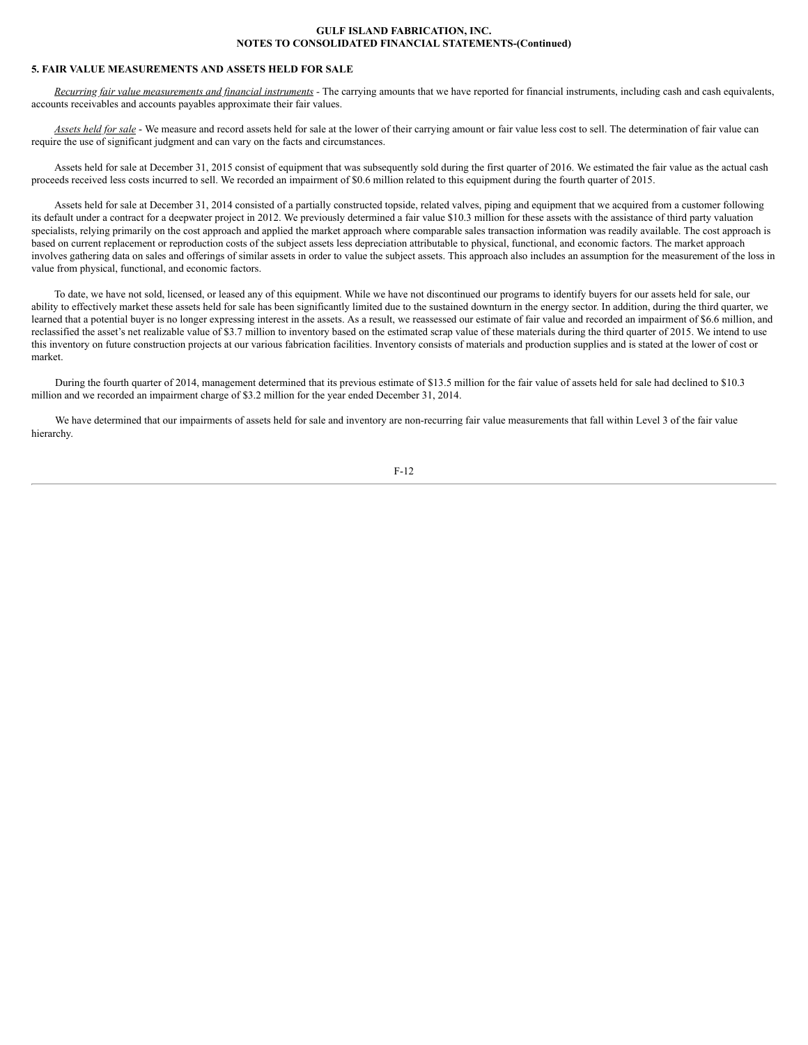#### **5. FAIR VALUE MEASUREMENTS AND ASSETS HELD FOR SALE**

*Recurring fair value measurements and financial instruments -* The carrying amounts that we have reported for financial instruments, including cash and cash equivalents, accounts receivables and accounts payables approximate their fair values.

*Assets held for sale* - We measure and record assets held for sale at the lower of their carrying amount or fair value less cost to sell. The determination of fair value can require the use of significant judgment and can vary on the facts and circumstances.

Assets held for sale at December 31, 2015 consist of equipment that was subsequently sold during the first quarter of 2016. We estimated the fair value as the actual cash proceeds received less costs incurred to sell. We recorded an impairment of \$0.6 million related to this equipment during the fourth quarter of 2015.

Assets held for sale at December 31, 2014 consisted of a partially constructed topside, related valves, piping and equipment that we acquired from a customer following its default under a contract for a deepwater project in 2012. We previously determined a fair value \$10.3 million for these assets with the assistance of third party valuation specialists, relying primarily on the cost approach and applied the market approach where comparable sales transaction information was readily available. The cost approach is based on current replacement or reproduction costs of the subject assets less depreciation attributable to physical, functional, and economic factors. The market approach involves gathering data on sales and offerings of similar assets in order to value the subject assets. This approach also includes an assumption for the measurement of the loss in value from physical, functional, and economic factors.

To date, we have not sold, licensed, or leased any of this equipment. While we have not discontinued our programs to identify buyers for our assets held for sale, our ability to effectively market these assets held for sale has been significantly limited due to the sustained downturn in the energy sector. In addition, during the third quarter, we learned that a potential buyer is no longer expressing interest in the assets. As a result, we reassessed our estimate of fair value and recorded an impairment of \$6.6 million, and reclassified the asset's net realizable value of \$3.7 million to inventory based on the estimated scrap value of these materials during the third quarter of 2015. We intend to use this inventory on future construction projects at our various fabrication facilities. Inventory consists of materials and production supplies and is stated at the lower of cost or market.

During the fourth quarter of 2014, management determined that its previous estimate of \$13.5 million for the fair value of assets held for sale had declined to \$10.3 million and we recorded an impairment charge of \$3.2 million for the year ended December 31, 2014.

We have determined that our impairments of assets held for sale and inventory are non-recurring fair value measurements that fall within Level 3 of the fair value hierarchy.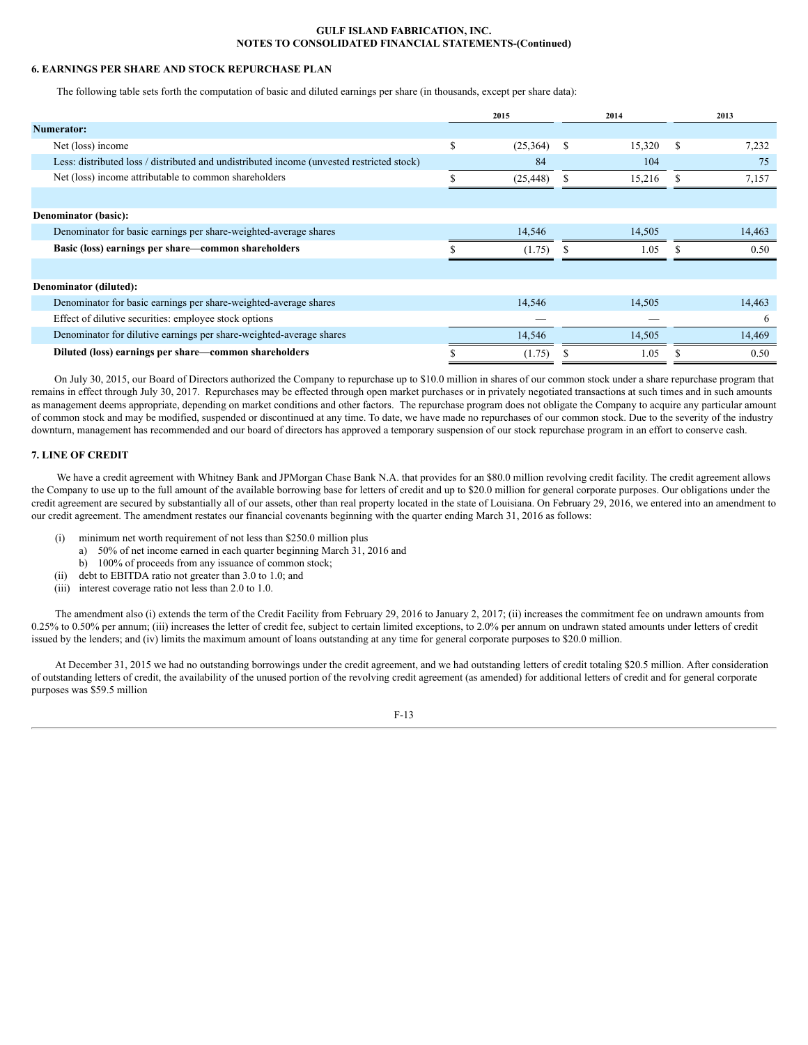# **6. EARNINGS PER SHARE AND STOCK REPURCHASE PLAN**

The following table sets forth the computation of basic and diluted earnings per share (in thousands, except per share data):

|                                                                                           |        | 2015      |   | 2014   | 2013   |
|-------------------------------------------------------------------------------------------|--------|-----------|---|--------|--------|
| Numerator:                                                                                |        |           |   |        |        |
| Net (loss) income                                                                         | \$     | (25,364)  | S | 15,320 | 7,232  |
| Less: distributed loss / distributed and undistributed income (unvested restricted stock) |        | 84        |   | 104    | 75     |
| Net (loss) income attributable to common shareholders                                     |        | (25, 448) |   | 15,216 | 7,157  |
|                                                                                           |        |           |   |        |        |
| Denominator (basic):                                                                      |        |           |   |        |        |
| Denominator for basic earnings per share-weighted-average shares                          |        | 14,546    |   | 14,505 | 14,463 |
| Basic (loss) earnings per share—common shareholders                                       | (1.75) |           |   | 1.05   | 0.50   |
|                                                                                           |        |           |   |        |        |
| Denominator (diluted):                                                                    |        |           |   |        |        |
| Denominator for basic earnings per share-weighted-average shares                          |        | 14,546    |   | 14,505 | 14,463 |
| Effect of dilutive securities: employee stock options                                     |        |           |   |        | 6      |
| Denominator for dilutive earnings per share-weighted-average shares                       |        | 14,546    |   | 14,505 | 14,469 |
| Diluted (loss) earnings per share—common shareholders                                     |        | (1.75)    |   | 1.05   | 0.50   |

On July 30, 2015, our Board of Directors authorized the Company to repurchase up to \$10.0 million in shares of our common stock under a share repurchase program that remains in effect through July 30, 2017. Repurchases may be effected through open market purchases or in privately negotiated transactions at such times and in such amounts as management deems appropriate, depending on market conditions and other factors. The repurchase program does not obligate the Company to acquire any particular amount of common stock and may be modified, suspended or discontinued at any time. To date, we have made no repurchases of our common stock. Due to the severity of the industry downturn, management has recommended and our board of directors has approved a temporary suspension of our stock repurchase program in an effort to conserve cash.

# **7. LINE OF CREDIT**

We have a credit agreement with Whitney Bank and JPMorgan Chase Bank N.A. that provides for an \$80.0 million revolving credit facility. The credit agreement allows the Company to use up to the full amount of the available borrowing base for letters of credit and up to \$20.0 million for general corporate purposes. Our obligations under the credit agreement are secured by substantially all of our assets, other than real property located in the state of Louisiana. On February 29, 2016, we entered into an amendment to our credit agreement. The amendment restates our financial covenants beginning with the quarter ending March 31, 2016 as follows:

- (i) minimum net worth requirement of not less than \$250.0 million plus
	- a) 50% of net income earned in each quarter beginning March 31, 2016 and
	- b) 100% of proceeds from any issuance of common stock;
- (ii) debt to EBITDA ratio not greater than 3.0 to 1.0; and
- (iii) interest coverage ratio not less than 2.0 to 1.0.

The amendment also (i) extends the term of the Credit Facility from February 29, 2016 to January 2, 2017; (ii) increases the commitment fee on undrawn amounts from 0.25% to 0.50% per annum; (iii) increases the letter of credit fee, subject to certain limited exceptions, to 2.0% per annum on undrawn stated amounts under letters of credit issued by the lenders; and (iv) limits the maximum amount of loans outstanding at any time for general corporate purposes to \$20.0 million.

At December 31, 2015 we had no outstanding borrowings under the credit agreement, and we had outstanding letters of credit totaling \$20.5 million. After consideration of outstanding letters of credit, the availability of the unused portion of the revolving credit agreement (as amended) for additional letters of credit and for general corporate purposes was \$59.5 million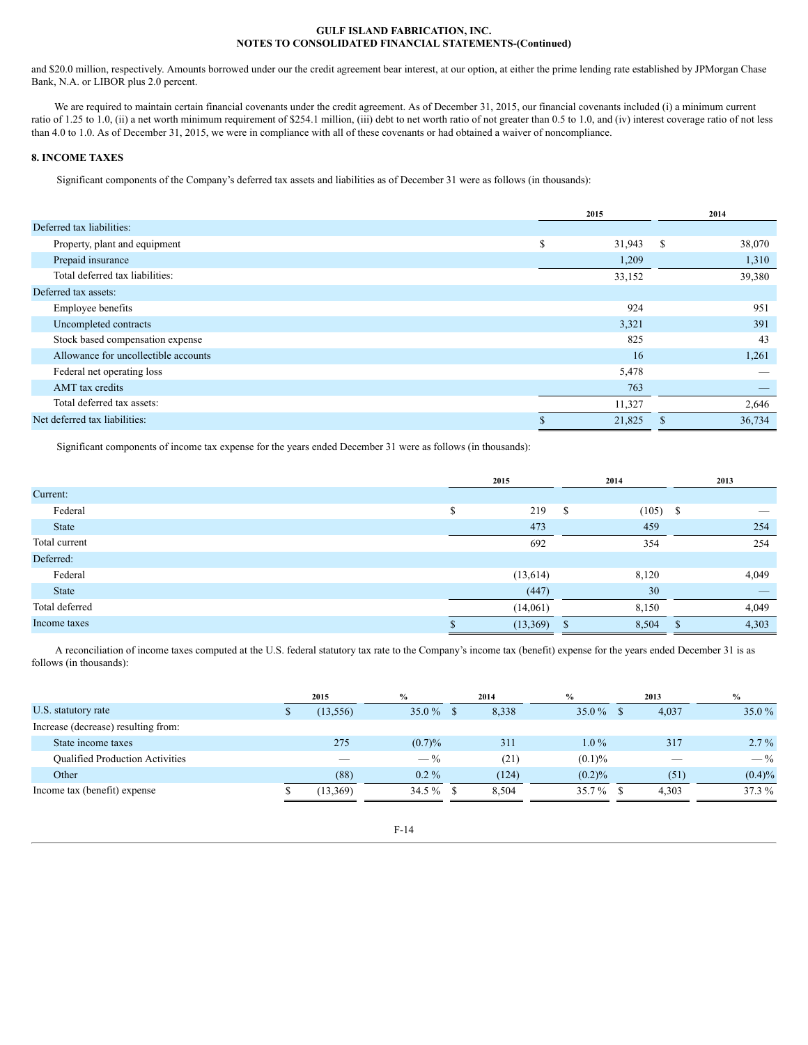and \$20.0 million, respectively. Amounts borrowed under our the credit agreement bear interest, at our option, at either the prime lending rate established by JPMorgan Chase Bank, N.A. or LIBOR plus 2.0 percent.

We are required to maintain certain financial covenants under the credit agreement. As of December 31, 2015, our financial covenants included (i) a minimum current ratio of 1.25 to 1.0, (ii) a net worth minimum requirement of \$254.1 million, (iii) debt to net worth ratio of not greater than 0.5 to 1.0, and (iv) interest coverage ratio of not less than 4.0 to 1.0. As of December 31, 2015, we were in compliance with all of these covenants or had obtained a waiver of noncompliance.

# **8. INCOME TAXES**

Significant components of the Company's deferred tax assets and liabilities as of December 31 were as follows (in thousands):

|                                      | 2015         | 2014        |
|--------------------------------------|--------------|-------------|
| Deferred tax liabilities:            |              |             |
| Property, plant and equipment        | \$<br>31,943 | S<br>38,070 |
| Prepaid insurance                    | 1,209        | 1,310       |
| Total deferred tax liabilities:      | 33,152       | 39,380      |
| Deferred tax assets:                 |              |             |
| Employee benefits                    | 924          | 951         |
| Uncompleted contracts                | 3,321        | 391         |
| Stock based compensation expense     | 825          | 43          |
| Allowance for uncollectible accounts | 16           | 1,261       |
| Federal net operating loss           | 5,478        |             |
| AMT tax credits                      | 763          |             |
| Total deferred tax assets:           | 11,327       | 2,646       |
| Net deferred tax liabilities:        | 21,825       | 36,734<br>ъ |

Significant components of income tax expense for the years ended December 31 were as follows (in thousands):

|                | 2015      | 2014                        | 2013  |
|----------------|-----------|-----------------------------|-------|
| Current:       |           |                             |       |
| Federal        | \$<br>219 | $(105)$ \$<br><sup>\$</sup> | __    |
| State          | 473       | 459                         | 254   |
| Total current  | 692       | 354                         | 254   |
| Deferred:      |           |                             |       |
| Federal        | (13,614)  | 8,120                       | 4,049 |
| State          | (447)     | 30                          | _     |
| Total deferred | (14,061)  | 8,150                       | 4,049 |
| Income taxes   | (13,369)  | 8,504                       | 4,303 |

A reconciliation of income taxes computed at the U.S. federal statutory tax rate to the Company's income tax (benefit) expense for the years ended December 31 is as follows (in thousands):

|                                        | 2015      | $\frac{6}{9}$ | 2014  | $\frac{6}{6}$ | 2013  | $\frac{0}{0}$  |
|----------------------------------------|-----------|---------------|-------|---------------|-------|----------------|
| U.S. statutory rate                    | (13, 556) | 35.0 %        | 8,338 | $35.0\%$      | 4.037 | $35.0\%$       |
| Increase (decrease) resulting from:    |           |               |       |               |       |                |
| State income taxes                     | 275       | (0.7)%        | 311   | $1.0\%$       | 317   | $2.7\%$        |
| <b>Oualified Production Activities</b> |           | $-$ %         | (21)  | (0.1)%        |       | $-\frac{9}{6}$ |
| Other                                  | (88)      | $0.2\%$       | (124) | (0.2)%        | (51)  | $(0.4)\%$      |
| Income tax (benefit) expense           | (13, 369) | $34.5\%$      | 8.504 | $35.7\%$ \$   | 4.303 | 37.3 %         |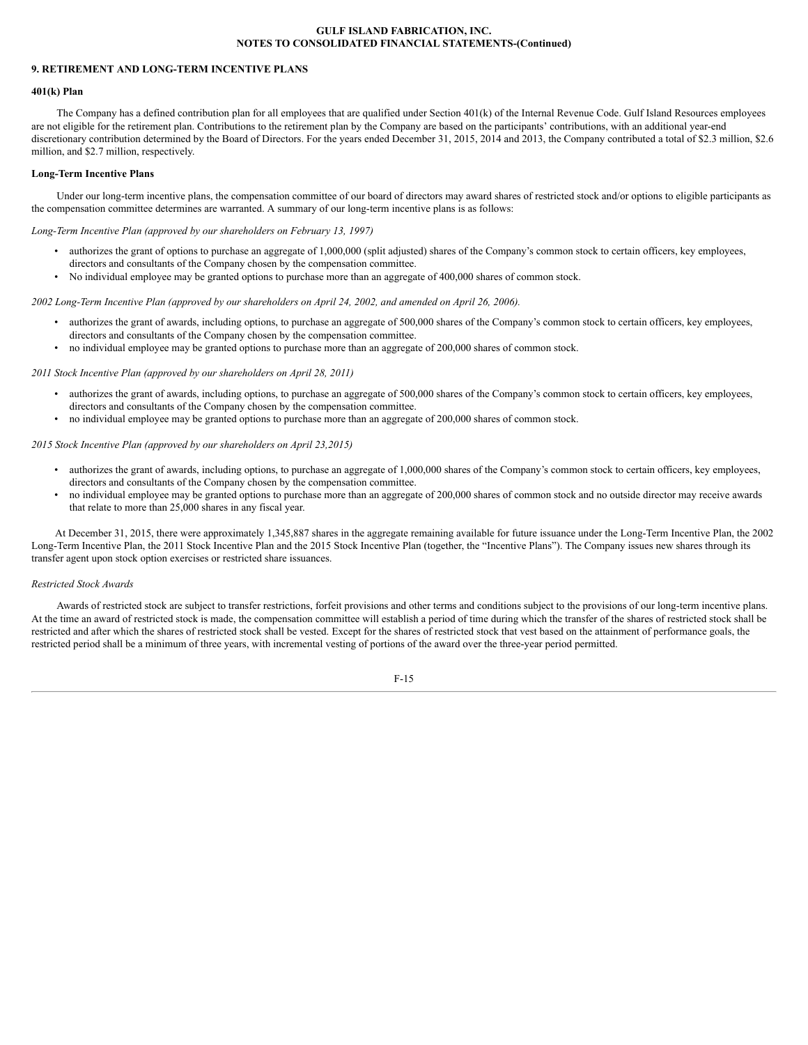#### **9. RETIREMENT AND LONG-TERM INCENTIVE PLANS**

#### **401(k) Plan**

The Company has a defined contribution plan for all employees that are qualified under Section 401(k) of the Internal Revenue Code. Gulf Island Resources employees are not eligible for the retirement plan. Contributions to the retirement plan by the Company are based on the participants' contributions, with an additional year-end discretionary contribution determined by the Board of Directors. For the years ended December 31, 2015, 2014 and 2013, the Company contributed a total of \$2.3 million, \$2.6 million, and \$2.7 million, respectively.

#### **Long-Term Incentive Plans**

Under our long-term incentive plans, the compensation committee of our board of directors may award shares of restricted stock and/or options to eligible participants as the compensation committee determines are warranted. A summary of our long-term incentive plans is as follows:

*Long-Term Incentive Plan (approved by our shareholders on February 13, 1997)*

- authorizes the grant of options to purchase an aggregate of 1,000,000 (split adjusted) shares of the Company's common stock to certain officers, key employees, directors and consultants of the Company chosen by the compensation committee.
- No individual employee may be granted options to purchase more than an aggregate of 400,000 shares of common stock.

2002 Long-Term Incentive Plan (approved by our shareholders on April 24, 2002, and amended on April 26, 2006).

- authorizes the grant of awards, including options, to purchase an aggregate of 500,000 shares of the Company's common stock to certain officers, key employees, directors and consultants of the Company chosen by the compensation committee.
- no individual employee may be granted options to purchase more than an aggregate of 200,000 shares of common stock.

#### *2011 Stock Incentive Plan (approved by our shareholders on April 28, 2011)*

- authorizes the grant of awards, including options, to purchase an aggregate of 500,000 shares of the Company's common stock to certain officers, key employees, directors and consultants of the Company chosen by the compensation committee.
- no individual employee may be granted options to purchase more than an aggregate of 200,000 shares of common stock.

#### *2015 Stock Incentive Plan (approved by our shareholders on April 23,2015)*

- authorizes the grant of awards, including options, to purchase an aggregate of 1,000,000 shares of the Company's common stock to certain officers, key employees, directors and consultants of the Company chosen by the compensation committee.
- no individual employee may be granted options to purchase more than an aggregate of 200,000 shares of common stock and no outside director may receive awards that relate to more than 25,000 shares in any fiscal year.

At December 31, 2015, there were approximately 1,345,887 shares in the aggregate remaining available for future issuance under the Long-Term Incentive Plan, the 2002 Long-Term Incentive Plan, the 2011 Stock Incentive Plan and the 2015 Stock Incentive Plan (together, the "Incentive Plans"). The Company issues new shares through its transfer agent upon stock option exercises or restricted share issuances.

#### *Restricted Stock Awards*

Awards of restricted stock are subject to transfer restrictions, forfeit provisions and other terms and conditions subject to the provisions of our long-term incentive plans. At the time an award of restricted stock is made, the compensation committee will establish a period of time during which the transfer of the shares of restricted stock shall be restricted and after which the shares of restricted stock shall be vested. Except for the shares of restricted stock that vest based on the attainment of performance goals, the restricted period shall be a minimum of three years, with incremental vesting of portions of the award over the three-year period permitted.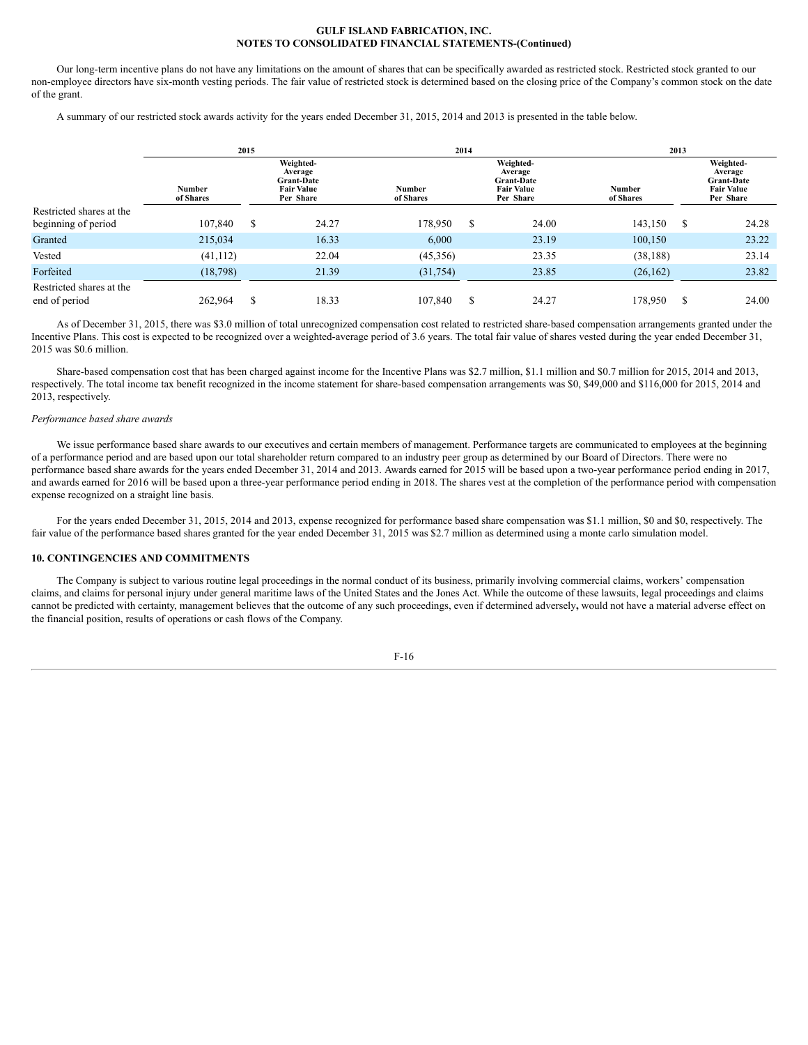Our long-term incentive plans do not have any limitations on the amount of shares that can be specifically awarded as restricted stock. Restricted stock granted to our non-employee directors have six-month vesting periods. The fair value of restricted stock is determined based on the closing price of the Company's common stock on the date of the grant.

A summary of our restricted stock awards activity for the years ended December 31, 2015, 2014 and 2013 is presented in the table below.

|                                                 | 2015                       |    |                                                                             | 2014                       |   | 2013                                                                        |                            |    |                                                                             |  |
|-------------------------------------------------|----------------------------|----|-----------------------------------------------------------------------------|----------------------------|---|-----------------------------------------------------------------------------|----------------------------|----|-----------------------------------------------------------------------------|--|
|                                                 | <b>Number</b><br>of Shares |    | Weighted-<br>Average<br><b>Grant-Date</b><br><b>Fair Value</b><br>Per Share | <b>Number</b><br>of Shares |   | Weighted-<br>Average<br><b>Grant-Date</b><br><b>Fair Value</b><br>Per Share | <b>Number</b><br>of Shares |    | Weighted-<br>Average<br><b>Grant-Date</b><br><b>Fair Value</b><br>Per Share |  |
| Restricted shares at the<br>beginning of period | 107,840                    | S  | 24.27                                                                       | 178,950                    | S | 24.00                                                                       | 143,150                    | -S | 24.28                                                                       |  |
| Granted                                         | 215,034                    |    | 16.33                                                                       | 6,000                      |   | 23.19                                                                       | 100,150                    |    | 23.22                                                                       |  |
| Vested                                          | (41, 112)                  |    | 22.04                                                                       | (45,356)                   |   | 23.35                                                                       | (38, 188)                  |    | 23.14                                                                       |  |
| Forfeited                                       | (18, 798)                  |    | 21.39                                                                       | (31,754)                   |   | 23.85                                                                       | (26, 162)                  |    | 23.82                                                                       |  |
| Restricted shares at the<br>end of period       | 262,964                    | \$ | 18.33                                                                       | 107,840                    | S | 24.27                                                                       | 178,950                    |    | 24.00                                                                       |  |

As of December 31, 2015, there was \$3.0 million of total unrecognized compensation cost related to restricted share-based compensation arrangements granted under the Incentive Plans. This cost is expected to be recognized over a weighted-average period of 3.6 years. The total fair value of shares vested during the year ended December 31, 2015 was \$0.6 million.

Share-based compensation cost that has been charged against income for the Incentive Plans was \$2.7 million, \$1.1 million and \$0.7 million for 2015, 2014 and 2013, respectively. The total income tax benefit recognized in the income statement for share-based compensation arrangements was \$0, \$49,000 and \$116,000 for 2015, 2014 and 2013, respectively.

#### *Performance based share awards*

We issue performance based share awards to our executives and certain members of management. Performance targets are communicated to employees at the beginning of a performance period and are based upon our total shareholder return compared to an industry peer group as determined by our Board of Directors. There were no performance based share awards for the years ended December 31, 2014 and 2013. Awards earned for 2015 will be based upon a two-year performance period ending in 2017, and awards earned for 2016 will be based upon a three-year performance period ending in 2018. The shares vest at the completion of the performance period with compensation expense recognized on a straight line basis.

For the years ended December 31, 2015, 2014 and 2013, expense recognized for performance based share compensation was \$1.1 million, \$0 and \$0, respectively. The fair value of the performance based shares granted for the year ended December 31, 2015 was \$2.7 million as determined using a monte carlo simulation model.

#### **10. CONTINGENCIES AND COMMITMENTS**

The Company is subject to various routine legal proceedings in the normal conduct of its business, primarily involving commercial claims, workers' compensation claims, and claims for personal injury under general maritime laws of the United States and the Jones Act. While the outcome of these lawsuits, legal proceedings and claims cannot be predicted with certainty, management believes that the outcome of any such proceedings, even if determined adversely**,** would not have a material adverse effect on the financial position, results of operations or cash flows of the Company.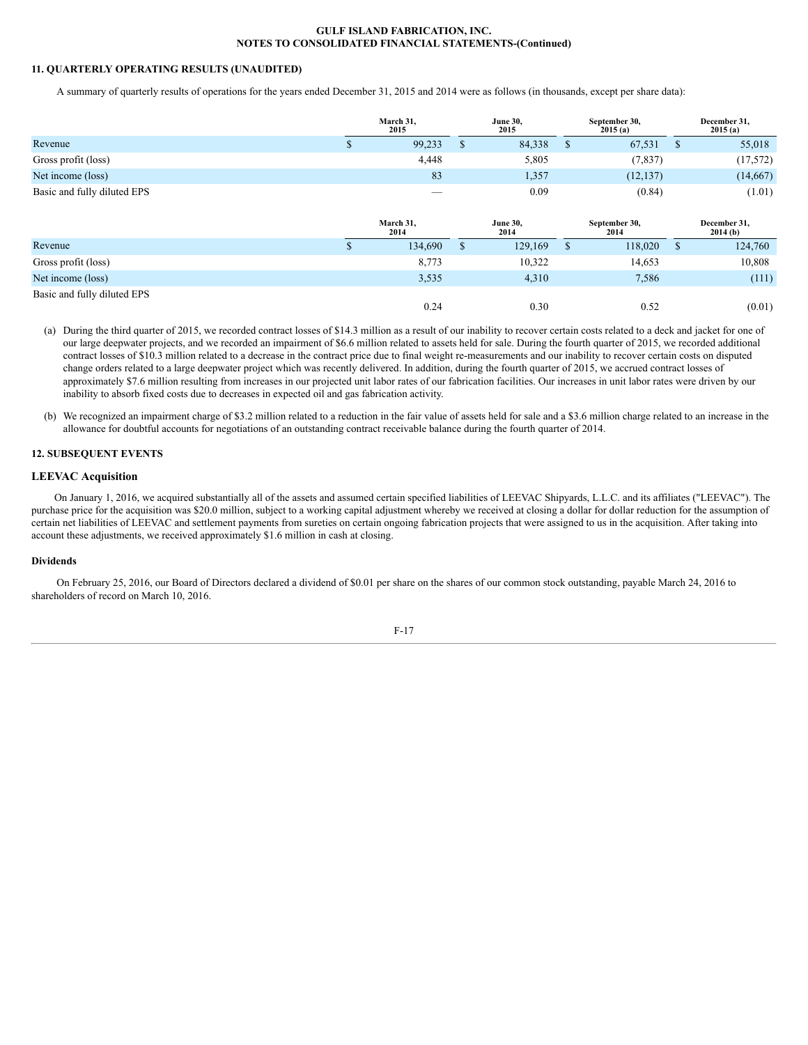#### **11. QUARTERLY OPERATING RESULTS (UNAUDITED)**

A summary of quarterly results of operations for the years ended December 31, 2015 and 2014 were as follows (in thousands, except per share data):

|                             | March 31,<br>2015 |              | <b>June 30,</b><br>2015 |               | September 30,<br>2015(a) |              | December 31,<br>2015(a) |
|-----------------------------|-------------------|--------------|-------------------------|---------------|--------------------------|--------------|-------------------------|
| Revenue                     | 99,233            | $\mathbb{S}$ | 84,338                  | <sup>\$</sup> | 67,531                   | \$.          | 55,018                  |
| Gross profit (loss)         | 4,448             |              | 5,805                   |               | (7, 837)                 |              | (17, 572)               |
| Net income (loss)           | 83                |              | 1,357                   |               | (12, 137)                |              | (14,667)                |
| Basic and fully diluted EPS |                   |              | 0.09                    |               | (0.84)                   |              | (1.01)                  |
|                             | March 31,<br>2014 |              | <b>June 30,</b><br>2014 |               | September 30,<br>2014    |              | December 31,<br>2014(b) |
| Revenue                     | 134,690           | \$           | 129,169                 | <sup>\$</sup> | 118,020                  | $\mathbf{s}$ | 124,760                 |
| Gross profit (loss)         | 8,773             |              | 10,322                  |               | 14,653                   |              | 10,808                  |
| Net income (loss)           | 3,535             |              | 4,310                   |               | 7,586                    |              | (111)                   |
| Basic and fully diluted EPS |                   |              |                         |               |                          |              |                         |

(a) During the third quarter of 2015, we recorded contract losses of \$14.3 million as a result of our inability to recover certain costs related to a deck and jacket for one of our large deepwater projects, and we recorded an impairment of \$6.6 million related to assets held for sale. During the fourth quarter of 2015, we recorded additional contract losses of \$10.3 million related to a decrease in the contract price due to final weight re-measurements and our inability to recover certain costs on disputed change orders related to a large deepwater project which was recently delivered. In addition, during the fourth quarter of 2015, we accrued contract losses of approximately \$7.6 million resulting from increases in our projected unit labor rates of our fabrication facilities. Our increases in unit labor rates were driven by our inability to absorb fixed costs due to decreases in expected oil and gas fabrication activity.

(b) We recognized an impairment charge of \$3.2 million related to a reduction in the fair value of assets held for sale and a \$3.6 million charge related to an increase in the allowance for doubtful accounts for negotiations of an outstanding contract receivable balance during the fourth quarter of 2014.

#### **12. SUBSEQUENT EVENTS**

#### **LEEVAC Acquisition**

On January 1, 2016, we acquired substantially all of the assets and assumed certain specified liabilities of LEEVAC Shipyards, L.L.C. and its affiliates ("LEEVAC"). The purchase price for the acquisition was \$20.0 million, subject to a working capital adjustment whereby we received at closing a dollar for dollar reduction for the assumption of certain net liabilities of LEEVAC and settlement payments from sureties on certain ongoing fabrication projects that were assigned to us in the acquisition. After taking into account these adjustments, we received approximately \$1.6 million in cash at closing.

#### **Dividends**

On February 25, 2016, our Board of Directors declared a dividend of \$0.01 per share on the shares of our common stock outstanding, payable March 24, 2016 to shareholders of record on March 10, 2016.

$$
F-17
$$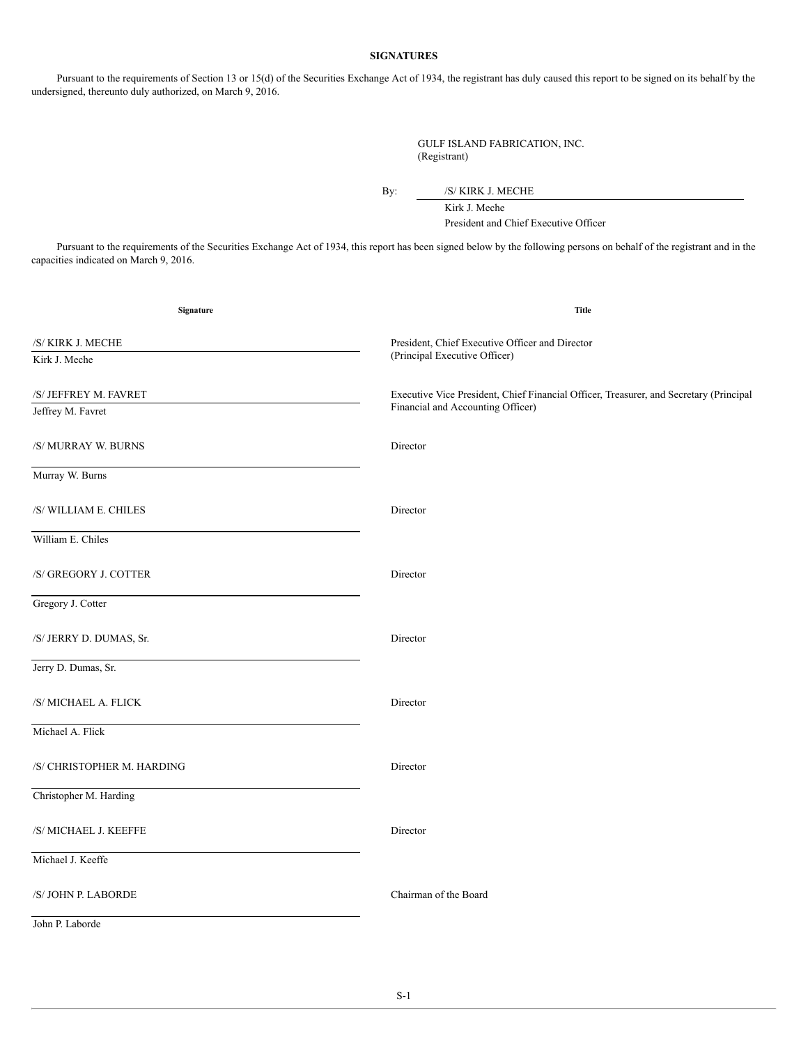#### **SIGNATURES**

Pursuant to the requirements of Section 13 or 15(d) of the Securities Exchange Act of 1934, the registrant has duly caused this report to be signed on its behalf by the undersigned, thereunto duly authorized, on March 9, 2016.

> GULF ISLAND FABRICATION, INC. (Registrant)

By: /S/ KIRK J. MECHE

Kirk J. Meche President and Chief Executive Officer

Pursuant to the requirements of the Securities Exchange Act of 1934, this report has been signed below by the following persons on behalf of the registrant and in the capacities indicated on March 9, 2016.

| Signature                  | <b>Title</b>                                                                                                                |
|----------------------------|-----------------------------------------------------------------------------------------------------------------------------|
| /S/ KIRK J. MECHE          | President, Chief Executive Officer and Director<br>(Principal Executive Officer)                                            |
| Kirk J. Meche              |                                                                                                                             |
| /S/ JEFFREY M. FAVRET      | Executive Vice President, Chief Financial Officer, Treasurer, and Secretary (Principal<br>Financial and Accounting Officer) |
| Jeffrey M. Favret          |                                                                                                                             |
| /S/ MURRAY W. BURNS        | Director                                                                                                                    |
| Murray W. Burns            |                                                                                                                             |
| /S/ WILLIAM E. CHILES      | Director                                                                                                                    |
| William E. Chiles          |                                                                                                                             |
| /S/ GREGORY J. COTTER      | Director                                                                                                                    |
| Gregory J. Cotter          |                                                                                                                             |
| /S/ JERRY D. DUMAS, Sr.    | Director                                                                                                                    |
| Jerry D. Dumas, Sr.        |                                                                                                                             |
| /S/ MICHAEL A. FLICK       | Director                                                                                                                    |
| Michael A. Flick           |                                                                                                                             |
| /S/ CHRISTOPHER M. HARDING | Director                                                                                                                    |
| Christopher M. Harding     |                                                                                                                             |
| /S/ MICHAEL J. KEEFFE      | Director                                                                                                                    |
| Michael J. Keeffe          |                                                                                                                             |
| /S/ JOHN P. LABORDE        | Chairman of the Board                                                                                                       |
| John P. Laborde            |                                                                                                                             |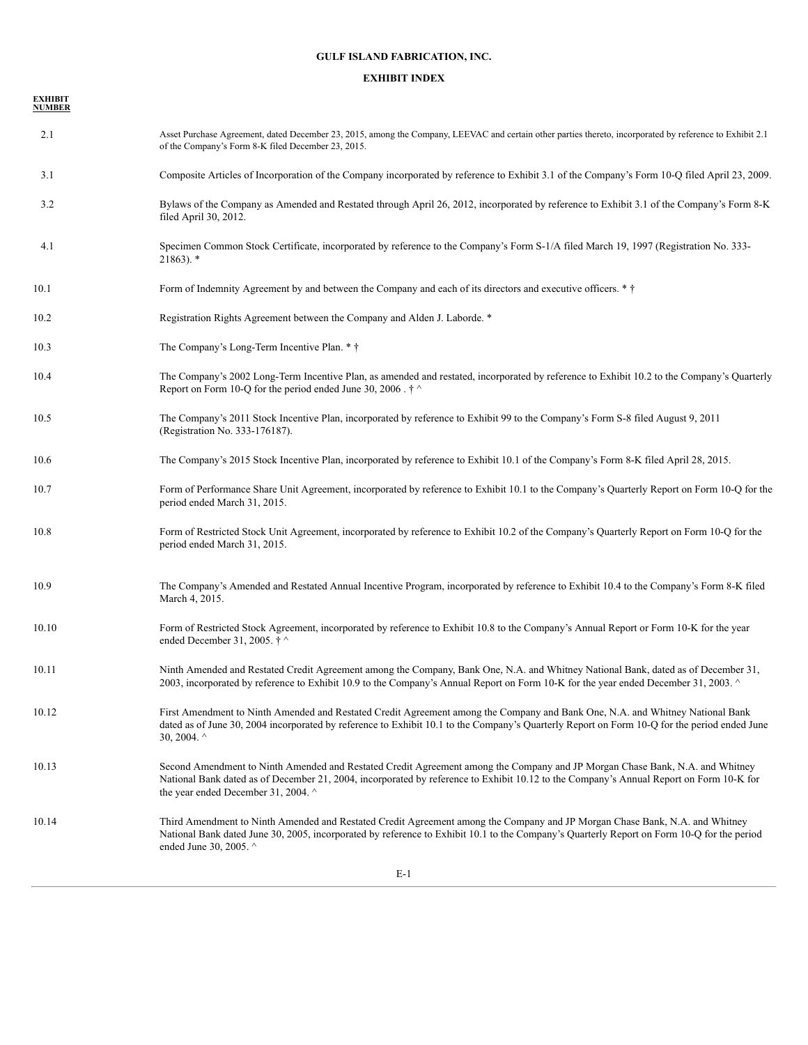# **GULF ISLAND FABRICATION, INC.**

# **EXHIBIT INDEX**

| <b>EXHIBIT</b><br><b>NUMBER</b> |                                                                                                                                                                                                                                                                                                                |
|---------------------------------|----------------------------------------------------------------------------------------------------------------------------------------------------------------------------------------------------------------------------------------------------------------------------------------------------------------|
| 2.1                             | Asset Purchase Agreement, dated December 23, 2015, among the Company, LEEVAC and certain other parties thereto, incorporated by reference to Exhibit 2.1<br>of the Company's Form 8-K filed December 23, 2015.                                                                                                 |
| 3.1                             | Composite Articles of Incorporation of the Company incorporated by reference to Exhibit 3.1 of the Company's Form 10-Q filed April 23, 2009.                                                                                                                                                                   |
| 3.2                             | Bylaws of the Company as Amended and Restated through April 26, 2012, incorporated by reference to Exhibit 3.1 of the Company's Form 8-K<br>filed April 30, 2012.                                                                                                                                              |
| 4.1                             | Specimen Common Stock Certificate, incorporated by reference to the Company's Form S-1/A filed March 19, 1997 (Registration No. 333-<br>$21863$ ). $*$                                                                                                                                                         |
| 10.1                            | Form of Indemnity Agreement by and between the Company and each of its directors and executive officers. * †                                                                                                                                                                                                   |
| 10.2                            | Registration Rights Agreement between the Company and Alden J. Laborde. *                                                                                                                                                                                                                                      |
| 10.3                            | The Company's Long-Term Incentive Plan. * †                                                                                                                                                                                                                                                                    |
| 10.4                            | The Company's 2002 Long-Term Incentive Plan, as amended and restated, incorporated by reference to Exhibit 10.2 to the Company's Quarterly<br>Report on Form 10-Q for the period ended June 30, 2006. $\dagger \wedge$                                                                                         |
| 10.5                            | The Company's 2011 Stock Incentive Plan, incorporated by reference to Exhibit 99 to the Company's Form S-8 filed August 9, 2011<br>(Registration No. 333-176187).                                                                                                                                              |
| 10.6                            | The Company's 2015 Stock Incentive Plan, incorporated by reference to Exhibit 10.1 of the Company's Form 8-K filed April 28, 2015.                                                                                                                                                                             |
| 10.7                            | Form of Performance Share Unit Agreement, incorporated by reference to Exhibit 10.1 to the Company's Quarterly Report on Form 10-Q for the<br>period ended March 31, 2015.                                                                                                                                     |
| 10.8                            | Form of Restricted Stock Unit Agreement, incorporated by reference to Exhibit 10.2 of the Company's Quarterly Report on Form 10-Q for the<br>period ended March 31, 2015.                                                                                                                                      |
| 10.9                            | The Company's Amended and Restated Annual Incentive Program, incorporated by reference to Exhibit 10.4 to the Company's Form 8-K filed<br>March 4, 2015.                                                                                                                                                       |
| 10.10                           | Form of Restricted Stock Agreement, incorporated by reference to Exhibit 10.8 to the Company's Annual Report or Form 10-K for the year<br>ended December 31, 2005. $\dagger \wedge$                                                                                                                            |
| 10.11                           | Ninth Amended and Restated Credit Agreement among the Company, Bank One, N.A. and Whitney National Bank, dated as of December 31,<br>2003, incorporated by reference to Exhibit 10.9 to the Company's Annual Report on Form 10-K for the year ended December 31, 2003. ^                                       |
| 10.12                           | First Amendment to Ninth Amended and Restated Credit Agreement among the Company and Bank One, N.A. and Whitney National Bank<br>dated as of June 30, 2004 incorporated by reference to Exhibit 10.1 to the Company's Quarterly Report on Form 10-Q for the period ended June<br>30, 2004. $\land$             |
| 10.13                           | Second Amendment to Ninth Amended and Restated Credit Agreement among the Company and JP Morgan Chase Bank, N.A. and Whitney<br>National Bank dated as of December 21, 2004, incorporated by reference to Exhibit 10.12 to the Company's Annual Report on Form 10-K for<br>the year ended December 31, 2004. ^ |
| 10.14                           | Third Amendment to Ninth Amended and Restated Credit Agreement among the Company and JP Morgan Chase Bank, N.A. and Whitney<br>National Bank dated June 30, 2005, incorporated by reference to Exhibit 10.1 to the Company's Quarterly Report on Form 10-O for the period<br>ended June 30, 2005. ^            |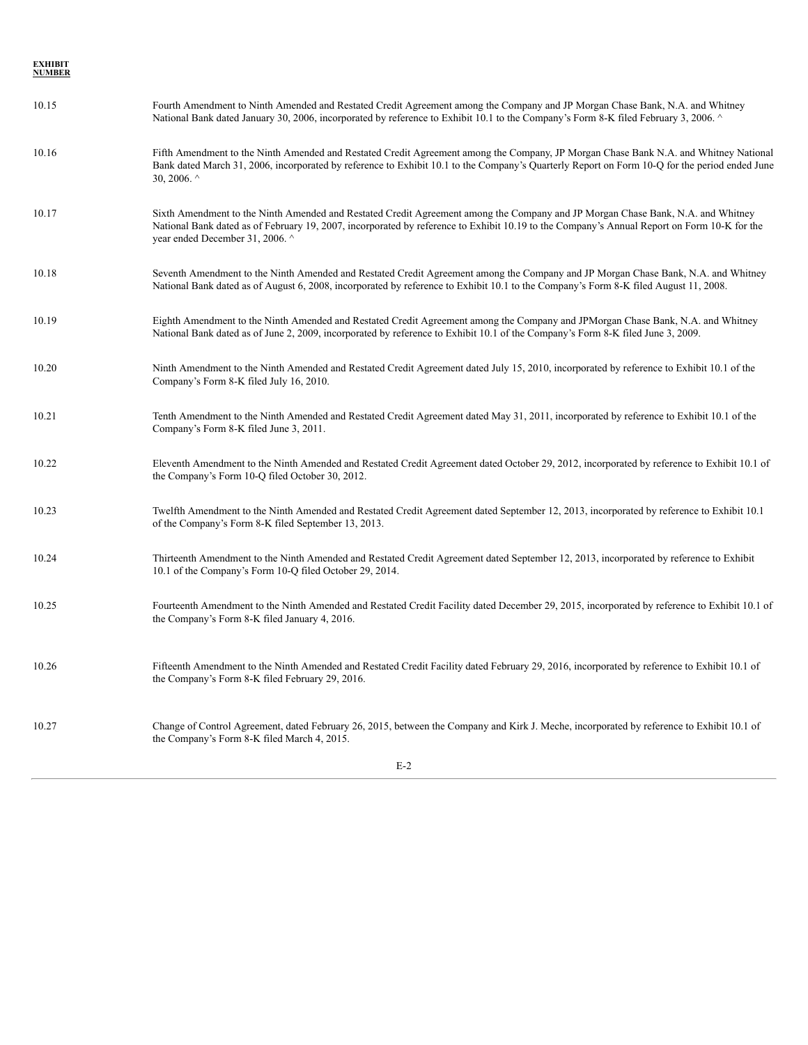| 10.15 | Fourth Amendment to Ninth Amended and Restated Credit Agreement among the Company and JP Morgan Chase Bank, N.A. and Whitney<br>National Bank dated January 30, 2006, incorporated by reference to Exhibit 10.1 to the Company's Form 8-K filed February 3, 2006. ^                                               |
|-------|-------------------------------------------------------------------------------------------------------------------------------------------------------------------------------------------------------------------------------------------------------------------------------------------------------------------|
| 10.16 | Fifth Amendment to the Ninth Amended and Restated Credit Agreement among the Company, JP Morgan Chase Bank N.A. and Whitney National<br>Bank dated March 31, 2006, incorporated by reference to Exhibit 10.1 to the Company's Quarterly Report on Form 10-Q for the period ended June<br>30, 2006. ^              |
| 10.17 | Sixth Amendment to the Ninth Amended and Restated Credit Agreement among the Company and JP Morgan Chase Bank, N.A. and Whitney<br>National Bank dated as of February 19, 2007, incorporated by reference to Exhibit 10.19 to the Company's Annual Report on Form 10-K for the<br>year ended December 31, 2006. ^ |
| 10.18 | Seventh Amendment to the Ninth Amended and Restated Credit Agreement among the Company and JP Morgan Chase Bank, N.A. and Whitney<br>National Bank dated as of August 6, 2008, incorporated by reference to Exhibit 10.1 to the Company's Form 8-K filed August 11, 2008.                                         |
| 10.19 | Eighth Amendment to the Ninth Amended and Restated Credit Agreement among the Company and JPMorgan Chase Bank, N.A. and Whitney<br>National Bank dated as of June 2, 2009, incorporated by reference to Exhibit 10.1 of the Company's Form 8-K filed June 3, 2009.                                                |
| 10.20 | Ninth Amendment to the Ninth Amended and Restated Credit Agreement dated July 15, 2010, incorporated by reference to Exhibit 10.1 of the<br>Company's Form 8-K filed July 16, 2010.                                                                                                                               |
| 10.21 | Tenth Amendment to the Ninth Amended and Restated Credit Agreement dated May 31, 2011, incorporated by reference to Exhibit 10.1 of the<br>Company's Form 8-K filed June 3, 2011.                                                                                                                                 |
| 10.22 | Eleventh Amendment to the Ninth Amended and Restated Credit Agreement dated October 29, 2012, incorporated by reference to Exhibit 10.1 of<br>the Company's Form 10-Q filed October 30, 2012.                                                                                                                     |
| 10.23 | Twelfth Amendment to the Ninth Amended and Restated Credit Agreement dated September 12, 2013, incorporated by reference to Exhibit 10.1<br>of the Company's Form 8-K filed September 13, 2013.                                                                                                                   |
| 10.24 | Thirteenth Amendment to the Ninth Amended and Restated Credit Agreement dated September 12, 2013, incorporated by reference to Exhibit<br>10.1 of the Company's Form 10-Q filed October 29, 2014.                                                                                                                 |
| 10.25 | Fourteenth Amendment to the Ninth Amended and Restated Credit Facility dated December 29, 2015, incorporated by reference to Exhibit 10.1 of<br>the Company's Form 8-K filed January 4, 2016.                                                                                                                     |
| 10.26 | Fifteenth Amendment to the Ninth Amended and Restated Credit Facility dated February 29, 2016, incorporated by reference to Exhibit 10.1 of<br>the Company's Form 8-K filed February 29, 2016.                                                                                                                    |
| 10.27 | Change of Control Agreement, dated February 26, 2015, between the Company and Kirk J. Meche, incorporated by reference to Exhibit 10.1 of<br>the Company's Form 8-K filed March 4, 2015.                                                                                                                          |

**EXHIBIT NUMBER**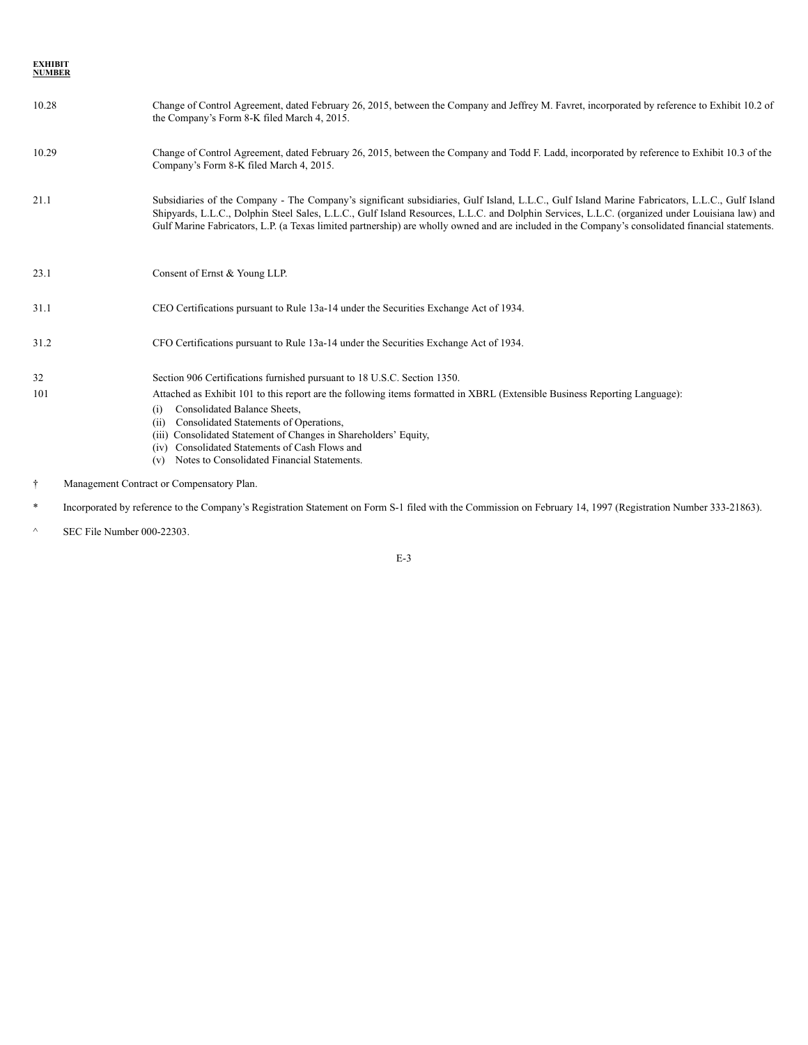| <b>EXHIBIT</b><br><b>NUMBER</b> |                                                                                                                                                                                                                                                                                                                                                                                                                                                       |
|---------------------------------|-------------------------------------------------------------------------------------------------------------------------------------------------------------------------------------------------------------------------------------------------------------------------------------------------------------------------------------------------------------------------------------------------------------------------------------------------------|
| 10.28                           | Change of Control Agreement, dated February 26, 2015, between the Company and Jeffrey M. Favret, incorporated by reference to Exhibit 10.2 of<br>the Company's Form 8-K filed March 4, 2015.                                                                                                                                                                                                                                                          |
| 10.29                           | Change of Control Agreement, dated February 26, 2015, between the Company and Todd F. Ladd, incorporated by reference to Exhibit 10.3 of the<br>Company's Form 8-K filed March 4, 2015.                                                                                                                                                                                                                                                               |
| 21.1                            | Subsidiaries of the Company - The Company's significant subsidiaries, Gulf Island, L.L.C., Gulf Island Marine Fabricators, L.L.C., Gulf Island<br>Shipyards, L.L.C., Dolphin Steel Sales, L.L.C., Gulf Island Resources, L.L.C. and Dolphin Services, L.L.C. (organized under Louisiana law) and<br>Gulf Marine Fabricators, L.P. (a Texas limited partnership) are wholly owned and are included in the Company's consolidated financial statements. |
| 23.1                            | Consent of Ernst & Young LLP.                                                                                                                                                                                                                                                                                                                                                                                                                         |
| 31.1                            | CEO Certifications pursuant to Rule 13a-14 under the Securities Exchange Act of 1934.                                                                                                                                                                                                                                                                                                                                                                 |
| 31.2                            | CFO Certifications pursuant to Rule 13a-14 under the Securities Exchange Act of 1934.                                                                                                                                                                                                                                                                                                                                                                 |
| 32                              | Section 906 Certifications furnished pursuant to 18 U.S.C. Section 1350.                                                                                                                                                                                                                                                                                                                                                                              |
| 101                             | Attached as Exhibit 101 to this report are the following items formatted in XBRL (Extensible Business Reporting Language):<br>Consolidated Balance Sheets,<br>(i)<br>Consolidated Statements of Operations,<br>(ii)<br>(iii) Consolidated Statement of Changes in Shareholders' Equity,<br>Consolidated Statements of Cash Flows and<br>(iv)<br>Notes to Consolidated Financial Statements.<br>(v)                                                    |
| ÷                               | Management Contract or Compensatory Plan.                                                                                                                                                                                                                                                                                                                                                                                                             |

\* Incorporated by reference to the Company's Registration Statement on Form S-1 filed with the Commission on February 14, 1997 (Registration Number 333-21863).

^ SEC File Number 000-22303.

E-3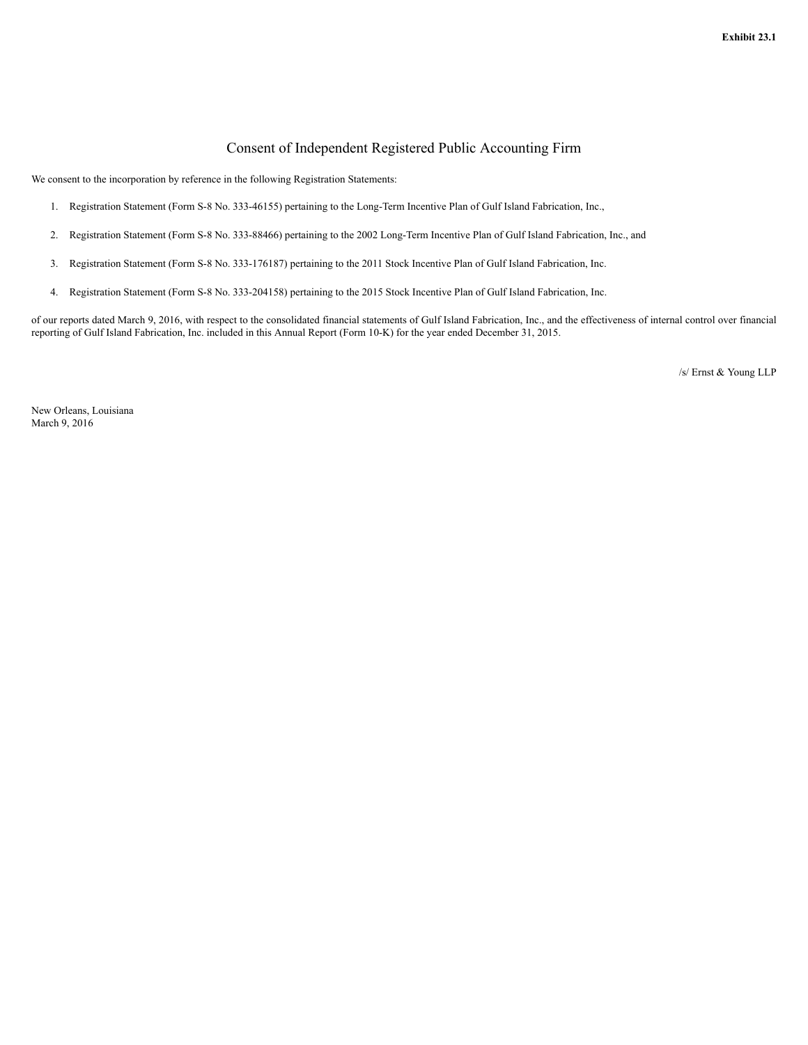# Consent of Independent Registered Public Accounting Firm

We consent to the incorporation by reference in the following Registration Statements:

- 1. Registration Statement (Form S-8 No. 333-46155) pertaining to the Long-Term Incentive Plan of Gulf Island Fabrication, Inc.,
- 2. Registration Statement (Form S-8 No. 333-88466) pertaining to the 2002 Long-Term Incentive Plan of Gulf Island Fabrication, Inc., and
- 3. Registration Statement (Form S-8 No. 333-176187) pertaining to the 2011 Stock Incentive Plan of Gulf Island Fabrication, Inc.
- 4. Registration Statement (Form S-8 No. 333-204158) pertaining to the 2015 Stock Incentive Plan of Gulf Island Fabrication, Inc.

of our reports dated March 9, 2016, with respect to the consolidated financial statements of Gulf Island Fabrication, Inc., and the effectiveness of internal control over financial reporting of Gulf Island Fabrication, Inc. included in this Annual Report (Form 10-K) for the year ended December 31, 2015.

/s/ Ernst & Young LLP

New Orleans, Louisiana March 9, 2016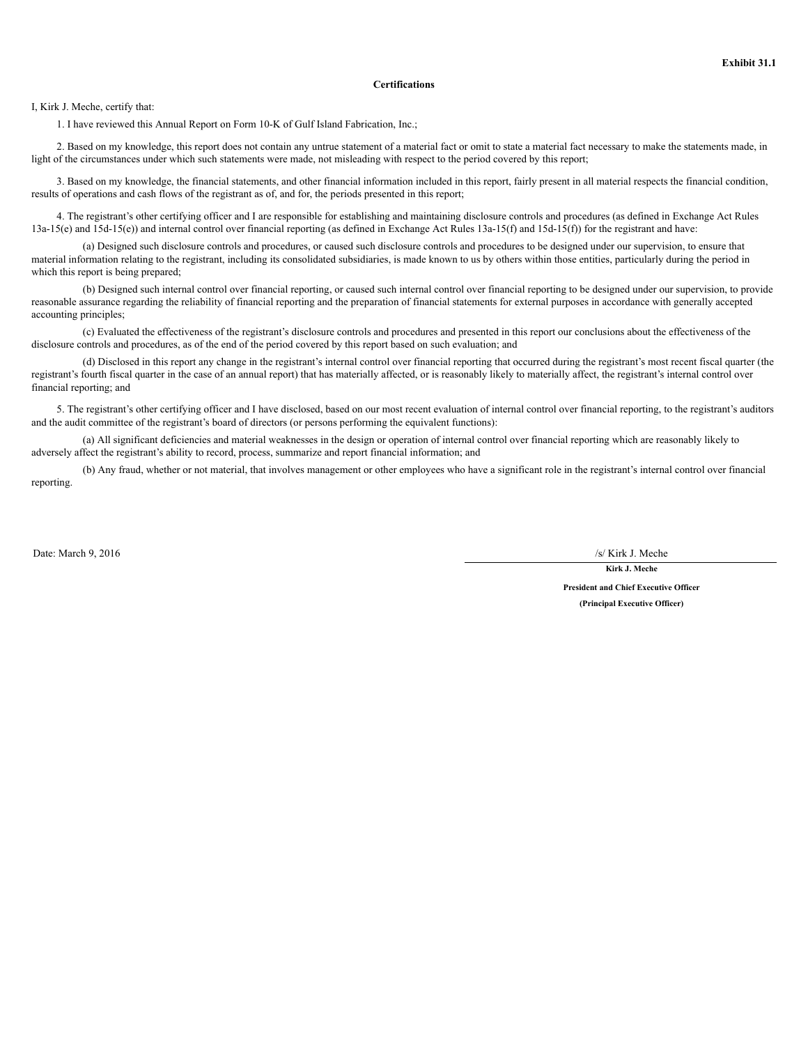#### **Certifications**

I, Kirk J. Meche, certify that:

1. I have reviewed this Annual Report on Form 10-K of Gulf Island Fabrication, Inc.;

2. Based on my knowledge, this report does not contain any untrue statement of a material fact or omit to state a material fact necessary to make the statements made, in light of the circumstances under which such statements were made, not misleading with respect to the period covered by this report;

3. Based on my knowledge, the financial statements, and other financial information included in this report, fairly present in all material respects the financial condition, results of operations and cash flows of the registrant as of, and for, the periods presented in this report;

4. The registrant's other certifying officer and I are responsible for establishing and maintaining disclosure controls and procedures (as defined in Exchange Act Rules  $13a-15(e)$  and  $15d-15(e)$ ) and internal control over financial reporting (as defined in Exchange Act Rules  $13a-15(f)$  and  $15d-15(f)$ ) for the registrant and have:

(a) Designed such disclosure controls and procedures, or caused such disclosure controls and procedures to be designed under our supervision, to ensure that material information relating to the registrant, including its consolidated subsidiaries, is made known to us by others within those entities, particularly during the period in which this report is being prepared;

(b) Designed such internal control over financial reporting, or caused such internal control over financial reporting to be designed under our supervision, to provide reasonable assurance regarding the reliability of financial reporting and the preparation of financial statements for external purposes in accordance with generally accepted accounting principles;

(c) Evaluated the effectiveness of the registrant's disclosure controls and procedures and presented in this report our conclusions about the effectiveness of the disclosure controls and procedures, as of the end of the period covered by this report based on such evaluation; and

(d) Disclosed in this report any change in the registrant's internal control over financial reporting that occurred during the registrant's most recent fiscal quarter (the registrant's fourth fiscal quarter in the case of an annual report) that has materially affected, or is reasonably likely to materially affect, the registrant's internal control over financial reporting; and

5. The registrant's other certifying officer and I have disclosed, based on our most recent evaluation of internal control over financial reporting, to the registrant's auditors and the audit committee of the registrant's board of directors (or persons performing the equivalent functions):

(a) All significant deficiencies and material weaknesses in the design or operation of internal control over financial reporting which are reasonably likely to adversely affect the registrant's ability to record, process, summarize and report financial information; and

(b) Any fraud, whether or not material, that involves management or other employees who have a significant role in the registrant's internal control over financial reporting.

Date: March 9, 2016 /s/ Kirk J. Meche

**Kirk J. Meche**

**President and Chief Executive Officer (Principal Executive Officer)**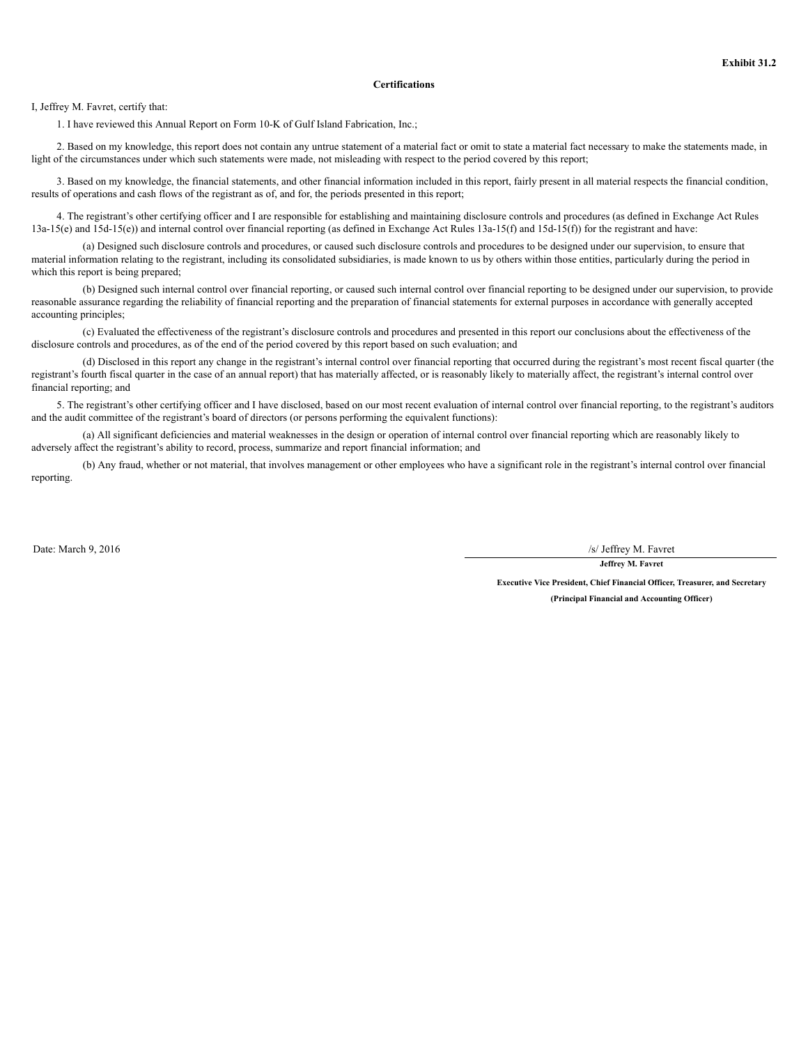#### **Certifications**

I, Jeffrey M. Favret, certify that:

1. I have reviewed this Annual Report on Form 10-K of Gulf Island Fabrication, Inc.;

2. Based on my knowledge, this report does not contain any untrue statement of a material fact or omit to state a material fact necessary to make the statements made, in light of the circumstances under which such statements were made, not misleading with respect to the period covered by this report;

3. Based on my knowledge, the financial statements, and other financial information included in this report, fairly present in all material respects the financial condition, results of operations and cash flows of the registrant as of, and for, the periods presented in this report;

4. The registrant's other certifying officer and I are responsible for establishing and maintaining disclosure controls and procedures (as defined in Exchange Act Rules  $13a-15(e)$  and  $15d-15(e)$ ) and internal control over financial reporting (as defined in Exchange Act Rules  $13a-15(f)$  and  $15d-15(f)$ ) for the registrant and have:

(a) Designed such disclosure controls and procedures, or caused such disclosure controls and procedures to be designed under our supervision, to ensure that material information relating to the registrant, including its consolidated subsidiaries, is made known to us by others within those entities, particularly during the period in which this report is being prepared;

(b) Designed such internal control over financial reporting, or caused such internal control over financial reporting to be designed under our supervision, to provide reasonable assurance regarding the reliability of financial reporting and the preparation of financial statements for external purposes in accordance with generally accepted accounting principles;

(c) Evaluated the effectiveness of the registrant's disclosure controls and procedures and presented in this report our conclusions about the effectiveness of the disclosure controls and procedures, as of the end of the period covered by this report based on such evaluation; and

(d) Disclosed in this report any change in the registrant's internal control over financial reporting that occurred during the registrant's most recent fiscal quarter (the registrant's fourth fiscal quarter in the case of an annual report) that has materially affected, or is reasonably likely to materially affect, the registrant's internal control over financial reporting; and

5. The registrant's other certifying officer and I have disclosed, based on our most recent evaluation of internal control over financial reporting, to the registrant's auditors and the audit committee of the registrant's board of directors (or persons performing the equivalent functions):

(a) All significant deficiencies and material weaknesses in the design or operation of internal control over financial reporting which are reasonably likely to adversely affect the registrant's ability to record, process, summarize and report financial information; and

(b) Any fraud, whether or not material, that involves management or other employees who have a significant role in the registrant's internal control over financial reporting.

Date: March 9, 2016 /s/ Jeffrey M. Favret

**Jeffrey M. Favret**

**Executive Vice President, Chief Financial Officer, Treasurer, and Secretary (Principal Financial and Accounting Officer)**